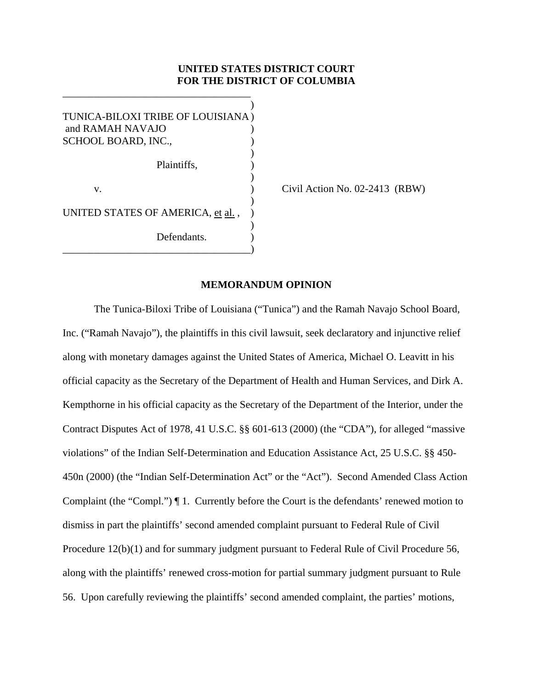# **UNITED STATES DISTRICT COURT FOR THE DISTRICT OF COLUMBIA**

 $)$ TUNICA-BILOXI TRIBE OF LOUISIANA ) and RAMAH NAVAJO ) SCHOOL BOARD, INC.,  $)$  Plaintiffs, )  $)$ v. (a) Civil Action No. 02-2413 (RBW)  $)$ UNITED STATES OF AMERICA, et al.,  $)$ Defendants. \_\_\_\_\_\_\_\_\_\_\_\_\_\_\_\_\_\_\_\_\_\_\_\_\_\_\_\_\_\_\_\_\_\_\_\_)

\_\_\_\_\_\_\_\_\_\_\_\_\_\_\_\_\_\_\_\_\_\_\_\_\_\_\_\_\_\_\_\_\_\_\_\_

#### **MEMORANDUM OPINION**

 The Tunica-Biloxi Tribe of Louisiana ("Tunica") and the Ramah Navajo School Board, Inc. ("Ramah Navajo"), the plaintiffs in this civil lawsuit, seek declaratory and injunctive relief along with monetary damages against the United States of America, Michael O. Leavitt in his official capacity as the Secretary of the Department of Health and Human Services, and Dirk A. Kempthorne in his official capacity as the Secretary of the Department of the Interior, under the Contract Disputes Act of 1978, 41 U.S.C. §§ 601-613 (2000) (the "CDA"), for alleged "massive violations" of the Indian Self-Determination and Education Assistance Act, 25 U.S.C. §§ 450- 450n (2000) (the "Indian Self-Determination Act" or the "Act"). Second Amended Class Action Complaint (the "Compl.") ¶ 1. Currently before the Court is the defendants' renewed motion to dismiss in part the plaintiffs' second amended complaint pursuant to Federal Rule of Civil Procedure 12(b)(1) and for summary judgment pursuant to Federal Rule of Civil Procedure 56, along with the plaintiffs' renewed cross-motion for partial summary judgment pursuant to Rule 56. Upon carefully reviewing the plaintiffs' second amended complaint, the parties' motions,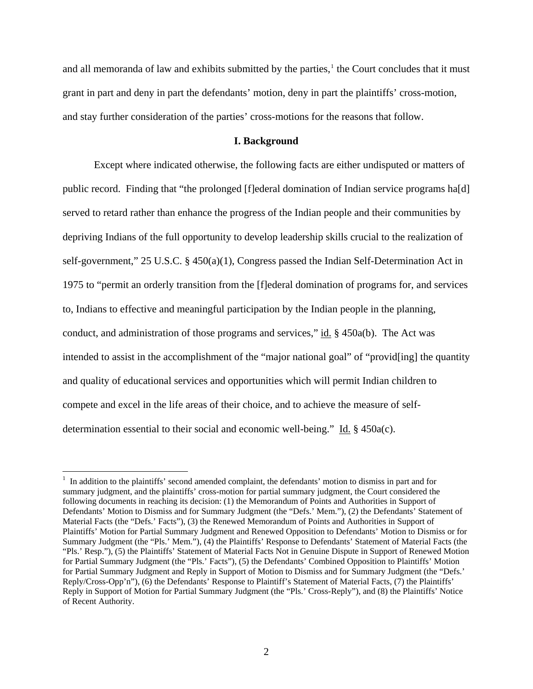and all memoranda of law and exhibits submitted by the parties,<sup>[1](#page-1-0)</sup> the Court concludes that it must grant in part and deny in part the defendants' motion, deny in part the plaintiffs' cross-motion, and stay further consideration of the parties' cross-motions for the reasons that follow.

## **I. Background**

Except where indicated otherwise, the following facts are either undisputed or matters of public record. Finding that "the prolonged [f]ederal domination of Indian service programs ha[d] served to retard rather than enhance the progress of the Indian people and their communities by depriving Indians of the full opportunity to develop leadership skills crucial to the realization of self-government," 25 U.S.C. § 450(a)(1), Congress passed the Indian Self-Determination Act in 1975 to "permit an orderly transition from the [f]ederal domination of programs for, and services to, Indians to effective and meaningful participation by the Indian people in the planning, conduct, and administration of those programs and services," id. § 450a(b). The Act was intended to assist in the accomplishment of the "major national goal" of "provid[ing] the quantity and quality of educational services and opportunities which will permit Indian children to compete and excel in the life areas of their choice, and to achieve the measure of selfdetermination essential to their social and economic well-being." Id.  $\S$  450a(c).

 $\overline{a}$ 

<span id="page-1-0"></span><sup>&</sup>lt;sup>1</sup> In addition to the plaintiffs' second amended complaint, the defendants' motion to dismiss in part and for summary judgment, and the plaintiffs' cross-motion for partial summary judgment, the Court considered the following documents in reaching its decision: (1) the Memorandum of Points and Authorities in Support of Defendants' Motion to Dismiss and for Summary Judgment (the "Defs.' Mem."), (2) the Defendants' Statement of Material Facts (the "Defs.' Facts"), (3) the Renewed Memorandum of Points and Authorities in Support of Plaintiffs' Motion for Partial Summary Judgment and Renewed Opposition to Defendants' Motion to Dismiss or for Summary Judgment (the "Pls.' Mem."), (4) the Plaintiffs' Response to Defendants' Statement of Material Facts (the "Pls.' Resp."), (5) the Plaintiffs' Statement of Material Facts Not in Genuine Dispute in Support of Renewed Motion for Partial Summary Judgment (the "Pls.' Facts"), (5) the Defendants' Combined Opposition to Plaintiffs' Motion for Partial Summary Judgment and Reply in Support of Motion to Dismiss and for Summary Judgment (the "Defs.' Reply/Cross-Opp'n"), (6) the Defendants' Response to Plaintiff's Statement of Material Facts, (7) the Plaintiffs' Reply in Support of Motion for Partial Summary Judgment (the "Pls.' Cross-Reply"), and (8) the Plaintiffs' Notice of Recent Authority.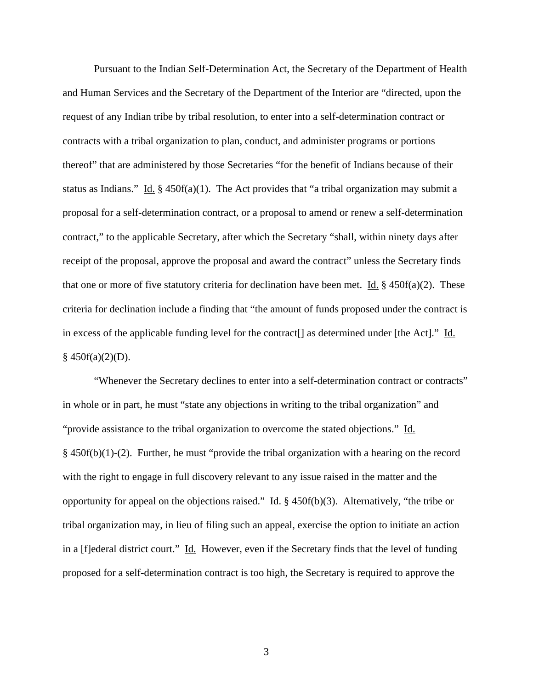Pursuant to the Indian Self-Determination Act, the Secretary of the Department of Health and Human Services and the Secretary of the Department of the Interior are "directed, upon the request of any Indian tribe by tribal resolution, to enter into a self-determination contract or contracts with a tribal organization to plan, conduct, and administer programs or portions thereof" that are administered by those Secretaries "for the benefit of Indians because of their status as Indians." Id.  $\S$  450f(a)(1). The Act provides that "a tribal organization may submit a proposal for a self-determination contract, or a proposal to amend or renew a self-determination contract," to the applicable Secretary, after which the Secretary "shall, within ninety days after receipt of the proposal, approve the proposal and award the contract" unless the Secretary finds that one or more of five statutory criteria for declination have been met. Id.  $\S$  450f(a)(2). These criteria for declination include a finding that "the amount of funds proposed under the contract is in excess of the applicable funding level for the contract[] as determined under [the Act]." Id.  $§$  450f(a)(2)(D).

"Whenever the Secretary declines to enter into a self-determination contract or contracts" in whole or in part, he must "state any objections in writing to the tribal organization" and "provide assistance to the tribal organization to overcome the stated objections." Id. § 450f(b)(1)-(2). Further, he must "provide the tribal organization with a hearing on the record with the right to engage in full discovery relevant to any issue raised in the matter and the opportunity for appeal on the objections raised." Id.  $\S$  450f(b)(3). Alternatively, "the tribe or tribal organization may, in lieu of filing such an appeal, exercise the option to initiate an action in a [f]ederal district court." Id. However, even if the Secretary finds that the level of funding proposed for a self-determination contract is too high, the Secretary is required to approve the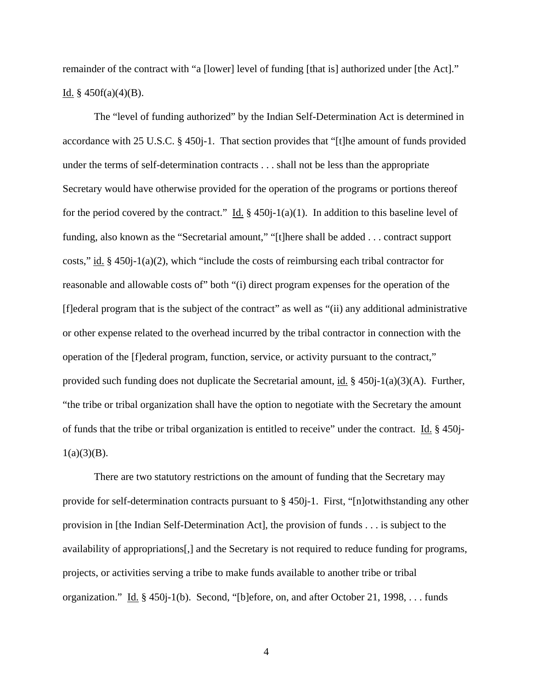remainder of the contract with "a [lower] level of funding [that is] authorized under [the Act]." Id.  $§$  450f(a)(4)(B).

The "level of funding authorized" by the Indian Self-Determination Act is determined in accordance with 25 U.S.C. § 450j-1. That section provides that "[t]he amount of funds provided under the terms of self-determination contracts . . . shall not be less than the appropriate Secretary would have otherwise provided for the operation of the programs or portions thereof for the period covered by the contract." Id.  $\S$  450j-1(a)(1). In addition to this baseline level of funding, also known as the "Secretarial amount," "[t]here shall be added . . . contract support costs," id. § 450j-1(a)(2), which "include the costs of reimbursing each tribal contractor for reasonable and allowable costs of" both "(i) direct program expenses for the operation of the [f]ederal program that is the subject of the contract" as well as "(ii) any additional administrative or other expense related to the overhead incurred by the tribal contractor in connection with the operation of the [f]ederal program, function, service, or activity pursuant to the contract," provided such funding does not duplicate the Secretarial amount, <u>id.</u> § 450*j*-1(a)(3)(A). Further, "the tribe or tribal organization shall have the option to negotiate with the Secretary the amount of funds that the tribe or tribal organization is entitled to receive" under the contract. Id. § 450j- $1(a)(3)(B)$ .

There are two statutory restrictions on the amount of funding that the Secretary may provide for self-determination contracts pursuant to § 450j-1. First, "[n]otwithstanding any other provision in [the Indian Self-Determination Act], the provision of funds . . . is subject to the availability of appropriations[,] and the Secretary is not required to reduce funding for programs, projects, or activities serving a tribe to make funds available to another tribe or tribal organization." Id. § 450j-1(b). Second, "[b]efore, on, and after October 21, 1998, . . . funds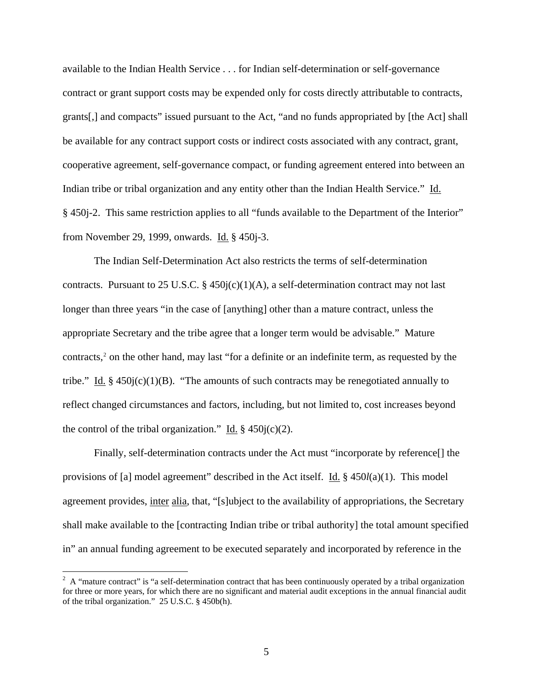available to the Indian Health Service . . . for Indian self-determination or self-governance contract or grant support costs may be expended only for costs directly attributable to contracts, grants[,] and compacts" issued pursuant to the Act, "and no funds appropriated by [the Act] shall be available for any contract support costs or indirect costs associated with any contract, grant, cooperative agreement, self-governance compact, or funding agreement entered into between an Indian tribe or tribal organization and any entity other than the Indian Health Service." Id. § 450j-2. This same restriction applies to all "funds available to the Department of the Interior" from November 29, 1999, onwards. Id. § 450j-3.

The Indian Self-Determination Act also restricts the terms of self-determination contracts. Pursuant to 25 U.S.C. §  $450j(c)(1)(A)$ , a self-determination contract may not last longer than three years "in the case of [anything] other than a mature contract, unless the appropriate Secretary and the tribe agree that a longer term would be advisable." Mature contracts,<sup>[2](#page-4-0)</sup> on the other hand, may last "for a definite or an indefinite term, as requested by the tribe." Id. § 450j(c)(1)(B). "The amounts of such contracts may be renegotiated annually to reflect changed circumstances and factors, including, but not limited to, cost increases beyond the control of the tribal organization." Id.  $\S$  450 $j(c)(2)$ .

Finally, self-determination contracts under the Act must "incorporate by reference[] the provisions of [a] model agreement" described in the Act itself. Id. § 450*l*(a)(1). This model agreement provides, inter alia, that, "[s]ubject to the availability of appropriations, the Secretary shall make available to the [contracting Indian tribe or tribal authority] the total amount specified in" an annual funding agreement to be executed separately and incorporated by reference in the

 $\overline{a}$ 

<span id="page-4-0"></span><sup>&</sup>lt;sup>2</sup> A "mature contract" is "a self-determination contract that has been continuously operated by a tribal organization for three or more years, for which there are no significant and material audit exceptions in the annual financial audit of the tribal organization." 25 U.S.C. § 450b(h).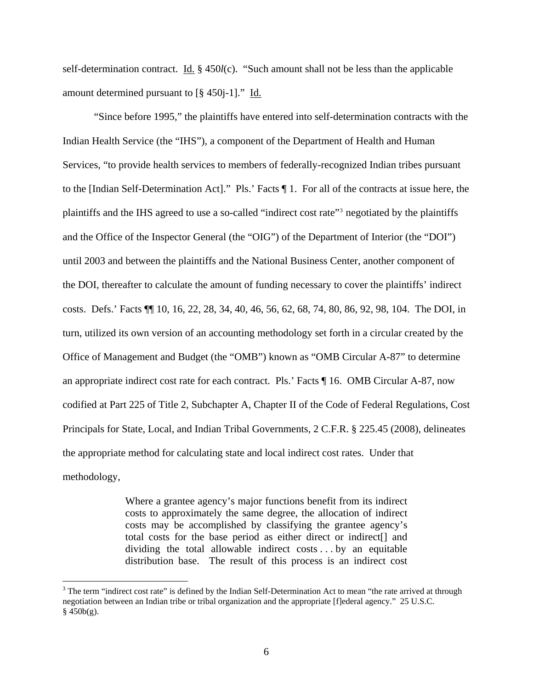self-determination contract. Id. § 450*l*(c). "Such amount shall not be less than the applicable amount determined pursuant to [§ 450j-1]." Id.

"Since before 1995," the plaintiffs have entered into self-determination contracts with the Indian Health Service (the "IHS"), a component of the Department of Health and Human Services, "to provide health services to members of federally-recognized Indian tribes pursuant to the [Indian Self-Determination Act]." Pls.' Facts ¶ 1. For all of the contracts at issue here, the plaintiffs and the IHS agreed to use a so-called "indirect cost rate"[3](#page-5-0) negotiated by the plaintiffs and the Office of the Inspector General (the "OIG") of the Department of Interior (the "DOI") until 2003 and between the plaintiffs and the National Business Center, another component of the DOI, thereafter to calculate the amount of funding necessary to cover the plaintiffs' indirect costs. Defs.' Facts ¶¶ 10, 16, 22, 28, 34, 40, 46, 56, 62, 68, 74, 80, 86, 92, 98, 104. The DOI, in turn, utilized its own version of an accounting methodology set forth in a circular created by the Office of Management and Budget (the "OMB") known as "OMB Circular A-87" to determine an appropriate indirect cost rate for each contract. Pls.' Facts ¶ 16. OMB Circular A-87, now codified at Part 225 of Title 2, Subchapter A, Chapter II of the Code of Federal Regulations, Cost Principals for State, Local, and Indian Tribal Governments, 2 C.F.R. § 225.45 (2008), delineates the appropriate method for calculating state and local indirect cost rates. Under that methodology,

> Where a grantee agency's major functions benefit from its indirect costs to approximately the same degree, the allocation of indirect costs may be accomplished by classifying the grantee agency's total costs for the base period as either direct or indirect[] and dividing the total allowable indirect costs . . . by an equitable distribution base. The result of this process is an indirect cost

 $\overline{a}$ 

<span id="page-5-0"></span> $3$  The term "indirect cost rate" is defined by the Indian Self-Determination Act to mean "the rate arrived at through negotiation between an Indian tribe or tribal organization and the appropriate [f]ederal agency." 25 U.S.C.  $§$  450b(g).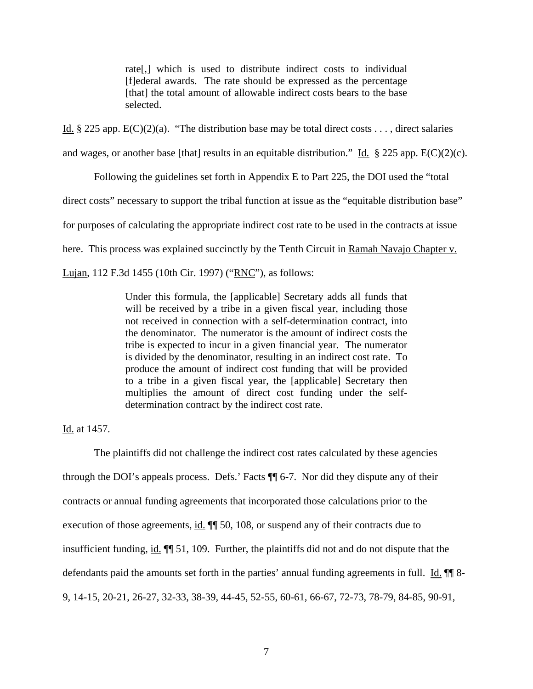rate[,] which is used to distribute indirect costs to individual [f]ederal awards. The rate should be expressed as the percentage [that] the total amount of allowable indirect costs bears to the base selected.

Id. § 225 app.  $E(C)(2)(a)$ . "The distribution base may be total direct costs . . . , direct salaries and wages, or another base [that] results in an equitable distribution." Id.  $\S 225$  app. E(C)(2)(c).

 Following the guidelines set forth in Appendix E to Part 225, the DOI used the "total direct costs" necessary to support the tribal function at issue as the "equitable distribution base" for purposes of calculating the appropriate indirect cost rate to be used in the contracts at issue here. This process was explained succinctly by the Tenth Circuit in Ramah Navajo Chapter v.

Lujan, 112 F.3d 1455 (10th Cir. 1997) ("RNC"), as follows:

Under this formula, the [applicable] Secretary adds all funds that will be received by a tribe in a given fiscal year, including those not received in connection with a self-determination contract, into the denominator. The numerator is the amount of indirect costs the tribe is expected to incur in a given financial year. The numerator is divided by the denominator, resulting in an indirect cost rate. To produce the amount of indirect cost funding that will be provided to a tribe in a given fiscal year, the [applicable] Secretary then multiplies the amount of direct cost funding under the selfdetermination contract by the indirect cost rate.

Id. at 1457.

The plaintiffs did not challenge the indirect cost rates calculated by these agencies through the DOI's appeals process. Defs.' Facts ¶¶ 6-7. Nor did they dispute any of their contracts or annual funding agreements that incorporated those calculations prior to the execution of those agreements, id.  $\P$  50, 108, or suspend any of their contracts due to insufficient funding, id. ¶¶ 51, 109. Further, the plaintiffs did not and do not dispute that the defendants paid the amounts set forth in the parties' annual funding agreements in full. Id. ¶¶ 8- 9, 14-15, 20-21, 26-27, 32-33, 38-39, 44-45, 52-55, 60-61, 66-67, 72-73, 78-79, 84-85, 90-91,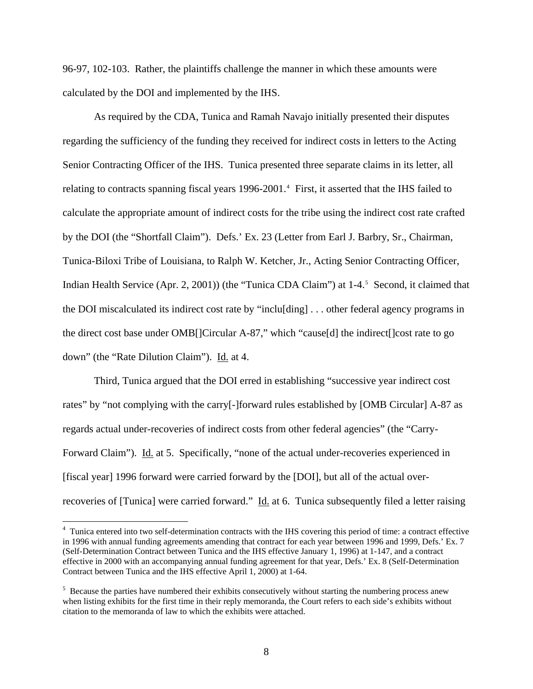96-97, 102-103. Rather, the plaintiffs challenge the manner in which these amounts were calculated by the DOI and implemented by the IHS.

As required by the CDA, Tunica and Ramah Navajo initially presented their disputes regarding the sufficiency of the funding they received for indirect costs in letters to the Acting Senior Contracting Officer of the IHS. Tunica presented three separate claims in its letter, all relating to contracts spanning fiscal years 1996-2001.<sup>[4](#page-7-0)</sup> First, it asserted that the IHS failed to calculate the appropriate amount of indirect costs for the tribe using the indirect cost rate crafted by the DOI (the "Shortfall Claim"). Defs.' Ex. 23 (Letter from Earl J. Barbry, Sr., Chairman, Tunica-Biloxi Tribe of Louisiana, to Ralph W. Ketcher, Jr., Acting Senior Contracting Officer, Indian Health Service (Apr. 2, 2001)) (the "Tunica CDA Claim") at 1-4.<sup>[5](#page-7-1)</sup> Second, it claimed that the DOI miscalculated its indirect cost rate by "inclu[ding] . . . other federal agency programs in the direct cost base under OMB[]Circular A-87," which "cause[d] the indirect[]cost rate to go down" (the "Rate Dilution Claim"). Id. at 4.

Third, Tunica argued that the DOI erred in establishing "successive year indirect cost rates" by "not complying with the carry[-]forward rules established by [OMB Circular] A-87 as regards actual under-recoveries of indirect costs from other federal agencies" (the "Carry-Forward Claim"). Id. at 5. Specifically, "none of the actual under-recoveries experienced in [fiscal year] 1996 forward were carried forward by the [DOI], but all of the actual overrecoveries of [Tunica] were carried forward." Id. at 6. Tunica subsequently filed a letter raising

 $\overline{a}$ 

<span id="page-7-0"></span><sup>&</sup>lt;sup>4</sup> Tunica entered into two self-determination contracts with the IHS covering this period of time: a contract effective in 1996 with annual funding agreements amending that contract for each year between 1996 and 1999, Defs.' Ex. 7 (Self-Determination Contract between Tunica and the IHS effective January 1, 1996) at 1-147, and a contract effective in 2000 with an accompanying annual funding agreement for that year, Defs.' Ex. 8 (Self-Determination Contract between Tunica and the IHS effective April 1, 2000) at 1-64.

<span id="page-7-1"></span><sup>&</sup>lt;sup>5</sup> Because the parties have numbered their exhibits consecutively without starting the numbering process anew when listing exhibits for the first time in their reply memoranda, the Court refers to each side's exhibits without citation to the memoranda of law to which the exhibits were attached.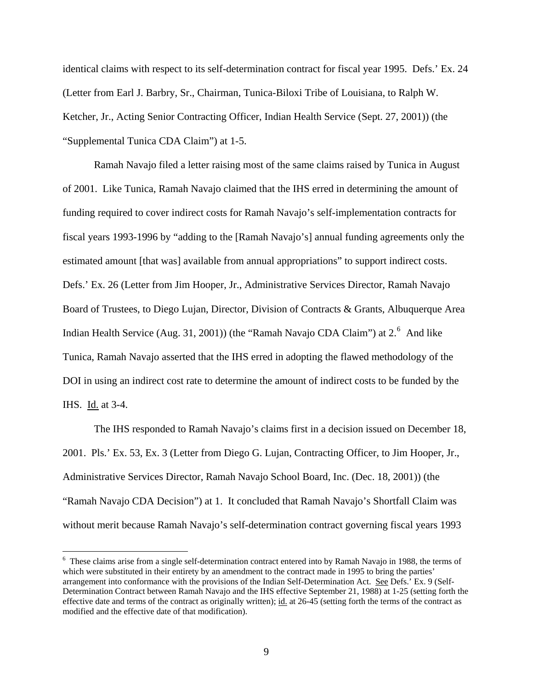identical claims with respect to its self-determination contract for fiscal year 1995. Defs.' Ex. 24 (Letter from Earl J. Barbry, Sr., Chairman, Tunica-Biloxi Tribe of Louisiana, to Ralph W. Ketcher, Jr., Acting Senior Contracting Officer, Indian Health Service (Sept. 27, 2001)) (the "Supplemental Tunica CDA Claim") at 1-5.

Ramah Navajo filed a letter raising most of the same claims raised by Tunica in August of 2001. Like Tunica, Ramah Navajo claimed that the IHS erred in determining the amount of funding required to cover indirect costs for Ramah Navajo's self-implementation contracts for fiscal years 1993-1996 by "adding to the [Ramah Navajo's] annual funding agreements only the estimated amount [that was] available from annual appropriations" to support indirect costs. Defs.' Ex. 26 (Letter from Jim Hooper, Jr., Administrative Services Director, Ramah Navajo Board of Trustees, to Diego Lujan, Director, Division of Contracts & Grants, Albuquerque Area Indian Health Service (Aug. 31, 2001)) (the "Ramah Navajo CDA Claim") at  $2.6$  $2.6$  And like Tunica, Ramah Navajo asserted that the IHS erred in adopting the flawed methodology of the DOI in using an indirect cost rate to determine the amount of indirect costs to be funded by the IHS. Id. at 3-4.

 The IHS responded to Ramah Navajo's claims first in a decision issued on December 18, 2001. Pls.' Ex. 53, Ex. 3 (Letter from Diego G. Lujan, Contracting Officer, to Jim Hooper, Jr., Administrative Services Director, Ramah Navajo School Board, Inc. (Dec. 18, 2001)) (the "Ramah Navajo CDA Decision") at 1. It concluded that Ramah Navajo's Shortfall Claim was without merit because Ramah Navajo's self-determination contract governing fiscal years 1993

 $\overline{a}$ 

<span id="page-8-0"></span><sup>&</sup>lt;sup>6</sup> These claims arise from a single self-determination contract entered into by Ramah Navajo in 1988, the terms of which were substituted in their entirety by an amendment to the contract made in 1995 to bring the parties' arrangement into conformance with the provisions of the Indian Self-Determination Act. See Defs.' Ex. 9 (Self-Determination Contract between Ramah Navajo and the IHS effective September 21, 1988) at 1-25 (setting forth the effective date and terms of the contract as originally written); id. at 26-45 (setting forth the terms of the contract as modified and the effective date of that modification).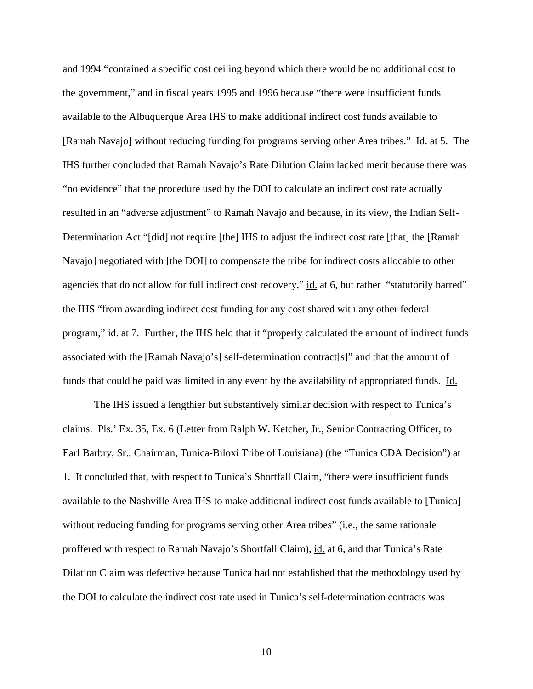and 1994 "contained a specific cost ceiling beyond which there would be no additional cost to the government," and in fiscal years 1995 and 1996 because "there were insufficient funds available to the Albuquerque Area IHS to make additional indirect cost funds available to [Ramah Navajo] without reducing funding for programs serving other Area tribes." Id. at 5. The IHS further concluded that Ramah Navajo's Rate Dilution Claim lacked merit because there was "no evidence" that the procedure used by the DOI to calculate an indirect cost rate actually resulted in an "adverse adjustment" to Ramah Navajo and because, in its view, the Indian Self-Determination Act "[did] not require [the] IHS to adjust the indirect cost rate [that] the [Ramah Navajo] negotiated with [the DOI] to compensate the tribe for indirect costs allocable to other agencies that do not allow for full indirect cost recovery," id. at 6, but rather "statutorily barred" the IHS "from awarding indirect cost funding for any cost shared with any other federal program," id. at 7. Further, the IHS held that it "properly calculated the amount of indirect funds associated with the [Ramah Navajo's] self-determination contract[s]" and that the amount of funds that could be paid was limited in any event by the availability of appropriated funds. Id.

 The IHS issued a lengthier but substantively similar decision with respect to Tunica's claims. Pls.' Ex. 35, Ex. 6 (Letter from Ralph W. Ketcher, Jr., Senior Contracting Officer, to Earl Barbry, Sr., Chairman, Tunica-Biloxi Tribe of Louisiana) (the "Tunica CDA Decision") at 1. It concluded that, with respect to Tunica's Shortfall Claim, "there were insufficient funds available to the Nashville Area IHS to make additional indirect cost funds available to [Tunica] without reducing funding for programs serving other Area tribes" (*i.e.*, the same rationale proffered with respect to Ramah Navajo's Shortfall Claim), id. at 6, and that Tunica's Rate Dilation Claim was defective because Tunica had not established that the methodology used by the DOI to calculate the indirect cost rate used in Tunica's self-determination contracts was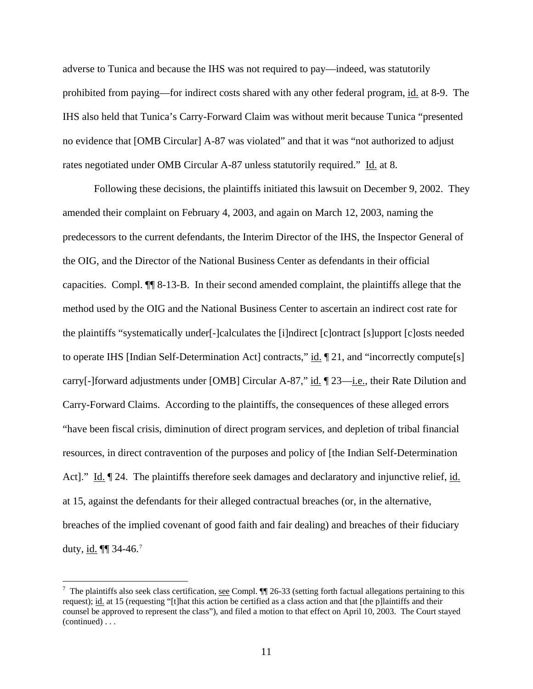adverse to Tunica and because the IHS was not required to pay—indeed, was statutorily prohibited from paying—for indirect costs shared with any other federal program, id. at 8-9. The IHS also held that Tunica's Carry-Forward Claim was without merit because Tunica "presented no evidence that [OMB Circular] A-87 was violated" and that it was "not authorized to adjust rates negotiated under OMB Circular A-87 unless statutorily required." Id. at 8.

 Following these decisions, the plaintiffs initiated this lawsuit on December 9, 2002. They amended their complaint on February 4, 2003, and again on March 12, 2003, naming the predecessors to the current defendants, the Interim Director of the IHS, the Inspector General of the OIG, and the Director of the National Business Center as defendants in their official capacities. Compl. ¶¶ 8-13-B. In their second amended complaint, the plaintiffs allege that the method used by the OIG and the National Business Center to ascertain an indirect cost rate for the plaintiffs "systematically under[-]calculates the [i]ndirect [c]ontract [s]upport [c]osts needed to operate IHS [Indian Self-Determination Act] contracts," id.  $\P$  21, and "incorrectly compute[s] carry[-]forward adjustments under [OMB] Circular A-87," id. ¶ 23—i.e., their Rate Dilution and Carry-Forward Claims. According to the plaintiffs, the consequences of these alleged errors "have been fiscal crisis, diminution of direct program services, and depletion of tribal financial resources, in direct contravention of the purposes and policy of [the Indian Self-Determination Act]." Id.  $\P$  24. The plaintiffs therefore seek damages and declaratory and injunctive relief, id. at 15, against the defendants for their alleged contractual breaches (or, in the alternative, breaches of the implied covenant of good faith and fair dealing) and breaches of their fiduciary duty, <u>id.</u>  $\P\P$  34-46.<sup>[7](#page-10-0)</sup>

<span id="page-10-0"></span>The plaintiffs also seek class certification, <u>see</u> Compl.  $\P$  26-33 (setting forth factual allegations pertaining to this request); id. at 15 (requesting "[t]hat this action be certified as a class action and that [the p]laintiffs and their counsel be approved to represent the class"), and filed a motion to that effect on April 10, 2003. The Court stayed (continued) . . .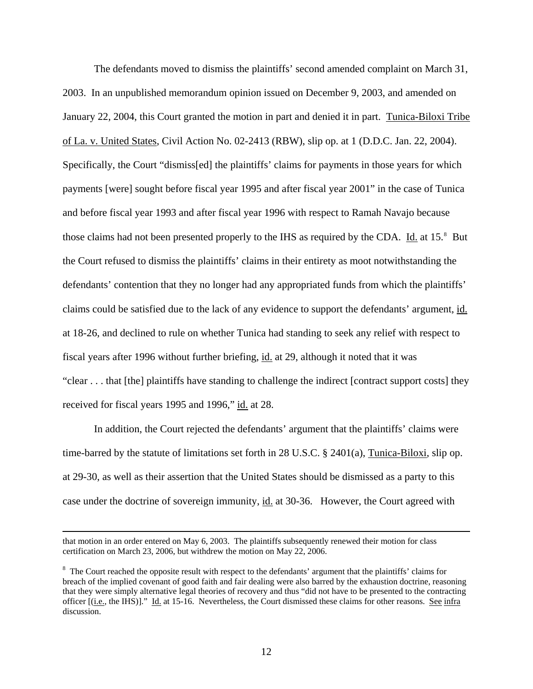The defendants moved to dismiss the plaintiffs' second amended complaint on March 31, 2003. In an unpublished memorandum opinion issued on December 9, 2003, and amended on January 22, 2004, this Court granted the motion in part and denied it in part. Tunica-Biloxi Tribe of La. v. United States, Civil Action No. 02-2413 (RBW), slip op. at 1 (D.D.C. Jan. 22, 2004). Specifically, the Court "dismiss[ed] the plaintiffs' claims for payments in those years for which payments [were] sought before fiscal year 1995 and after fiscal year 2001" in the case of Tunica and before fiscal year 1993 and after fiscal year 1996 with respect to Ramah Navajo because those claims had not been presented properly to the IHS as required by the CDA. Id. at 15.<sup>[8](#page-11-0)</sup> But the Court refused to dismiss the plaintiffs' claims in their entirety as moot notwithstanding the defendants' contention that they no longer had any appropriated funds from which the plaintiffs' claims could be satisfied due to the lack of any evidence to support the defendants' argument, id. at 18-26, and declined to rule on whether Tunica had standing to seek any relief with respect to fiscal years after 1996 without further briefing, id. at 29, although it noted that it was "clear . . . that [the] plaintiffs have standing to challenge the indirect [contract support costs] they received for fiscal years 1995 and 1996," id. at 28.

 In addition, the Court rejected the defendants' argument that the plaintiffs' claims were time-barred by the statute of limitations set forth in 28 U.S.C. § 2401(a), Tunica-Biloxi, slip op. at 29-30, as well as their assertion that the United States should be dismissed as a party to this case under the doctrine of sovereign immunity, id. at 30-36. However, the Court agreed with

that motion in an order entered on May 6, 2003. The plaintiffs subsequently renewed their motion for class certification on March 23, 2006, but withdrew the motion on May 22, 2006.

<span id="page-11-0"></span><sup>&</sup>lt;sup>8</sup> The Court reached the opposite result with respect to the defendants' argument that the plaintiffs' claims for breach of the implied covenant of good faith and fair dealing were also barred by the exhaustion doctrine, reasoning that they were simply alternative legal theories of recovery and thus "did not have to be presented to the contracting officer [(i.e., the IHS)]." Id. at 15-16. Nevertheless, the Court dismissed these claims for other reasons. See infra discussion.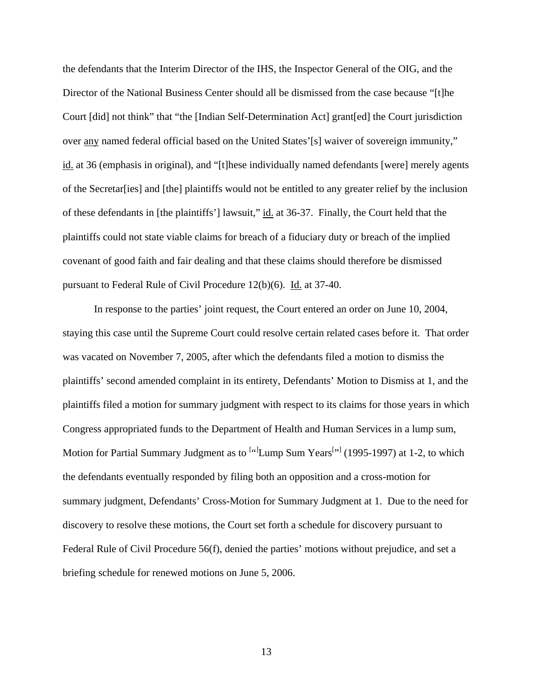the defendants that the Interim Director of the IHS, the Inspector General of the OIG, and the Director of the National Business Center should all be dismissed from the case because "[t]he Court [did] not think" that "the [Indian Self-Determination Act] grant[ed] the Court jurisdiction over any named federal official based on the United States'[s] waiver of sovereign immunity," id. at 36 (emphasis in original), and "[t]hese individually named defendants [were] merely agents of the Secretar[ies] and [the] plaintiffs would not be entitled to any greater relief by the inclusion of these defendants in [the plaintiffs'] lawsuit," id. at 36-37. Finally, the Court held that the plaintiffs could not state viable claims for breach of a fiduciary duty or breach of the implied covenant of good faith and fair dealing and that these claims should therefore be dismissed pursuant to Federal Rule of Civil Procedure 12(b)(6). Id. at 37-40.

 In response to the parties' joint request, the Court entered an order on June 10, 2004, staying this case until the Supreme Court could resolve certain related cases before it. That order was vacated on November 7, 2005, after which the defendants filed a motion to dismiss the plaintiffs' second amended complaint in its entirety, Defendants' Motion to Dismiss at 1, and the plaintiffs filed a motion for summary judgment with respect to its claims for those years in which Congress appropriated funds to the Department of Health and Human Services in a lump sum, Motion for Partial Summary Judgment as to <sup>[4]</sup>Lump Sum Years<sup>[53]</sup> (1995-1997) at 1-2, to which the defendants eventually responded by filing both an opposition and a cross-motion for summary judgment, Defendants' Cross-Motion for Summary Judgment at 1. Due to the need for discovery to resolve these motions, the Court set forth a schedule for discovery pursuant to Federal Rule of Civil Procedure 56(f), denied the parties' motions without prejudice, and set a briefing schedule for renewed motions on June 5, 2006.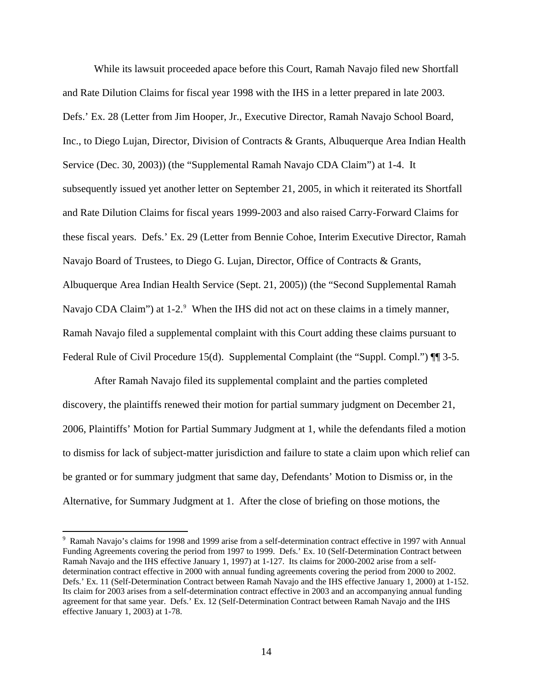While its lawsuit proceeded apace before this Court, Ramah Navajo filed new Shortfall and Rate Dilution Claims for fiscal year 1998 with the IHS in a letter prepared in late 2003. Defs.' Ex. 28 (Letter from Jim Hooper, Jr., Executive Director, Ramah Navajo School Board, Inc., to Diego Lujan, Director, Division of Contracts & Grants, Albuquerque Area Indian Health Service (Dec. 30, 2003)) (the "Supplemental Ramah Navajo CDA Claim") at 1-4. It subsequently issued yet another letter on September 21, 2005, in which it reiterated its Shortfall and Rate Dilution Claims for fiscal years 1999-2003 and also raised Carry-Forward Claims for these fiscal years. Defs.' Ex. 29 (Letter from Bennie Cohoe, Interim Executive Director, Ramah Navajo Board of Trustees, to Diego G. Lujan, Director, Office of Contracts & Grants, Albuquerque Area Indian Health Service (Sept. 21, 2005)) (the "Second Supplemental Ramah Navajo CDA Claim") at 1-2.<sup>[9](#page-13-0)</sup> When the IHS did not act on these claims in a timely manner, Ramah Navajo filed a supplemental complaint with this Court adding these claims pursuant to Federal Rule of Civil Procedure 15(d). Supplemental Complaint (the "Suppl. Compl.")  $\P$  3-5.

After Ramah Navajo filed its supplemental complaint and the parties completed discovery, the plaintiffs renewed their motion for partial summary judgment on December 21, 2006, Plaintiffs' Motion for Partial Summary Judgment at 1, while the defendants filed a motion to dismiss for lack of subject-matter jurisdiction and failure to state a claim upon which relief can be granted or for summary judgment that same day, Defendants' Motion to Dismiss or, in the Alternative, for Summary Judgment at 1. After the close of briefing on those motions, the

 $\overline{a}$ 

<span id="page-13-0"></span><sup>&</sup>lt;sup>9</sup> Ramah Navajo's claims for 1998 and 1999 arise from a self-determination contract effective in 1997 with Annual Funding Agreements covering the period from 1997 to 1999. Defs.' Ex. 10 (Self-Determination Contract between Ramah Navajo and the IHS effective January 1, 1997) at 1-127. Its claims for 2000-2002 arise from a selfdetermination contract effective in 2000 with annual funding agreements covering the period from 2000 to 2002. Defs.' Ex. 11 (Self-Determination Contract between Ramah Navajo and the IHS effective January 1, 2000) at 1-152. Its claim for 2003 arises from a self-determination contract effective in 2003 and an accompanying annual funding agreement for that same year. Defs.' Ex. 12 (Self-Determination Contract between Ramah Navajo and the IHS effective January 1, 2003) at 1-78.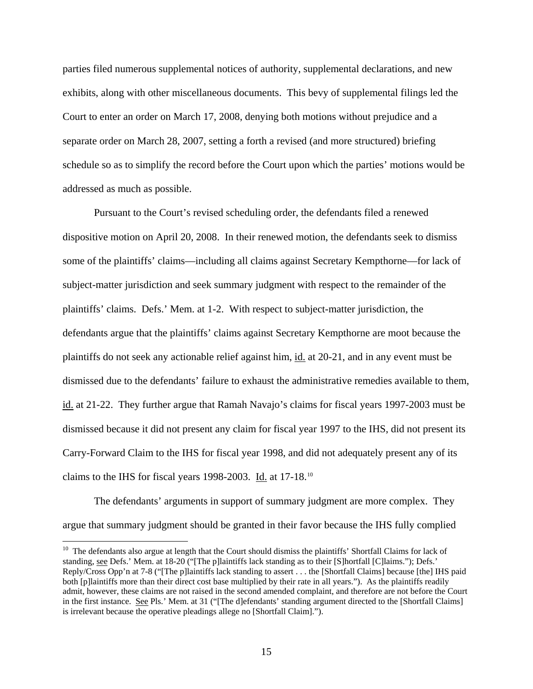parties filed numerous supplemental notices of authority, supplemental declarations, and new exhibits, along with other miscellaneous documents. This bevy of supplemental filings led the Court to enter an order on March 17, 2008, denying both motions without prejudice and a separate order on March 28, 2007, setting a forth a revised (and more structured) briefing schedule so as to simplify the record before the Court upon which the parties' motions would be addressed as much as possible.

Pursuant to the Court's revised scheduling order, the defendants filed a renewed dispositive motion on April 20, 2008. In their renewed motion, the defendants seek to dismiss some of the plaintiffs' claims—including all claims against Secretary Kempthorne—for lack of subject-matter jurisdiction and seek summary judgment with respect to the remainder of the plaintiffs' claims. Defs.' Mem. at 1-2. With respect to subject-matter jurisdiction, the defendants argue that the plaintiffs' claims against Secretary Kempthorne are moot because the plaintiffs do not seek any actionable relief against him, id. at 20-21, and in any event must be dismissed due to the defendants' failure to exhaust the administrative remedies available to them, id. at 21-22. They further argue that Ramah Navajo's claims for fiscal years 1997-2003 must be dismissed because it did not present any claim for fiscal year 1997 to the IHS, did not present its Carry-Forward Claim to the IHS for fiscal year 1998, and did not adequately present any of its claims to the IHS for fiscal years 1998-2003. Id. at 17-18.[10](#page-14-0)

The defendants' arguments in support of summary judgment are more complex. They argue that summary judgment should be granted in their favor because the IHS fully complied

 $\overline{a}$ 

<span id="page-14-0"></span><sup>&</sup>lt;sup>10</sup> The defendants also argue at length that the Court should dismiss the plaintiffs' Shortfall Claims for lack of standing, see Defs.' Mem. at 18-20 ("[The p]laintiffs lack standing as to their [S]hortfall [C]laims."); Defs.' Reply/Cross Opp'n at 7-8 ("[The p]laintiffs lack standing to assert . . . the [Shortfall Claims] because [the] IHS paid both [p]laintiffs more than their direct cost base multiplied by their rate in all years."). As the plaintiffs readily admit, however, these claims are not raised in the second amended complaint, and therefore are not before the Court in the first instance. See Pls.' Mem. at 31 ("[The d]efendants' standing argument directed to the [Shortfall Claims] is irrelevant because the operative pleadings allege no [Shortfall Claim].").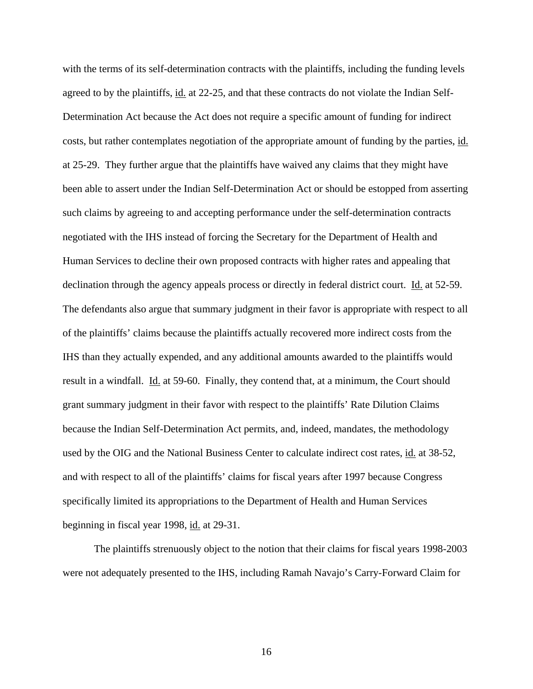with the terms of its self-determination contracts with the plaintiffs, including the funding levels agreed to by the plaintiffs, id. at 22-25, and that these contracts do not violate the Indian Self-Determination Act because the Act does not require a specific amount of funding for indirect costs, but rather contemplates negotiation of the appropriate amount of funding by the parties, id. at 25-29. They further argue that the plaintiffs have waived any claims that they might have been able to assert under the Indian Self-Determination Act or should be estopped from asserting such claims by agreeing to and accepting performance under the self-determination contracts negotiated with the IHS instead of forcing the Secretary for the Department of Health and Human Services to decline their own proposed contracts with higher rates and appealing that declination through the agency appeals process or directly in federal district court. Id. at 52-59. The defendants also argue that summary judgment in their favor is appropriate with respect to all of the plaintiffs' claims because the plaintiffs actually recovered more indirect costs from the IHS than they actually expended, and any additional amounts awarded to the plaintiffs would result in a windfall. <u>Id.</u> at 59-60. Finally, they contend that, at a minimum, the Court should grant summary judgment in their favor with respect to the plaintiffs' Rate Dilution Claims because the Indian Self-Determination Act permits, and, indeed, mandates, the methodology used by the OIG and the National Business Center to calculate indirect cost rates, id. at 38-52, and with respect to all of the plaintiffs' claims for fiscal years after 1997 because Congress specifically limited its appropriations to the Department of Health and Human Services beginning in fiscal year 1998, id. at 29-31.

The plaintiffs strenuously object to the notion that their claims for fiscal years 1998-2003 were not adequately presented to the IHS, including Ramah Navajo's Carry-Forward Claim for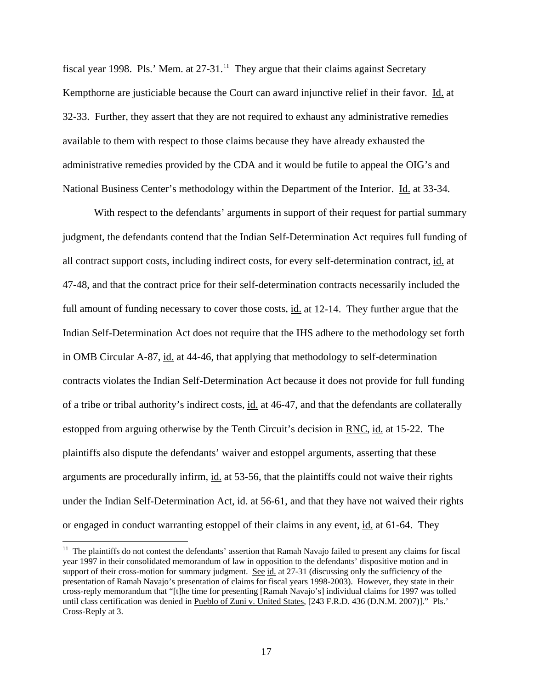fiscal year 1998. Pls.' Mem. at  $27-31$ .<sup>[11](#page-16-0)</sup> They argue that their claims against Secretary Kempthorne are justiciable because the Court can award injunctive relief in their favor. Id. at 32-33. Further, they assert that they are not required to exhaust any administrative remedies available to them with respect to those claims because they have already exhausted the administrative remedies provided by the CDA and it would be futile to appeal the OIG's and National Business Center's methodology within the Department of the Interior. Id. at 33-34.

With respect to the defendants' arguments in support of their request for partial summary judgment, the defendants contend that the Indian Self-Determination Act requires full funding of all contract support costs, including indirect costs, for every self-determination contract, id. at 47-48, and that the contract price for their self-determination contracts necessarily included the full amount of funding necessary to cover those costs, id. at 12-14. They further argue that the Indian Self-Determination Act does not require that the IHS adhere to the methodology set forth in OMB Circular A-87, id. at 44-46, that applying that methodology to self-determination contracts violates the Indian Self-Determination Act because it does not provide for full funding of a tribe or tribal authority's indirect costs, id. at 46-47, and that the defendants are collaterally estopped from arguing otherwise by the Tenth Circuit's decision in RNC, id. at 15-22. The plaintiffs also dispute the defendants' waiver and estoppel arguments, asserting that these arguments are procedurally infirm, id. at 53-56, that the plaintiffs could not waive their rights under the Indian Self-Determination Act,  $\underline{\text{id}}$ , at 56-61, and that they have not waived their rights or engaged in conduct warranting estoppel of their claims in any event, id. at 61-64. They

<span id="page-16-0"></span><sup>&</sup>lt;sup>11</sup> The plaintiffs do not contest the defendants' assertion that Ramah Navajo failed to present any claims for fiscal year 1997 in their consolidated memorandum of law in opposition to the defendants' dispositive motion and in support of their cross-motion for summary judgment. See id. at 27-31 (discussing only the sufficiency of the presentation of Ramah Navajo's presentation of claims for fiscal years 1998-2003). However, they state in their cross-reply memorandum that "[t]he time for presenting [Ramah Navajo's] individual claims for 1997 was tolled until class certification was denied in Pueblo of Zuni v. United States, [243 F.R.D. 436 (D.N.M. 2007)]." Pls.' Cross-Reply at 3.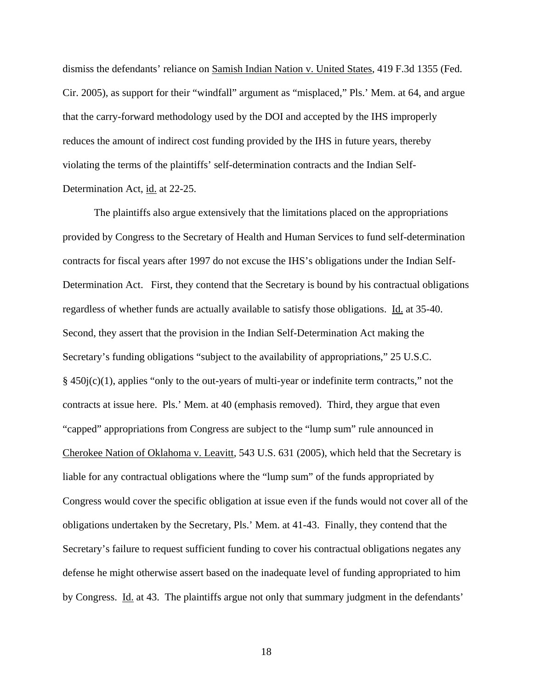dismiss the defendants' reliance on Samish Indian Nation v. United States, 419 F.3d 1355 (Fed. Cir. 2005), as support for their "windfall" argument as "misplaced," Pls.' Mem. at 64, and argue that the carry-forward methodology used by the DOI and accepted by the IHS improperly reduces the amount of indirect cost funding provided by the IHS in future years, thereby violating the terms of the plaintiffs' self-determination contracts and the Indian Self-Determination Act, id. at 22-25.

The plaintiffs also argue extensively that the limitations placed on the appropriations provided by Congress to the Secretary of Health and Human Services to fund self-determination contracts for fiscal years after 1997 do not excuse the IHS's obligations under the Indian Self-Determination Act. First, they contend that the Secretary is bound by his contractual obligations regardless of whether funds are actually available to satisfy those obligations. Id. at 35-40. Second, they assert that the provision in the Indian Self-Determination Act making the Secretary's funding obligations "subject to the availability of appropriations," 25 U.S.C.  $§$  450j(c)(1), applies "only to the out-years of multi-year or indefinite term contracts," not the contracts at issue here. Pls.' Mem. at 40 (emphasis removed). Third, they argue that even "capped" appropriations from Congress are subject to the "lump sum" rule announced in Cherokee Nation of Oklahoma v. Leavitt, 543 U.S. 631 (2005), which held that the Secretary is liable for any contractual obligations where the "lump sum" of the funds appropriated by Congress would cover the specific obligation at issue even if the funds would not cover all of the obligations undertaken by the Secretary, Pls.' Mem. at 41-43. Finally, they contend that the Secretary's failure to request sufficient funding to cover his contractual obligations negates any defense he might otherwise assert based on the inadequate level of funding appropriated to him by Congress. Id. at 43. The plaintiffs argue not only that summary judgment in the defendants'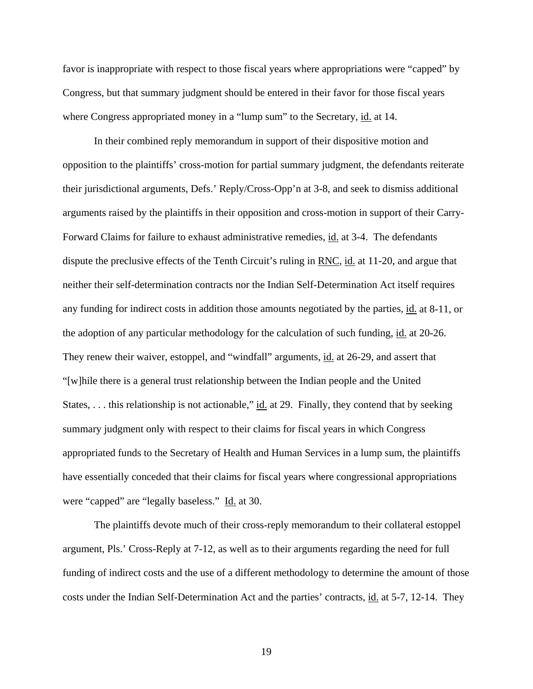favor is inappropriate with respect to those fiscal years where appropriations were "capped" by Congress, but that summary judgment should be entered in their favor for those fiscal years where Congress appropriated money in a "lump sum" to the Secretary, id. at 14.

In their combined reply memorandum in support of their dispositive motion and opposition to the plaintiffs' cross-motion for partial summary judgment, the defendants reiterate their jurisdictional arguments, Defs.' Reply/Cross-Opp'n at 3-8, and seek to dismiss additional arguments raised by the plaintiffs in their opposition and cross-motion in support of their Carry-Forward Claims for failure to exhaust administrative remedies, id. at 3-4. The defendants dispute the preclusive effects of the Tenth Circuit's ruling in RNC, id. at 11-20, and argue that neither their self-determination contracts nor the Indian Self-Determination Act itself requires any funding for indirect costs in addition those amounts negotiated by the parties, id. at 8-11, or the adoption of any particular methodology for the calculation of such funding, id. at 20-26. They renew their waiver, estoppel, and "windfall" arguments, id. at 26-29, and assert that "[w]hile there is a general trust relationship between the Indian people and the United States, ... this relationship is not actionable,"  $\underline{\text{id}}$  at 29. Finally, they contend that by seeking summary judgment only with respect to their claims for fiscal years in which Congress appropriated funds to the Secretary of Health and Human Services in a lump sum, the plaintiffs have essentially conceded that their claims for fiscal years where congressional appropriations were "capped" are "legally baseless." Id. at 30.

The plaintiffs devote much of their cross-reply memorandum to their collateral estoppel argument, Pls.' Cross-Reply at 7-12, as well as to their arguments regarding the need for full funding of indirect costs and the use of a different methodology to determine the amount of those costs under the Indian Self-Determination Act and the parties' contracts, id. at 5-7, 12-14. They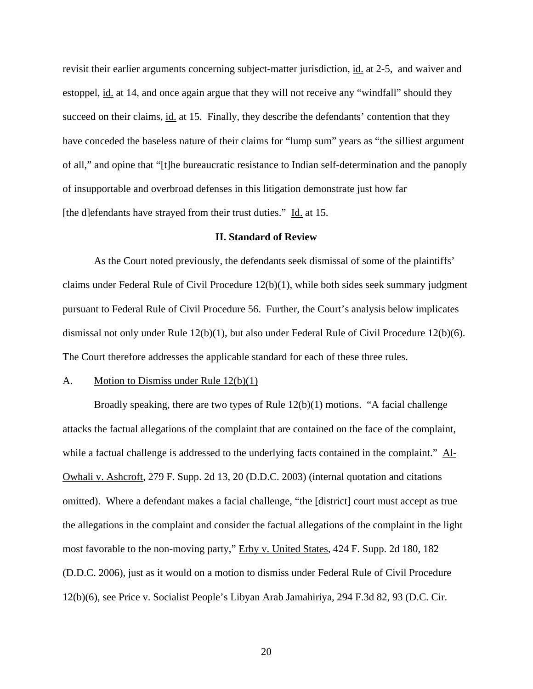revisit their earlier arguments concerning subject-matter jurisdiction, id. at 2-5, and waiver and estoppel, id. at 14, and once again argue that they will not receive any "windfall" should they succeed on their claims, id. at 15. Finally, they describe the defendants' contention that they have conceded the baseless nature of their claims for "lump sum" years as "the silliest argument of all," and opine that "[t]he bureaucratic resistance to Indian self-determination and the panoply of insupportable and overbroad defenses in this litigation demonstrate just how far [the d]efendants have strayed from their trust duties." Id. at 15.

### **II. Standard of Review**

As the Court noted previously, the defendants seek dismissal of some of the plaintiffs' claims under Federal Rule of Civil Procedure 12(b)(1), while both sides seek summary judgment pursuant to Federal Rule of Civil Procedure 56. Further, the Court's analysis below implicates dismissal not only under Rule 12(b)(1), but also under Federal Rule of Civil Procedure 12(b)(6). The Court therefore addresses the applicable standard for each of these three rules.

#### A. Motion to Dismiss under Rule 12(b)(1)

 Broadly speaking, there are two types of Rule 12(b)(1) motions. "A facial challenge attacks the factual allegations of the complaint that are contained on the face of the complaint, while a factual challenge is addressed to the underlying facts contained in the complaint." Al-Owhali v. Ashcroft, 279 F. Supp. 2d 13, 20 (D.D.C. 2003) (internal quotation and citations omitted). Where a defendant makes a facial challenge, "the [district] court must accept as true the allegations in the complaint and consider the factual allegations of the complaint in the light most favorable to the non-moving party," Erby v. United States, 424 F. Supp. 2d 180, 182 (D.D.C. 2006), just as it would on a motion to dismiss under Federal Rule of Civil Procedure 12(b)(6), see Price v. Socialist People's Libyan Arab Jamahiriya, 294 F.3d 82, 93 (D.C. Cir.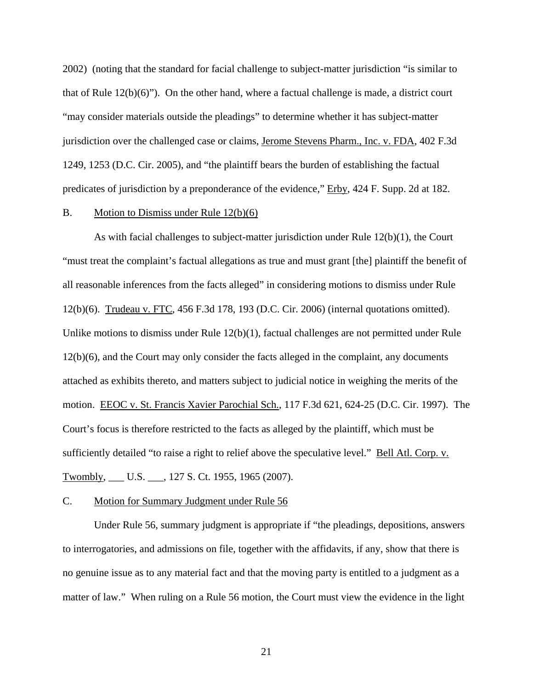2002) (noting that the standard for facial challenge to subject-matter jurisdiction "is similar to that of Rule  $12(b)(6)$ "). On the other hand, where a factual challenge is made, a district court "may consider materials outside the pleadings" to determine whether it has subject-matter jurisdiction over the challenged case or claims, Jerome Stevens Pharm., Inc. v. FDA, 402 F.3d 1249, 1253 (D.C. Cir. 2005), and "the plaintiff bears the burden of establishing the factual predicates of jurisdiction by a preponderance of the evidence," Erby, 424 F. Supp. 2d at 182.

## B. Motion to Dismiss under Rule 12(b)(6)

 As with facial challenges to subject-matter jurisdiction under Rule 12(b)(1), the Court "must treat the complaint's factual allegations as true and must grant [the] plaintiff the benefit of all reasonable inferences from the facts alleged" in considering motions to dismiss under Rule 12(b)(6). Trudeau v. FTC, 456 F.3d 178, 193 (D.C. Cir. 2006) (internal quotations omitted). Unlike motions to dismiss under Rule 12(b)(1), factual challenges are not permitted under Rule 12(b)(6), and the Court may only consider the facts alleged in the complaint, any documents attached as exhibits thereto, and matters subject to judicial notice in weighing the merits of the motion. EEOC v. St. Francis Xavier Parochial Sch., 117 F.3d 621, 624-25 (D.C. Cir. 1997). The Court's focus is therefore restricted to the facts as alleged by the plaintiff, which must be sufficiently detailed "to raise a right to relief above the speculative level." Bell Atl. Corp. v. Twombly, \_\_\_ U.S. \_\_\_, 127 S. Ct. 1955, 1965 (2007).

## C. Motion for Summary Judgment under Rule 56

 Under Rule 56, summary judgment is appropriate if "the pleadings, depositions, answers to interrogatories, and admissions on file, together with the affidavits, if any, show that there is no genuine issue as to any material fact and that the moving party is entitled to a judgment as a matter of law." When ruling on a Rule 56 motion, the Court must view the evidence in the light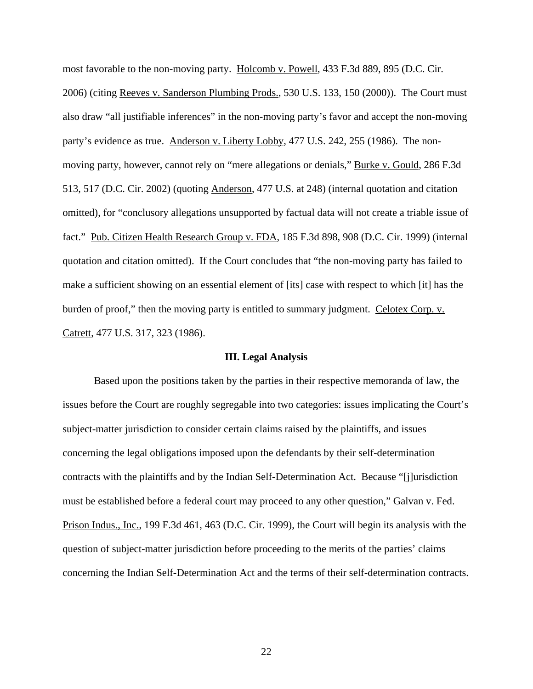most favorable to the non-moving party. Holcomb v. Powell, 433 F.3d 889, 895 (D.C. Cir. 2006) (citing Reeves v. Sanderson Plumbing Prods., 530 U.S. 133, 150 (2000)). The Court must also draw "all justifiable inferences" in the non-moving party's favor and accept the non-moving party's evidence as true. Anderson v. Liberty Lobby, 477 U.S. 242, 255 (1986). The nonmoving party, however, cannot rely on "mere allegations or denials," Burke v. Gould, 286 F.3d 513, 517 (D.C. Cir. 2002) (quoting Anderson, 477 U.S. at 248) (internal quotation and citation omitted), for "conclusory allegations unsupported by factual data will not create a triable issue of fact." Pub. Citizen Health Research Group v. FDA, 185 F.3d 898, 908 (D.C. Cir. 1999) (internal quotation and citation omitted). If the Court concludes that "the non-moving party has failed to make a sufficient showing on an essential element of [its] case with respect to which [it] has the burden of proof," then the moving party is entitled to summary judgment. Celotex Corp. v. Catrett, 477 U.S. 317, 323 (1986).

## **III. Legal Analysis**

 Based upon the positions taken by the parties in their respective memoranda of law, the issues before the Court are roughly segregable into two categories: issues implicating the Court's subject-matter jurisdiction to consider certain claims raised by the plaintiffs, and issues concerning the legal obligations imposed upon the defendants by their self-determination contracts with the plaintiffs and by the Indian Self-Determination Act. Because "[j]urisdiction must be established before a federal court may proceed to any other question," Galvan v. Fed. Prison Indus., Inc., 199 F.3d 461, 463 (D.C. Cir. 1999), the Court will begin its analysis with the question of subject-matter jurisdiction before proceeding to the merits of the parties' claims concerning the Indian Self-Determination Act and the terms of their self-determination contracts.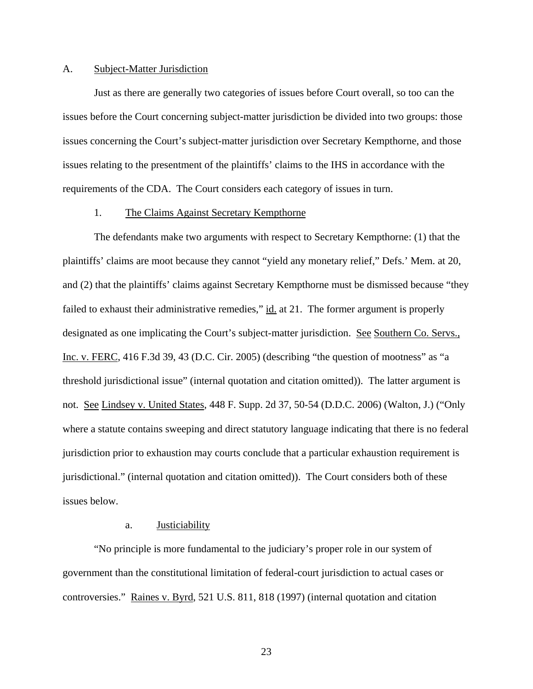### A. Subject-Matter Jurisdiction

 Just as there are generally two categories of issues before Court overall, so too can the issues before the Court concerning subject-matter jurisdiction be divided into two groups: those issues concerning the Court's subject-matter jurisdiction over Secretary Kempthorne, and those issues relating to the presentment of the plaintiffs' claims to the IHS in accordance with the requirements of the CDA. The Court considers each category of issues in turn.

#### 1. The Claims Against Secretary Kempthorne

 The defendants make two arguments with respect to Secretary Kempthorne: (1) that the plaintiffs' claims are moot because they cannot "yield any monetary relief," Defs.' Mem. at 20, and (2) that the plaintiffs' claims against Secretary Kempthorne must be dismissed because "they failed to exhaust their administrative remedies," id. at 21. The former argument is properly designated as one implicating the Court's subject-matter jurisdiction. See Southern Co. Servs., Inc. v. FERC, 416 F.3d 39, 43 (D.C. Cir. 2005) (describing "the question of mootness" as "a threshold jurisdictional issue" (internal quotation and citation omitted)). The latter argument is not. See Lindsey v. United States, 448 F. Supp. 2d 37, 50-54 (D.D.C. 2006) (Walton, J.) ("Only where a statute contains sweeping and direct statutory language indicating that there is no federal jurisdiction prior to exhaustion may courts conclude that a particular exhaustion requirement is jurisdictional." (internal quotation and citation omitted)). The Court considers both of these issues below.

## a. Justiciability

"No principle is more fundamental to the judiciary's proper role in our system of government than the constitutional limitation of federal-court jurisdiction to actual cases or controversies." Raines v. Byrd, 521 U.S. 811, 818 (1997) (internal quotation and citation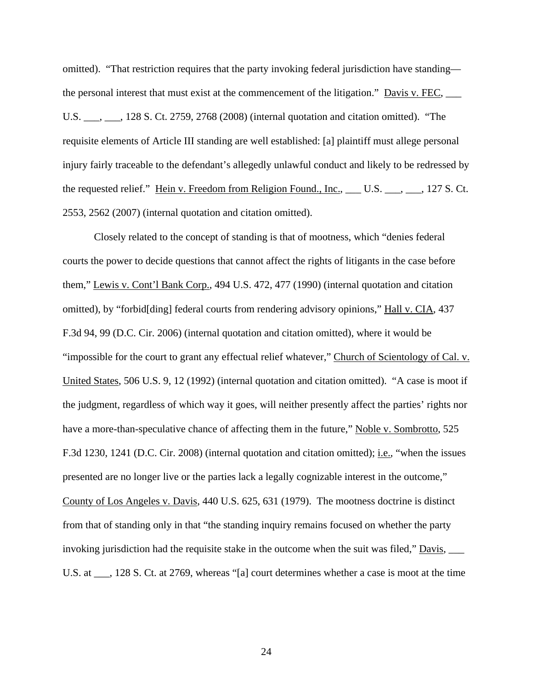omitted). "That restriction requires that the party invoking federal jurisdiction have standing the personal interest that must exist at the commencement of the litigation." Davis v. FEC, \_\_\_ U.S. \_\_\_, \_\_\_, 128 S. Ct. 2759, 2768 (2008) (internal quotation and citation omitted). "The requisite elements of Article III standing are well established: [a] plaintiff must allege personal injury fairly traceable to the defendant's allegedly unlawful conduct and likely to be redressed by the requested relief." Hein v. Freedom from Religion Found., Inc., \_\_\_ U.S. \_\_\_, \_\_\_, 127 S. Ct. 2553, 2562 (2007) (internal quotation and citation omitted).

Closely related to the concept of standing is that of mootness, which "denies federal courts the power to decide questions that cannot affect the rights of litigants in the case before them," Lewis v. Cont'l Bank Corp., 494 U.S. 472, 477 (1990) (internal quotation and citation omitted), by "forbid[ding] federal courts from rendering advisory opinions," Hall v. CIA, 437 F.3d 94, 99 (D.C. Cir. 2006) (internal quotation and citation omitted), where it would be "impossible for the court to grant any effectual relief whatever," Church of Scientology of Cal. v. United States, 506 U.S. 9, 12 (1992) (internal quotation and citation omitted). "A case is moot if the judgment, regardless of which way it goes, will neither presently affect the parties' rights nor have a more-than-speculative chance of affecting them in the future," Noble v. Sombrotto, 525 F.3d 1230, 1241 (D.C. Cir. 2008) (internal quotation and citation omitted); i.e., "when the issues presented are no longer live or the parties lack a legally cognizable interest in the outcome," County of Los Angeles v. Davis, 440 U.S. 625, 631 (1979). The mootness doctrine is distinct from that of standing only in that "the standing inquiry remains focused on whether the party invoking jurisdiction had the requisite stake in the outcome when the suit was filed," Davis, \_\_\_ U.S. at \_\_\_, 128 S. Ct. at 2769, whereas "[a] court determines whether a case is moot at the time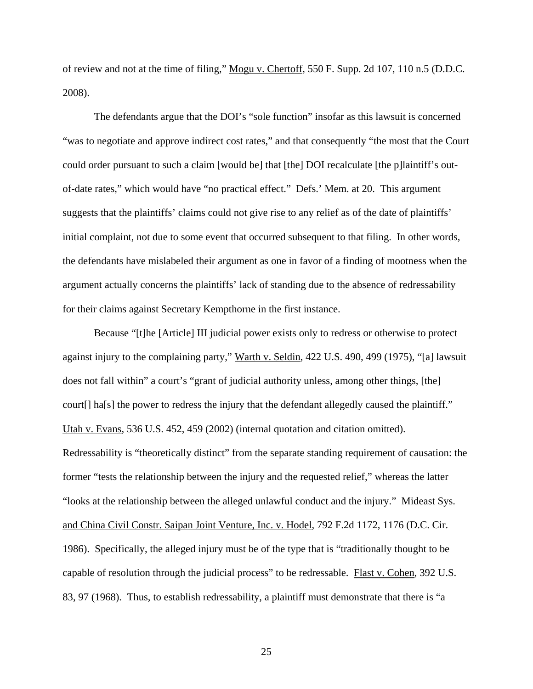of review and not at the time of filing," Mogu v. Chertoff, 550 F. Supp. 2d 107, 110 n.5 (D.D.C. 2008).

The defendants argue that the DOI's "sole function" insofar as this lawsuit is concerned "was to negotiate and approve indirect cost rates," and that consequently "the most that the Court could order pursuant to such a claim [would be] that [the] DOI recalculate [the p]laintiff's outof-date rates," which would have "no practical effect." Defs.' Mem. at 20. This argument suggests that the plaintiffs' claims could not give rise to any relief as of the date of plaintiffs' initial complaint, not due to some event that occurred subsequent to that filing. In other words, the defendants have mislabeled their argument as one in favor of a finding of mootness when the argument actually concerns the plaintiffs' lack of standing due to the absence of redressability for their claims against Secretary Kempthorne in the first instance.

Because "[t]he [Article] III judicial power exists only to redress or otherwise to protect against injury to the complaining party," Warth v. Seldin, 422 U.S. 490, 499 (1975), "[a] lawsuit does not fall within" a court's "grant of judicial authority unless, among other things, [the] court<sup>[]</sup> ha<sup>[s]</sup> the power to redress the injury that the defendant allegedly caused the plaintiff." Utah v. Evans, 536 U.S. 452, 459 (2002) (internal quotation and citation omitted). Redressability is "theoretically distinct" from the separate standing requirement of causation: the former "tests the relationship between the injury and the requested relief," whereas the latter "looks at the relationship between the alleged unlawful conduct and the injury." Mideast Sys. and China Civil Constr. Saipan Joint Venture, Inc. v. Hodel, 792 F.2d 1172, 1176 (D.C. Cir. 1986). Specifically, the alleged injury must be of the type that is "traditionally thought to be capable of resolution through the judicial process" to be redressable. Flast v. Cohen, 392 U.S. 83, 97 (1968). Thus, to establish redressability, a plaintiff must demonstrate that there is "a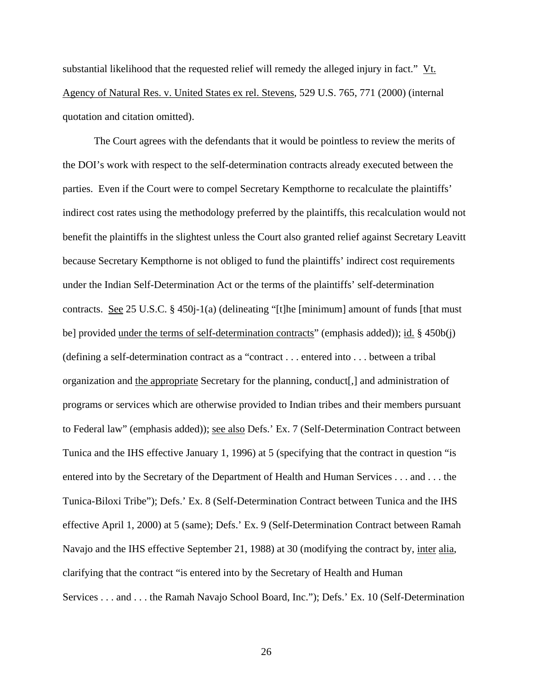substantial likelihood that the requested relief will remedy the alleged injury in fact." Vt. Agency of Natural Res. v. United States ex rel. Stevens, 529 U.S. 765, 771 (2000) (internal quotation and citation omitted).

The Court agrees with the defendants that it would be pointless to review the merits of the DOI's work with respect to the self-determination contracts already executed between the parties. Even if the Court were to compel Secretary Kempthorne to recalculate the plaintiffs' indirect cost rates using the methodology preferred by the plaintiffs, this recalculation would not benefit the plaintiffs in the slightest unless the Court also granted relief against Secretary Leavitt because Secretary Kempthorne is not obliged to fund the plaintiffs' indirect cost requirements under the Indian Self-Determination Act or the terms of the plaintiffs' self-determination contracts. See 25 U.S.C. § 450j-1(a) (delineating "[t]he [minimum] amount of funds [that must be] provided <u>under the terms of self-determination contracts</u>" (emphasis added)); <u>id.</u> § 450b(j) (defining a self-determination contract as a "contract . . . entered into . . . between a tribal organization and the appropriate Secretary for the planning, conduct[,] and administration of programs or services which are otherwise provided to Indian tribes and their members pursuant to Federal law" (emphasis added)); see also Defs.' Ex. 7 (Self-Determination Contract between Tunica and the IHS effective January 1, 1996) at 5 (specifying that the contract in question "is entered into by the Secretary of the Department of Health and Human Services . . . and . . . the Tunica-Biloxi Tribe"); Defs.' Ex. 8 (Self-Determination Contract between Tunica and the IHS effective April 1, 2000) at 5 (same); Defs.' Ex. 9 (Self-Determination Contract between Ramah Navajo and the IHS effective September 21, 1988) at 30 (modifying the contract by, inter alia, clarifying that the contract "is entered into by the Secretary of Health and Human Services . . . and . . . the Ramah Navajo School Board, Inc."); Defs.' Ex. 10 (Self-Determination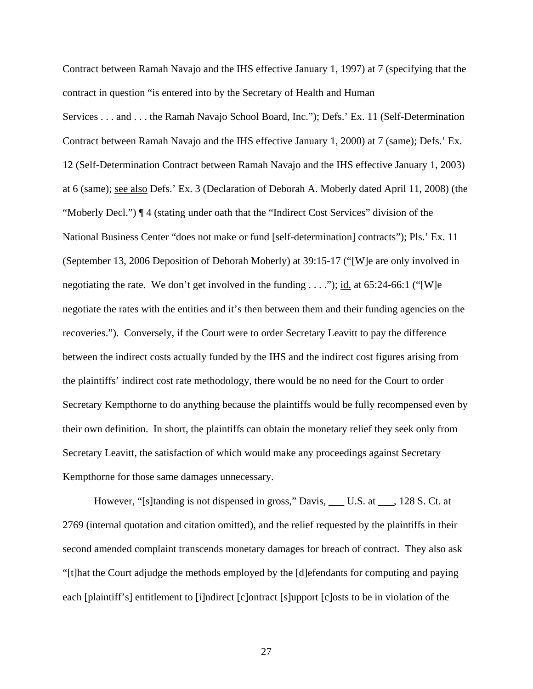Contract between Ramah Navajo and the IHS effective January 1, 1997) at 7 (specifying that the contract in question "is entered into by the Secretary of Health and Human

Services . . . and . . . the Ramah Navajo School Board, Inc."); Defs.' Ex. 11 (Self-Determination Contract between Ramah Navajo and the IHS effective January 1, 2000) at 7 (same); Defs.' Ex. 12 (Self-Determination Contract between Ramah Navajo and the IHS effective January 1, 2003) at 6 (same); see also Defs.' Ex. 3 (Declaration of Deborah A. Moberly dated April 11, 2008) (the "Moberly Decl.") ¶ 4 (stating under oath that the "Indirect Cost Services" division of the National Business Center "does not make or fund [self-determination] contracts"); Pls.' Ex. 11 (September 13, 2006 Deposition of Deborah Moberly) at 39:15-17 ("[W]e are only involved in negotiating the rate. We don't get involved in the funding  $\dots$ "); <u>id.</u> at 65:24-66:1 ("[W]e negotiate the rates with the entities and it's then between them and their funding agencies on the recoveries."). Conversely, if the Court were to order Secretary Leavitt to pay the difference between the indirect costs actually funded by the IHS and the indirect cost figures arising from the plaintiffs' indirect cost rate methodology, there would be no need for the Court to order Secretary Kempthorne to do anything because the plaintiffs would be fully recompensed even by their own definition. In short, the plaintiffs can obtain the monetary relief they seek only from Secretary Leavitt, the satisfaction of which would make any proceedings against Secretary Kempthorne for those same damages unnecessary.

However, "[s]tanding is not dispensed in gross,"  $\overline{Davis}$ , \_\_\_ U.S. at \_\_\_, 128 S. Ct. at 2769 (internal quotation and citation omitted), and the relief requested by the plaintiffs in their second amended complaint transcends monetary damages for breach of contract. They also ask "[t]hat the Court adjudge the methods employed by the [d]efendants for computing and paying each [plaintiff's] entitlement to [i]ndirect [c]ontract [s]upport [c]osts to be in violation of the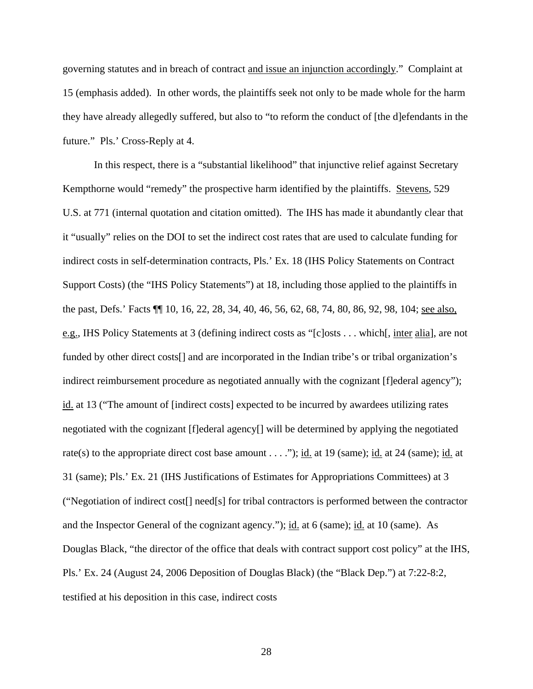governing statutes and in breach of contract and issue an injunction accordingly." Complaint at 15 (emphasis added). In other words, the plaintiffs seek not only to be made whole for the harm they have already allegedly suffered, but also to "to reform the conduct of [the d]efendants in the future." Pls.' Cross-Reply at 4.

In this respect, there is a "substantial likelihood" that injunctive relief against Secretary Kempthorne would "remedy" the prospective harm identified by the plaintiffs. Stevens, 529 U.S. at 771 (internal quotation and citation omitted). The IHS has made it abundantly clear that it "usually" relies on the DOI to set the indirect cost rates that are used to calculate funding for indirect costs in self-determination contracts, Pls.' Ex. 18 (IHS Policy Statements on Contract Support Costs) (the "IHS Policy Statements") at 18, including those applied to the plaintiffs in the past, Defs.' Facts ¶¶ 10, 16, 22, 28, 34, 40, 46, 56, 62, 68, 74, 80, 86, 92, 98, 104; see also, e.g., IHS Policy Statements at 3 (defining indirect costs as "[c]osts . . . which[, inter alia], are not funded by other direct costs<sup>[]</sup> and are incorporated in the Indian tribe's or tribal organization's indirect reimbursement procedure as negotiated annually with the cognizant [f]ederal agency"); id. at 13 ("The amount of [indirect costs] expected to be incurred by awardees utilizing rates negotiated with the cognizant [f]ederal agency[] will be determined by applying the negotiated rate(s) to the appropriate direct cost base amount . . . ."); id. at 19 (same); id. at 24 (same); id. at 31 (same); Pls.' Ex. 21 (IHS Justifications of Estimates for Appropriations Committees) at 3 ("Negotiation of indirect cost[] need[s] for tribal contractors is performed between the contractor and the Inspector General of the cognizant agency."); id. at 6 (same); id. at 10 (same). As Douglas Black, "the director of the office that deals with contract support cost policy" at the IHS, Pls.' Ex. 24 (August 24, 2006 Deposition of Douglas Black) (the "Black Dep.") at 7:22-8:2, testified at his deposition in this case, indirect costs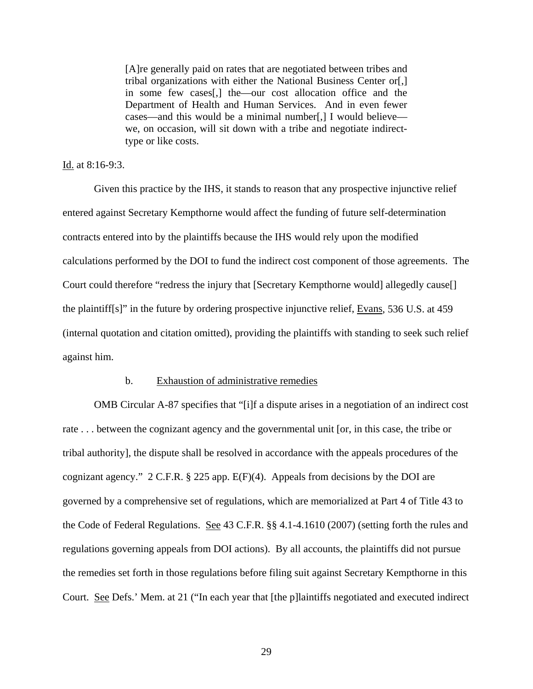[A]re generally paid on rates that are negotiated between tribes and tribal organizations with either the National Business Center or[,] in some few cases[,] the—our cost allocation office and the Department of Health and Human Services. And in even fewer cases—and this would be a minimal number[,] I would believe we, on occasion, will sit down with a tribe and negotiate indirecttype or like costs.

# Id. at 8:16-9:3.

Given this practice by the IHS, it stands to reason that any prospective injunctive relief entered against Secretary Kempthorne would affect the funding of future self-determination contracts entered into by the plaintiffs because the IHS would rely upon the modified calculations performed by the DOI to fund the indirect cost component of those agreements. The Court could therefore "redress the injury that [Secretary Kempthorne would] allegedly cause[] the plaintiff[s]" in the future by ordering prospective injunctive relief, Evans, 536 U.S. at 459 (internal quotation and citation omitted), providing the plaintiffs with standing to seek such relief against him.

#### b. Exhaustion of administrative remedies

OMB Circular A-87 specifies that "[i]f a dispute arises in a negotiation of an indirect cost rate . . . between the cognizant agency and the governmental unit [or, in this case, the tribe or tribal authority], the dispute shall be resolved in accordance with the appeals procedures of the cognizant agency." 2 C.F.R. § 225 app. E(F)(4). Appeals from decisions by the DOI are governed by a comprehensive set of regulations, which are memorialized at Part 4 of Title 43 to the Code of Federal Regulations. See 43 C.F.R. §§ 4.1-4.1610 (2007) (setting forth the rules and regulations governing appeals from DOI actions). By all accounts, the plaintiffs did not pursue the remedies set forth in those regulations before filing suit against Secretary Kempthorne in this Court. See Defs.' Mem. at 21 ("In each year that [the p]laintiffs negotiated and executed indirect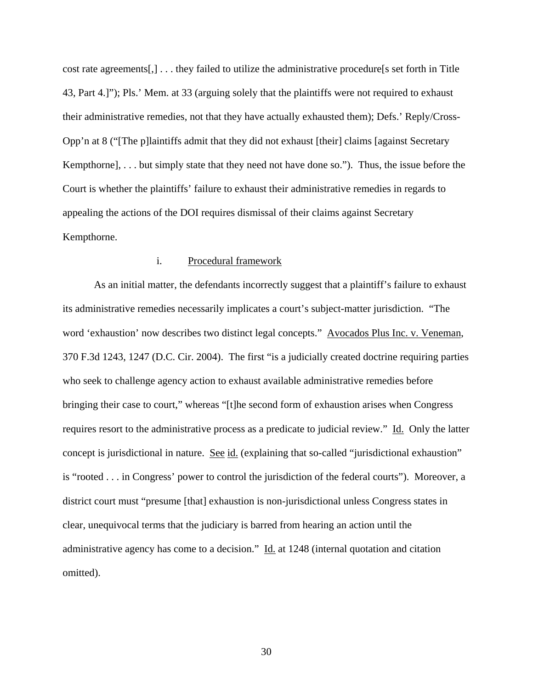cost rate agreements[,] . . . they failed to utilize the administrative procedure[s set forth in Title 43, Part 4.]"); Pls.' Mem. at 33 (arguing solely that the plaintiffs were not required to exhaust their administrative remedies, not that they have actually exhausted them); Defs.' Reply/Cross-Opp'n at 8 ("[The p]laintiffs admit that they did not exhaust [their] claims [against Secretary Kempthorne], . . . but simply state that they need not have done so."). Thus, the issue before the Court is whether the plaintiffs' failure to exhaust their administrative remedies in regards to appealing the actions of the DOI requires dismissal of their claims against Secretary Kempthorne.

## i. Procedural framework

As an initial matter, the defendants incorrectly suggest that a plaintiff's failure to exhaust its administrative remedies necessarily implicates a court's subject-matter jurisdiction. "The word 'exhaustion' now describes two distinct legal concepts." Avocados Plus Inc. v. Veneman, 370 F.3d 1243, 1247 (D.C. Cir. 2004). The first "is a judicially created doctrine requiring parties who seek to challenge agency action to exhaust available administrative remedies before bringing their case to court," whereas "[t]he second form of exhaustion arises when Congress requires resort to the administrative process as a predicate to judicial review." Id. Only the latter concept is jurisdictional in nature. See id. (explaining that so-called "jurisdictional exhaustion" is "rooted . . . in Congress' power to control the jurisdiction of the federal courts"). Moreover, a district court must "presume [that] exhaustion is non-jurisdictional unless Congress states in clear, unequivocal terms that the judiciary is barred from hearing an action until the administrative agency has come to a decision." Id. at 1248 (internal quotation and citation omitted).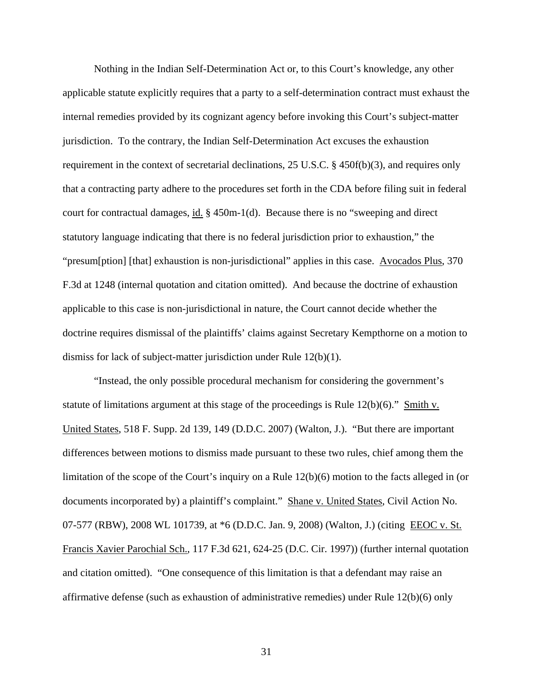Nothing in the Indian Self-Determination Act or, to this Court's knowledge, any other applicable statute explicitly requires that a party to a self-determination contract must exhaust the internal remedies provided by its cognizant agency before invoking this Court's subject-matter jurisdiction. To the contrary, the Indian Self-Determination Act excuses the exhaustion requirement in the context of secretarial declinations, 25 U.S.C. § 450f(b)(3), and requires only that a contracting party adhere to the procedures set forth in the CDA before filing suit in federal court for contractual damages, id. § 450m-1(d). Because there is no "sweeping and direct statutory language indicating that there is no federal jurisdiction prior to exhaustion," the "presum[ption] [that] exhaustion is non-jurisdictional" applies in this case. Avocados Plus, 370 F.3d at 1248 (internal quotation and citation omitted). And because the doctrine of exhaustion applicable to this case is non-jurisdictional in nature, the Court cannot decide whether the doctrine requires dismissal of the plaintiffs' claims against Secretary Kempthorne on a motion to dismiss for lack of subject-matter jurisdiction under Rule 12(b)(1).

"Instead, the only possible procedural mechanism for considering the government's statute of limitations argument at this stage of the proceedings is Rule  $12(b)(6)$ ." Smith v. United States, 518 F. Supp. 2d 139, 149 (D.D.C. 2007) (Walton, J.). "But there are important differences between motions to dismiss made pursuant to these two rules, chief among them the limitation of the scope of the Court's inquiry on a Rule 12(b)(6) motion to the facts alleged in (or documents incorporated by) a plaintiff's complaint." Shane v. United States, Civil Action No. 07-577 (RBW), 2008 WL 101739, at \*6 (D.D.C. Jan. 9, 2008) (Walton, J.) (citing EEOC v. St. Francis Xavier Parochial Sch., 117 F.3d 621, 624-25 (D.C. Cir. 1997)) (further internal quotation and citation omitted). "One consequence of this limitation is that a defendant may raise an affirmative defense (such as exhaustion of administrative remedies) under Rule 12(b)(6) only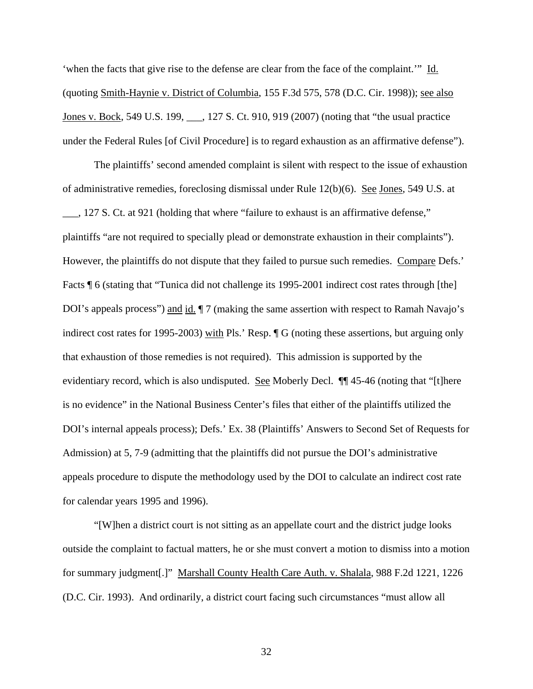'when the facts that give rise to the defense are clear from the face of the complaint.'" Id. (quoting Smith-Haynie v. District of Columbia, 155 F.3d 575, 578 (D.C. Cir. 1998)); see also Jones v. Bock, 549 U.S. 199, \_\_\_, 127 S. Ct. 910, 919 (2007) (noting that "the usual practice under the Federal Rules [of Civil Procedure] is to regard exhaustion as an affirmative defense").

The plaintiffs' second amended complaint is silent with respect to the issue of exhaustion of administrative remedies, foreclosing dismissal under Rule 12(b)(6). See Jones, 549 U.S. at \_\_\_, 127 S. Ct. at 921 (holding that where "failure to exhaust is an affirmative defense," plaintiffs "are not required to specially plead or demonstrate exhaustion in their complaints"). However, the plaintiffs do not dispute that they failed to pursue such remedies. Compare Defs.' Facts  $\parallel$  6 (stating that "Tunica did not challenge its 1995-2001 indirect cost rates through [the] DOI's appeals process") and id.  $\P$  7 (making the same assertion with respect to Ramah Navajo's indirect cost rates for 1995-2003) with Pls.' Resp.  $\P G$  (noting these assertions, but arguing only that exhaustion of those remedies is not required). This admission is supported by the evidentiary record, which is also undisputed. See Moberly Decl.  $\P$  45-46 (noting that "[t]here is no evidence" in the National Business Center's files that either of the plaintiffs utilized the DOI's internal appeals process); Defs.' Ex. 38 (Plaintiffs' Answers to Second Set of Requests for Admission) at 5, 7-9 (admitting that the plaintiffs did not pursue the DOI's administrative appeals procedure to dispute the methodology used by the DOI to calculate an indirect cost rate for calendar years 1995 and 1996).

"[W]hen a district court is not sitting as an appellate court and the district judge looks outside the complaint to factual matters, he or she must convert a motion to dismiss into a motion for summary judgment[.]" Marshall County Health Care Auth. v. Shalala, 988 F.2d 1221, 1226 (D.C. Cir. 1993). And ordinarily, a district court facing such circumstances "must allow all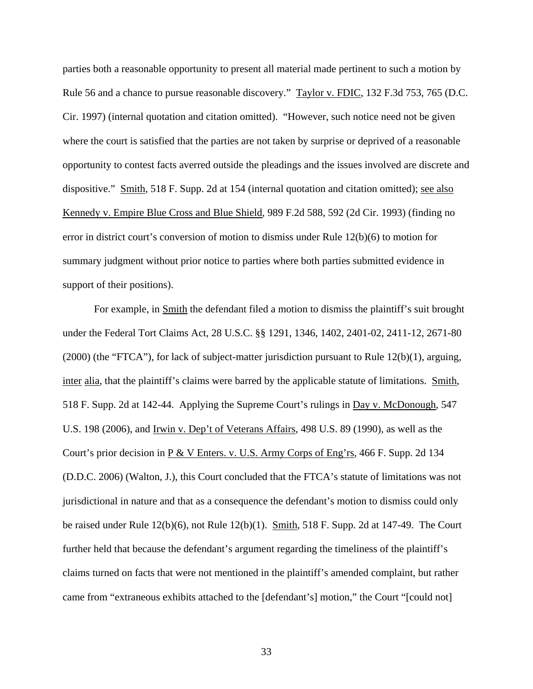parties both a reasonable opportunity to present all material made pertinent to such a motion by Rule 56 and a chance to pursue reasonable discovery." Taylor v. FDIC, 132 F.3d 753, 765 (D.C. Cir. 1997) (internal quotation and citation omitted). "However, such notice need not be given where the court is satisfied that the parties are not taken by surprise or deprived of a reasonable opportunity to contest facts averred outside the pleadings and the issues involved are discrete and dispositive." Smith, 518 F. Supp. 2d at 154 (internal quotation and citation omitted); see also Kennedy v. Empire Blue Cross and Blue Shield, 989 F.2d 588, 592 (2d Cir. 1993) (finding no error in district court's conversion of motion to dismiss under Rule 12(b)(6) to motion for summary judgment without prior notice to parties where both parties submitted evidence in support of their positions).

For example, in Smith the defendant filed a motion to dismiss the plaintiff's suit brought under the Federal Tort Claims Act, 28 U.S.C. §§ 1291, 1346, 1402, 2401-02, 2411-12, 2671-80  $(2000)$  (the "FTCA"), for lack of subject-matter jurisdiction pursuant to Rule 12(b)(1), arguing, inter alia, that the plaintiff's claims were barred by the applicable statute of limitations. Smith, 518 F. Supp. 2d at 142-44. Applying the Supreme Court's rulings in Day v. McDonough, 547 U.S. 198 (2006), and Irwin v. Dep't of Veterans Affairs, 498 U.S. 89 (1990), as well as the Court's prior decision in P & V Enters. v. U.S. Army Corps of Eng'rs, 466 F. Supp. 2d 134 (D.D.C. 2006) (Walton, J.), this Court concluded that the FTCA's statute of limitations was not jurisdictional in nature and that as a consequence the defendant's motion to dismiss could only be raised under Rule 12(b)(6), not Rule 12(b)(1). Smith, 518 F. Supp. 2d at 147-49. The Court further held that because the defendant's argument regarding the timeliness of the plaintiff's claims turned on facts that were not mentioned in the plaintiff's amended complaint, but rather came from "extraneous exhibits attached to the [defendant's] motion," the Court "[could not]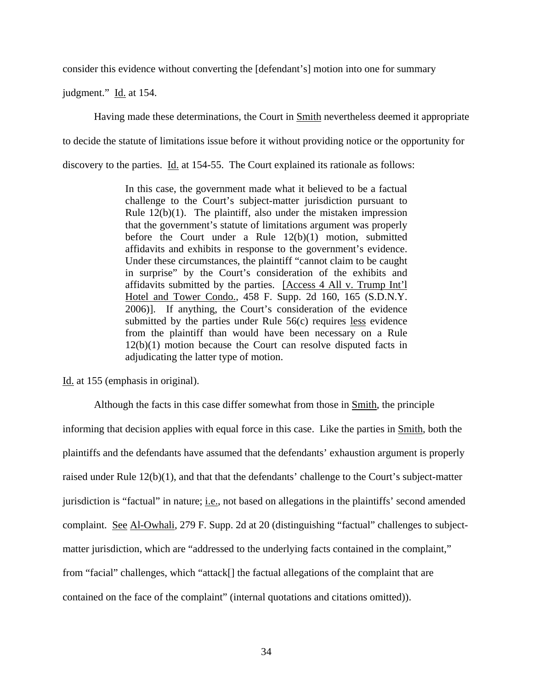consider this evidence without converting the [defendant's] motion into one for summary

judgment." Id. at 154.

Having made these determinations, the Court in Smith nevertheless deemed it appropriate

to decide the statute of limitations issue before it without providing notice or the opportunity for

discovery to the parties.  $\underline{Id}$  at 154-55. The Court explained its rationale as follows:

In this case, the government made what it believed to be a factual challenge to the Court's subject-matter jurisdiction pursuant to Rule 12(b)(1). The plaintiff, also under the mistaken impression that the government's statute of limitations argument was properly before the Court under a Rule 12(b)(1) motion, submitted affidavits and exhibits in response to the government's evidence. Under these circumstances, the plaintiff "cannot claim to be caught in surprise" by the Court's consideration of the exhibits and affidavits submitted by the parties. [Access 4 All v. Trump Int'l Hotel and Tower Condo., 458 F. Supp. 2d 160, 165 (S.D.N.Y. 2006)]. If anything, the Court's consideration of the evidence submitted by the parties under Rule 56(c) requires less evidence from the plaintiff than would have been necessary on a Rule 12(b)(1) motion because the Court can resolve disputed facts in adjudicating the latter type of motion.

Id. at 155 (emphasis in original).

Although the facts in this case differ somewhat from those in Smith, the principle informing that decision applies with equal force in this case. Like the parties in Smith, both the plaintiffs and the defendants have assumed that the defendants' exhaustion argument is properly raised under Rule 12(b)(1), and that that the defendants' challenge to the Court's subject-matter jurisdiction is "factual" in nature; <u>i.e.</u>, not based on allegations in the plaintiffs' second amended complaint. See Al-Owhali, 279 F. Supp. 2d at 20 (distinguishing "factual" challenges to subjectmatter jurisdiction, which are "addressed to the underlying facts contained in the complaint," from "facial" challenges, which "attack[] the factual allegations of the complaint that are contained on the face of the complaint" (internal quotations and citations omitted)).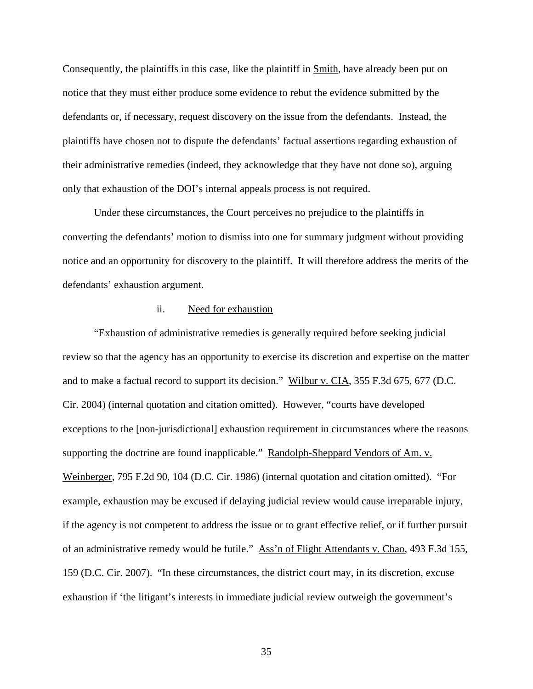Consequently, the plaintiffs in this case, like the plaintiff in Smith, have already been put on notice that they must either produce some evidence to rebut the evidence submitted by the defendants or, if necessary, request discovery on the issue from the defendants. Instead, the plaintiffs have chosen not to dispute the defendants' factual assertions regarding exhaustion of their administrative remedies (indeed, they acknowledge that they have not done so), arguing only that exhaustion of the DOI's internal appeals process is not required.

Under these circumstances, the Court perceives no prejudice to the plaintiffs in converting the defendants' motion to dismiss into one for summary judgment without providing notice and an opportunity for discovery to the plaintiff. It will therefore address the merits of the defendants' exhaustion argument.

## ii. Need for exhaustion

 "Exhaustion of administrative remedies is generally required before seeking judicial review so that the agency has an opportunity to exercise its discretion and expertise on the matter and to make a factual record to support its decision." Wilbur v. CIA, 355 F.3d 675, 677 (D.C. Cir. 2004) (internal quotation and citation omitted). However, "courts have developed exceptions to the [non-jurisdictional] exhaustion requirement in circumstances where the reasons supporting the doctrine are found inapplicable." Randolph-Sheppard Vendors of Am. v. Weinberger, 795 F.2d 90, 104 (D.C. Cir. 1986) (internal quotation and citation omitted). "For example, exhaustion may be excused if delaying judicial review would cause irreparable injury, if the agency is not competent to address the issue or to grant effective relief, or if further pursuit of an administrative remedy would be futile." Ass'n of Flight Attendants v. Chao, 493 F.3d 155, 159 (D.C. Cir. 2007). "In these circumstances, the district court may, in its discretion, excuse exhaustion if 'the litigant's interests in immediate judicial review outweigh the government's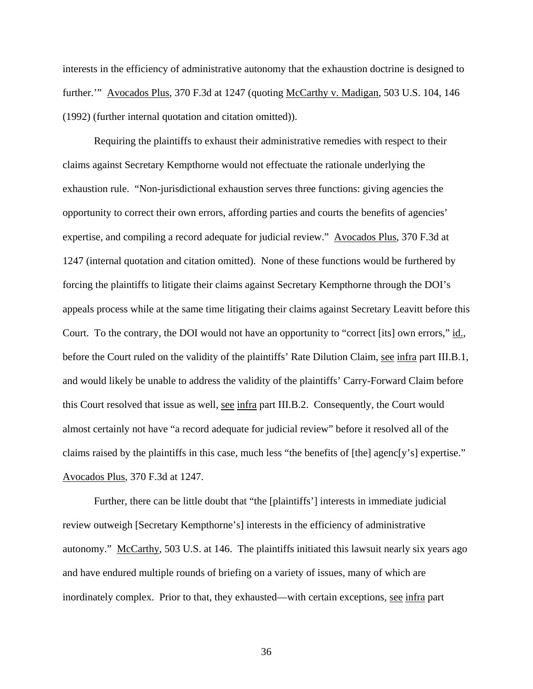interests in the efficiency of administrative autonomy that the exhaustion doctrine is designed to further.'" Avocados Plus, 370 F.3d at 1247 (quoting McCarthy v. Madigan, 503 U.S. 104, 146 (1992) (further internal quotation and citation omitted)).

 Requiring the plaintiffs to exhaust their administrative remedies with respect to their claims against Secretary Kempthorne would not effectuate the rationale underlying the exhaustion rule. "Non-jurisdictional exhaustion serves three functions: giving agencies the opportunity to correct their own errors, affording parties and courts the benefits of agencies' expertise, and compiling a record adequate for judicial review." Avocados Plus, 370 F.3d at 1247 (internal quotation and citation omitted). None of these functions would be furthered by forcing the plaintiffs to litigate their claims against Secretary Kempthorne through the DOI's appeals process while at the same time litigating their claims against Secretary Leavitt before this Court. To the contrary, the DOI would not have an opportunity to "correct [its] own errors," id., before the Court ruled on the validity of the plaintiffs' Rate Dilution Claim, see infra part III.B.1, and would likely be unable to address the validity of the plaintiffs' Carry-Forward Claim before this Court resolved that issue as well, see infra part III.B.2. Consequently, the Court would almost certainly not have "a record adequate for judicial review" before it resolved all of the claims raised by the plaintiffs in this case, much less "the benefits of [the] agenc[y's] expertise." Avocados Plus, 370 F.3d at 1247.

 Further, there can be little doubt that "the [plaintiffs'] interests in immediate judicial review outweigh [Secretary Kempthorne's] interests in the efficiency of administrative autonomy." McCarthy, 503 U.S. at 146. The plaintiffs initiated this lawsuit nearly six years ago and have endured multiple rounds of briefing on a variety of issues, many of which are inordinately complex. Prior to that, they exhausted—with certain exceptions, see infra part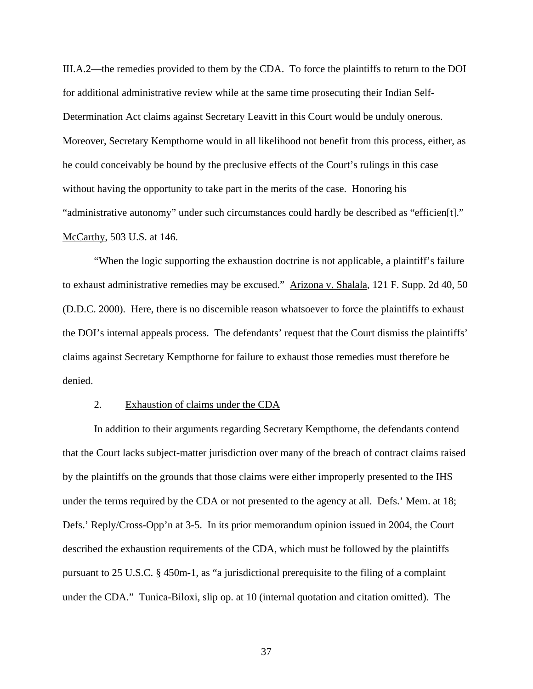III.A.2—the remedies provided to them by the CDA. To force the plaintiffs to return to the DOI for additional administrative review while at the same time prosecuting their Indian Self-Determination Act claims against Secretary Leavitt in this Court would be unduly onerous. Moreover, Secretary Kempthorne would in all likelihood not benefit from this process, either, as he could conceivably be bound by the preclusive effects of the Court's rulings in this case without having the opportunity to take part in the merits of the case. Honoring his "administrative autonomy" under such circumstances could hardly be described as "efficien[t]." McCarthy, 503 U.S. at 146.

 "When the logic supporting the exhaustion doctrine is not applicable, a plaintiff's failure to exhaust administrative remedies may be excused." Arizona v. Shalala, 121 F. Supp. 2d 40, 50 (D.D.C. 2000). Here, there is no discernible reason whatsoever to force the plaintiffs to exhaust the DOI's internal appeals process. The defendants' request that the Court dismiss the plaintiffs' claims against Secretary Kempthorne for failure to exhaust those remedies must therefore be denied.

### 2. Exhaustion of claims under the CDA

 In addition to their arguments regarding Secretary Kempthorne, the defendants contend that the Court lacks subject-matter jurisdiction over many of the breach of contract claims raised by the plaintiffs on the grounds that those claims were either improperly presented to the IHS under the terms required by the CDA or not presented to the agency at all. Defs.' Mem. at 18; Defs.' Reply/Cross-Opp'n at 3-5. In its prior memorandum opinion issued in 2004, the Court described the exhaustion requirements of the CDA, which must be followed by the plaintiffs pursuant to 25 U.S.C. § 450m-1, as "a jurisdictional prerequisite to the filing of a complaint under the CDA." Tunica-Biloxi, slip op. at 10 (internal quotation and citation omitted). The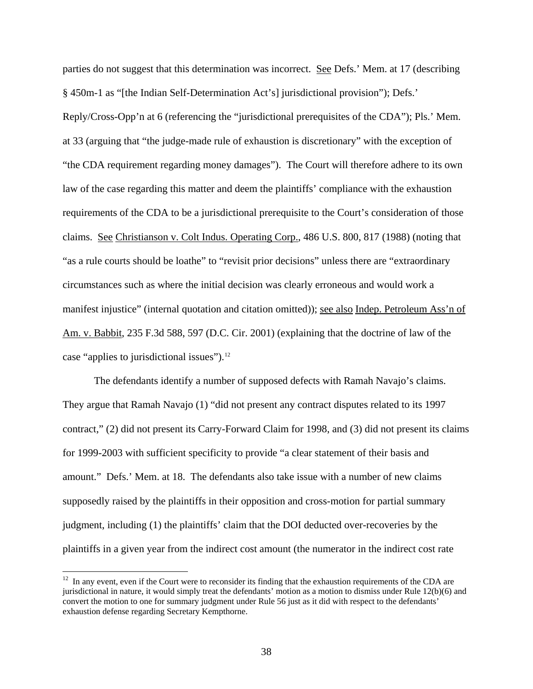parties do not suggest that this determination was incorrect. See Defs.' Mem. at 17 (describing § 450m-1 as "[the Indian Self-Determination Act's] jurisdictional provision"); Defs.' Reply/Cross-Opp'n at 6 (referencing the "jurisdictional prerequisites of the CDA"); Pls.' Mem. at 33 (arguing that "the judge-made rule of exhaustion is discretionary" with the exception of "the CDA requirement regarding money damages"). The Court will therefore adhere to its own law of the case regarding this matter and deem the plaintiffs' compliance with the exhaustion requirements of the CDA to be a jurisdictional prerequisite to the Court's consideration of those claims. See Christianson v. Colt Indus. Operating Corp., 486 U.S. 800, 817 (1988) (noting that "as a rule courts should be loathe" to "revisit prior decisions" unless there are "extraordinary circumstances such as where the initial decision was clearly erroneous and would work a manifest injustice" (internal quotation and citation omitted)); see also Indep. Petroleum Ass'n of Am. v. Babbit, 235 F.3d 588, 597 (D.C. Cir. 2001) (explaining that the doctrine of law of the case "applies to jurisdictional issues").<sup>[12](#page-37-0)</sup>

 The defendants identify a number of supposed defects with Ramah Navajo's claims. They argue that Ramah Navajo (1) "did not present any contract disputes related to its 1997 contract," (2) did not present its Carry-Forward Claim for 1998, and (3) did not present its claims for 1999-2003 with sufficient specificity to provide "a clear statement of their basis and amount." Defs.' Mem. at 18. The defendants also take issue with a number of new claims supposedly raised by the plaintiffs in their opposition and cross-motion for partial summary judgment, including (1) the plaintiffs' claim that the DOI deducted over-recoveries by the plaintiffs in a given year from the indirect cost amount (the numerator in the indirect cost rate

 $\overline{a}$ 

<span id="page-37-0"></span> $12$  In any event, even if the Court were to reconsider its finding that the exhaustion requirements of the CDA are jurisdictional in nature, it would simply treat the defendants' motion as a motion to dismiss under Rule 12(b)(6) and convert the motion to one for summary judgment under Rule 56 just as it did with respect to the defendants' exhaustion defense regarding Secretary Kempthorne.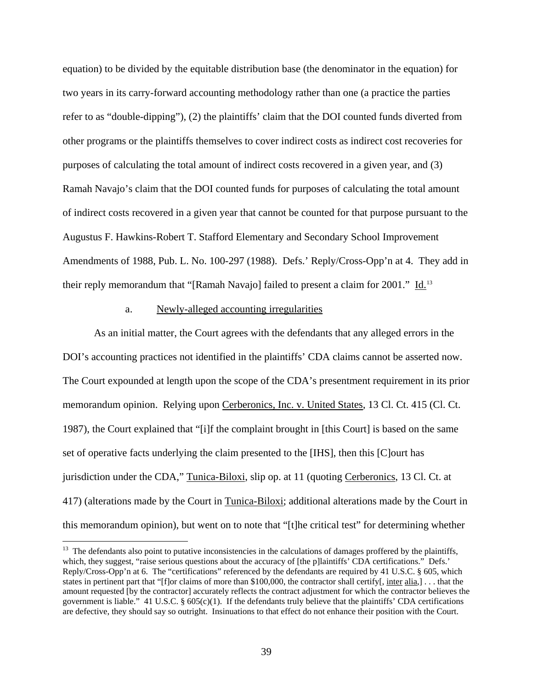equation) to be divided by the equitable distribution base (the denominator in the equation) for two years in its carry-forward accounting methodology rather than one (a practice the parties refer to as "double-dipping"), (2) the plaintiffs' claim that the DOI counted funds diverted from other programs or the plaintiffs themselves to cover indirect costs as indirect cost recoveries for purposes of calculating the total amount of indirect costs recovered in a given year, and (3) Ramah Navajo's claim that the DOI counted funds for purposes of calculating the total amount of indirect costs recovered in a given year that cannot be counted for that purpose pursuant to the Augustus F. Hawkins-Robert T. Stafford Elementary and Secondary School Improvement Amendments of 1988, Pub. L. No. 100-297 (1988). Defs.' Reply/Cross-Opp'n at 4. They add in their reply memorandum that "[Ramah Navajo] failed to present a claim for 2001." Id.<sup>[13](#page-38-0)</sup>

### a. Newly-alleged accounting irregularities

 $\overline{a}$ 

 As an initial matter, the Court agrees with the defendants that any alleged errors in the DOI's accounting practices not identified in the plaintiffs' CDA claims cannot be asserted now. The Court expounded at length upon the scope of the CDA's presentment requirement in its prior memorandum opinion. Relying upon Cerberonics, Inc. v. United States, 13 Cl. Ct. 415 (Cl. Ct. 1987), the Court explained that "[i]f the complaint brought in [this Court] is based on the same set of operative facts underlying the claim presented to the [IHS], then this [C]ourt has jurisdiction under the CDA," Tunica-Biloxi, slip op. at 11 (quoting Cerberonics, 13 Cl. Ct. at 417) (alterations made by the Court in Tunica-Biloxi; additional alterations made by the Court in this memorandum opinion), but went on to note that "[t]he critical test" for determining whether

<span id="page-38-0"></span><sup>&</sup>lt;sup>13</sup> The defendants also point to putative inconsistencies in the calculations of damages proffered by the plaintiffs, which, they suggest, "raise serious questions about the accuracy of [the p]laintiffs' CDA certifications." Defs.' Reply/Cross-Opp'n at 6. The "certifications" referenced by the defendants are required by 41 U.S.C. § 605, which states in pertinent part that "[f]or claims of more than \$100,000, the contractor shall certify[, inter alia,] . . . that the amount requested [by the contractor] accurately reflects the contract adjustment for which the contractor believes the government is liable." 41 U.S.C.  $\S 605(c)(1)$ . If the defendants truly believe that the plaintiffs' CDA certifications are defective, they should say so outright. Insinuations to that effect do not enhance their position with the Court.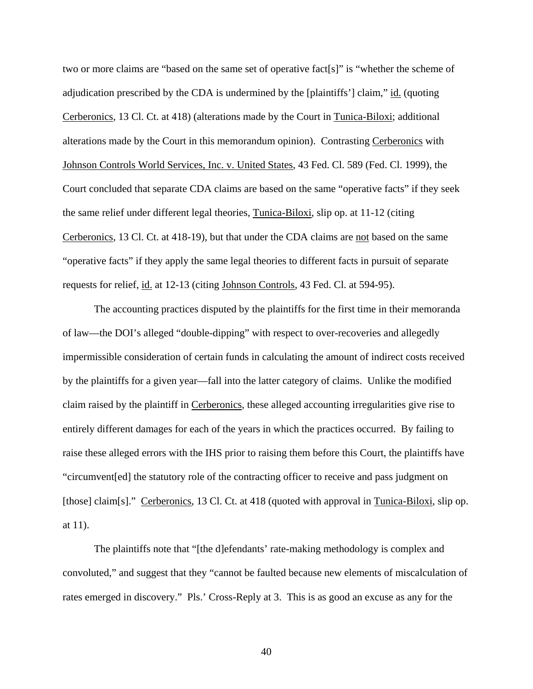two or more claims are "based on the same set of operative fact[s]" is "whether the scheme of adjudication prescribed by the CDA is undermined by the [plaintiffs'] claim," id. (quoting Cerberonics, 13 Cl. Ct. at 418) (alterations made by the Court in Tunica-Biloxi; additional alterations made by the Court in this memorandum opinion). Contrasting Cerberonics with Johnson Controls World Services, Inc. v. United States, 43 Fed. Cl. 589 (Fed. Cl. 1999), the Court concluded that separate CDA claims are based on the same "operative facts" if they seek the same relief under different legal theories, Tunica-Biloxi, slip op. at 11-12 (citing Cerberonics, 13 Cl. Ct. at 418-19), but that under the CDA claims are not based on the same "operative facts" if they apply the same legal theories to different facts in pursuit of separate requests for relief, id. at 12-13 (citing Johnson Controls, 43 Fed. Cl. at 594-95).

The accounting practices disputed by the plaintiffs for the first time in their memoranda of law—the DOI's alleged "double-dipping" with respect to over-recoveries and allegedly impermissible consideration of certain funds in calculating the amount of indirect costs received by the plaintiffs for a given year—fall into the latter category of claims. Unlike the modified claim raised by the plaintiff in Cerberonics, these alleged accounting irregularities give rise to entirely different damages for each of the years in which the practices occurred. By failing to raise these alleged errors with the IHS prior to raising them before this Court, the plaintiffs have "circumvent[ed] the statutory role of the contracting officer to receive and pass judgment on [those] claim[s]." Cerberonics, 13 Cl. Ct. at 418 (quoted with approval in Tunica-Biloxi, slip op. at 11).

The plaintiffs note that "[the d]efendants' rate-making methodology is complex and convoluted," and suggest that they "cannot be faulted because new elements of miscalculation of rates emerged in discovery." Pls.' Cross-Reply at 3. This is as good an excuse as any for the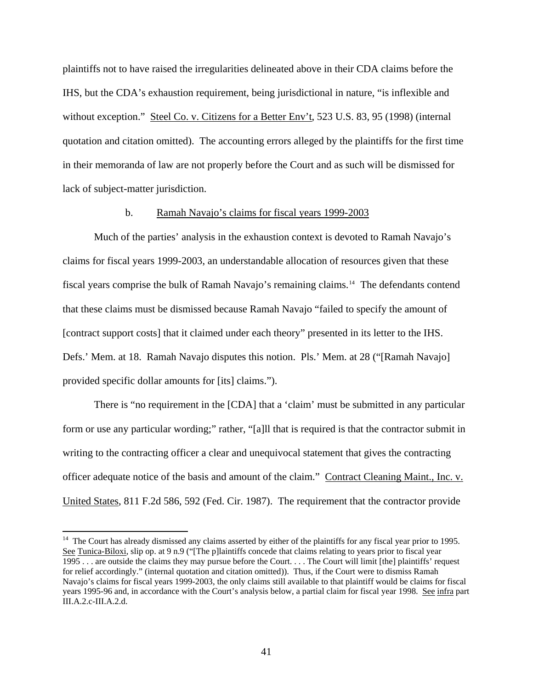plaintiffs not to have raised the irregularities delineated above in their CDA claims before the IHS, but the CDA's exhaustion requirement, being jurisdictional in nature, "is inflexible and without exception." Steel Co. v. Citizens for a Better Env't, 523 U.S. 83, 95 (1998) (internal quotation and citation omitted). The accounting errors alleged by the plaintiffs for the first time in their memoranda of law are not properly before the Court and as such will be dismissed for lack of subject-matter jurisdiction.

#### b. Ramah Navajo's claims for fiscal years 1999-2003

 Much of the parties' analysis in the exhaustion context is devoted to Ramah Navajo's claims for fiscal years 1999-2003, an understandable allocation of resources given that these fiscal years comprise the bulk of Ramah Navajo's remaining claims.[14](#page-40-0) The defendants contend that these claims must be dismissed because Ramah Navajo "failed to specify the amount of [contract support costs] that it claimed under each theory" presented in its letter to the IHS. Defs.' Mem. at 18. Ramah Navajo disputes this notion. Pls.' Mem. at 28 ("[Ramah Navajo] provided specific dollar amounts for [its] claims.").

There is "no requirement in the [CDA] that a 'claim' must be submitted in any particular form or use any particular wording;" rather, "[a]ll that is required is that the contractor submit in writing to the contracting officer a clear and unequivocal statement that gives the contracting officer adequate notice of the basis and amount of the claim." Contract Cleaning Maint., Inc. v. United States, 811 F.2d 586, 592 (Fed. Cir. 1987). The requirement that the contractor provide

 $\overline{a}$ 

<span id="page-40-0"></span><sup>&</sup>lt;sup>14</sup> The Court has already dismissed any claims asserted by either of the plaintiffs for any fiscal year prior to 1995. See Tunica-Biloxi, slip op. at 9 n.9 ("[The p]laintiffs concede that claims relating to years prior to fiscal year 1995 . . . are outside the claims they may pursue before the Court. . . . The Court will limit [the] plaintiffs' request for relief accordingly." (internal quotation and citation omitted)). Thus, if the Court were to dismiss Ramah Navajo's claims for fiscal years 1999-2003, the only claims still available to that plaintiff would be claims for fiscal years 1995-96 and, in accordance with the Court's analysis below, a partial claim for fiscal year 1998. See infra part III.A.2.c-III.A.2.d.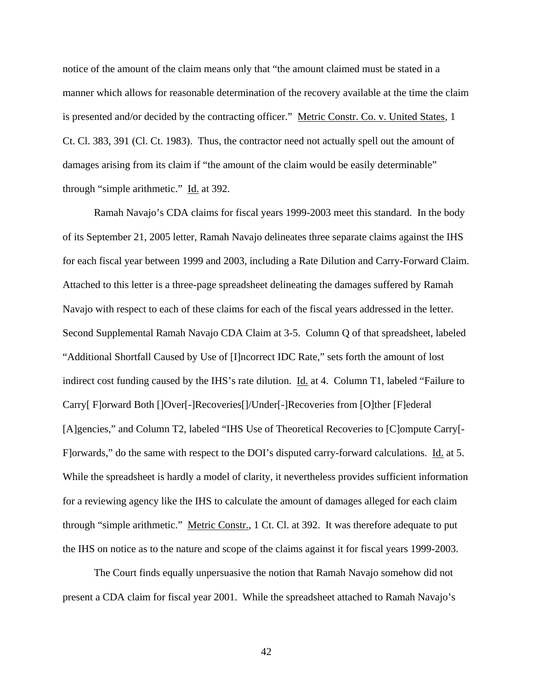notice of the amount of the claim means only that "the amount claimed must be stated in a manner which allows for reasonable determination of the recovery available at the time the claim is presented and/or decided by the contracting officer." Metric Constr. Co. v. United States, 1 Ct. Cl. 383, 391 (Cl. Ct. 1983). Thus, the contractor need not actually spell out the amount of damages arising from its claim if "the amount of the claim would be easily determinable" through "simple arithmetic." Id. at 392.

 Ramah Navajo's CDA claims for fiscal years 1999-2003 meet this standard. In the body of its September 21, 2005 letter, Ramah Navajo delineates three separate claims against the IHS for each fiscal year between 1999 and 2003, including a Rate Dilution and Carry-Forward Claim. Attached to this letter is a three-page spreadsheet delineating the damages suffered by Ramah Navajo with respect to each of these claims for each of the fiscal years addressed in the letter. Second Supplemental Ramah Navajo CDA Claim at 3-5. Column Q of that spreadsheet, labeled "Additional Shortfall Caused by Use of [I]ncorrect IDC Rate," sets forth the amount of lost indirect cost funding caused by the IHS's rate dilution. Id. at 4. Column T1, labeled "Failure to Carry[ F]orward Both []Over[-]Recoveries[]/Under[-]Recoveries from [O]ther [F]ederal [A]gencies," and Column T2, labeled "IHS Use of Theoretical Recoveries to [C]ompute Carry[- F]orwards," do the same with respect to the DOI's disputed carry-forward calculations. Id. at 5. While the spreadsheet is hardly a model of clarity, it nevertheless provides sufficient information for a reviewing agency like the IHS to calculate the amount of damages alleged for each claim through "simple arithmetic." Metric Constr., 1 Ct. Cl. at 392. It was therefore adequate to put the IHS on notice as to the nature and scope of the claims against it for fiscal years 1999-2003.

 The Court finds equally unpersuasive the notion that Ramah Navajo somehow did not present a CDA claim for fiscal year 2001. While the spreadsheet attached to Ramah Navajo's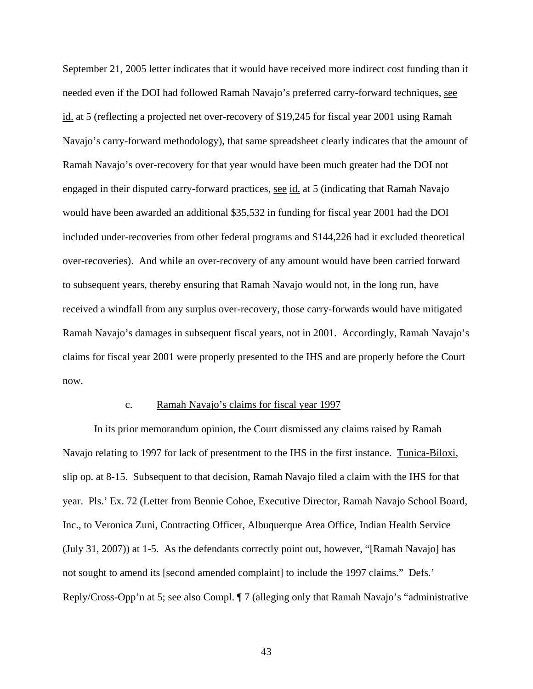September 21, 2005 letter indicates that it would have received more indirect cost funding than it needed even if the DOI had followed Ramah Navajo's preferred carry-forward techniques, see id. at 5 (reflecting a projected net over-recovery of \$19,245 for fiscal year 2001 using Ramah Navajo's carry-forward methodology), that same spreadsheet clearly indicates that the amount of Ramah Navajo's over-recovery for that year would have been much greater had the DOI not engaged in their disputed carry-forward practices, see id. at 5 (indicating that Ramah Navajo would have been awarded an additional \$35,532 in funding for fiscal year 2001 had the DOI included under-recoveries from other federal programs and \$144,226 had it excluded theoretical over-recoveries). And while an over-recovery of any amount would have been carried forward to subsequent years, thereby ensuring that Ramah Navajo would not, in the long run, have received a windfall from any surplus over-recovery, those carry-forwards would have mitigated Ramah Navajo's damages in subsequent fiscal years, not in 2001. Accordingly, Ramah Navajo's claims for fiscal year 2001 were properly presented to the IHS and are properly before the Court now.

### c. Ramah Navajo's claims for fiscal year 1997

 In its prior memorandum opinion, the Court dismissed any claims raised by Ramah Navajo relating to 1997 for lack of presentment to the IHS in the first instance. Tunica-Biloxi, slip op. at 8-15. Subsequent to that decision, Ramah Navajo filed a claim with the IHS for that year. Pls.' Ex. 72 (Letter from Bennie Cohoe, Executive Director, Ramah Navajo School Board, Inc., to Veronica Zuni, Contracting Officer, Albuquerque Area Office, Indian Health Service (July 31, 2007)) at 1-5. As the defendants correctly point out, however, "[Ramah Navajo] has not sought to amend its [second amended complaint] to include the 1997 claims." Defs.' Reply/Cross-Opp'n at 5; see also Compl. ¶ 7 (alleging only that Ramah Navajo's "administrative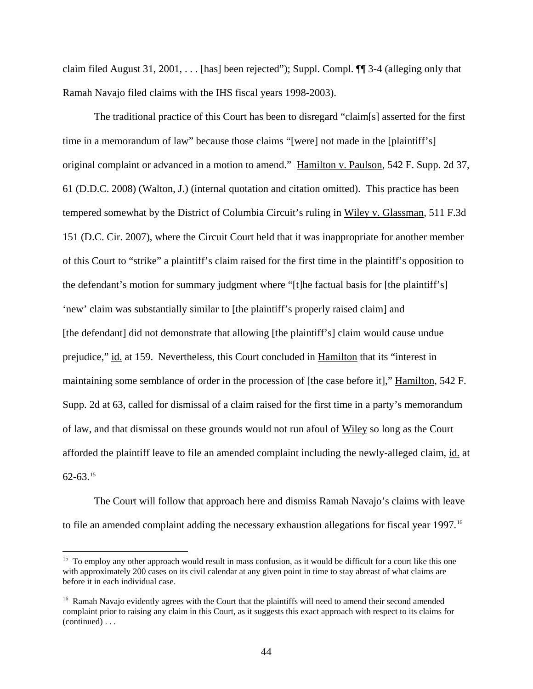claim filed August 31, 2001, . . . [has] been rejected"); Suppl. Compl.  $\P$ [ 3-4 (alleging only that Ramah Navajo filed claims with the IHS fiscal years 1998-2003).

 The traditional practice of this Court has been to disregard "claim[s] asserted for the first time in a memorandum of law" because those claims "[were] not made in the [plaintiff's] original complaint or advanced in a motion to amend." Hamilton v. Paulson, 542 F. Supp. 2d 37, 61 (D.D.C. 2008) (Walton, J.) (internal quotation and citation omitted). This practice has been tempered somewhat by the District of Columbia Circuit's ruling in Wiley v. Glassman, 511 F.3d 151 (D.C. Cir. 2007), where the Circuit Court held that it was inappropriate for another member of this Court to "strike" a plaintiff's claim raised for the first time in the plaintiff's opposition to the defendant's motion for summary judgment where "[t]he factual basis for [the plaintiff's] 'new' claim was substantially similar to [the plaintiff's properly raised claim] and [the defendant] did not demonstrate that allowing [the plaintiff's] claim would cause undue prejudice," id. at 159. Nevertheless, this Court concluded in Hamilton that its "interest in maintaining some semblance of order in the procession of [the case before it]," Hamilton, 542 F. Supp. 2d at 63, called for dismissal of a claim raised for the first time in a party's memorandum of law, and that dismissal on these grounds would not run afoul of Wiley so long as the Court afforded the plaintiff leave to file an amended complaint including the newly-alleged claim, id. at  $62-63$ <sup>[15](#page-43-0)</sup>

The Court will follow that approach here and dismiss Ramah Navajo's claims with leave to file an amended complaint adding the necessary exhaustion allegations for fiscal year 1997.<sup>[16](#page-43-1)</sup>

 $\overline{a}$ 

<span id="page-43-0"></span><sup>&</sup>lt;sup>15</sup> To employ any other approach would result in mass confusion, as it would be difficult for a court like this one with approximately 200 cases on its civil calendar at any given point in time to stay abreast of what claims are before it in each individual case.

<span id="page-43-1"></span><sup>(</sup>continued) . . . <sup>16</sup> Ramah Navajo evidently agrees with the Court that the plaintiffs will need to amend their second amended complaint prior to raising any claim in this Court, as it suggests this exact approach with respect to its claims for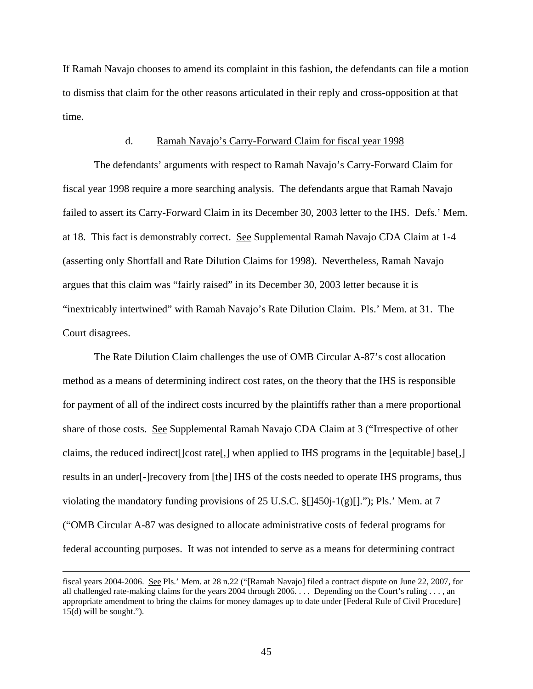If Ramah Navajo chooses to amend its complaint in this fashion, the defendants can file a motion to dismiss that claim for the other reasons articulated in their reply and cross-opposition at that time.

#### d. Ramah Navajo's Carry-Forward Claim for fiscal year 1998

 The defendants' arguments with respect to Ramah Navajo's Carry-Forward Claim for fiscal year 1998 require a more searching analysis. The defendants argue that Ramah Navajo failed to assert its Carry-Forward Claim in its December 30, 2003 letter to the IHS. Defs.' Mem. at 18. This fact is demonstrably correct. See Supplemental Ramah Navajo CDA Claim at 1-4 (asserting only Shortfall and Rate Dilution Claims for 1998). Nevertheless, Ramah Navajo argues that this claim was "fairly raised" in its December 30, 2003 letter because it is "inextricably intertwined" with Ramah Navajo's Rate Dilution Claim. Pls.' Mem. at 31. The Court disagrees.

The Rate Dilution Claim challenges the use of OMB Circular A-87's cost allocation method as a means of determining indirect cost rates, on the theory that the IHS is responsible for payment of all of the indirect costs incurred by the plaintiffs rather than a mere proportional share of those costs. See Supplemental Ramah Navajo CDA Claim at 3 ("Irrespective of other claims, the reduced indirect[]cost rate[,] when applied to IHS programs in the [equitable] base[,] results in an under[-]recovery from [the] IHS of the costs needed to operate IHS programs, thus violating the mandatory funding provisions of 25 U.S.C.  $\{[450j-1(g)]\}$ ."); Pls.' Mem. at 7 ("OMB Circular A-87 was designed to allocate administrative costs of federal programs for federal accounting purposes. It was not intended to serve as a means for determining contract

fiscal years 2004-2006. See Pls.' Mem. at 28 n.22 ("[Ramah Navajo] filed a contract dispute on June 22, 2007, for all challenged rate-making claims for the years 2004 through 2006. . . . Depending on the Court's ruling . . . , an appropriate amendment to bring the claims for money damages up to date under [Federal Rule of Civil Procedure] 15(d) will be sought.").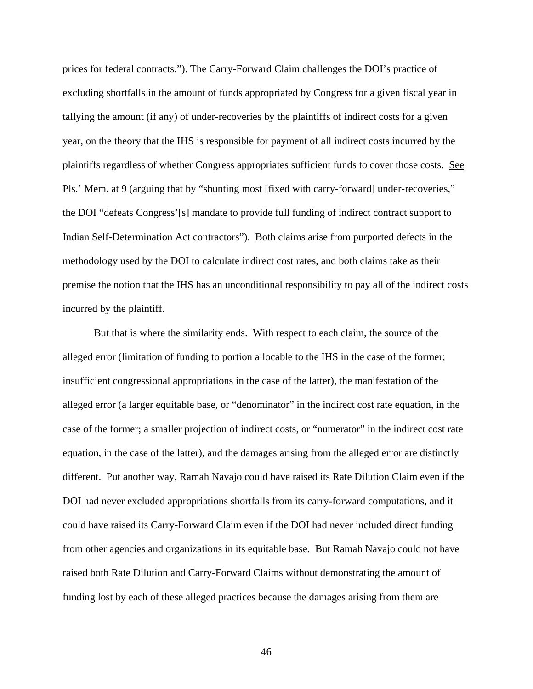prices for federal contracts."). The Carry-Forward Claim challenges the DOI's practice of excluding shortfalls in the amount of funds appropriated by Congress for a given fiscal year in tallying the amount (if any) of under-recoveries by the plaintiffs of indirect costs for a given year, on the theory that the IHS is responsible for payment of all indirect costs incurred by the plaintiffs regardless of whether Congress appropriates sufficient funds to cover those costs. See Pls.' Mem. at 9 (arguing that by "shunting most [fixed with carry-forward] under-recoveries," the DOI "defeats Congress'[s] mandate to provide full funding of indirect contract support to Indian Self-Determination Act contractors"). Both claims arise from purported defects in the methodology used by the DOI to calculate indirect cost rates, and both claims take as their premise the notion that the IHS has an unconditional responsibility to pay all of the indirect costs incurred by the plaintiff.

 But that is where the similarity ends. With respect to each claim, the source of the alleged error (limitation of funding to portion allocable to the IHS in the case of the former; insufficient congressional appropriations in the case of the latter), the manifestation of the alleged error (a larger equitable base, or "denominator" in the indirect cost rate equation, in the case of the former; a smaller projection of indirect costs, or "numerator" in the indirect cost rate equation, in the case of the latter), and the damages arising from the alleged error are distinctly different. Put another way, Ramah Navajo could have raised its Rate Dilution Claim even if the DOI had never excluded appropriations shortfalls from its carry-forward computations, and it could have raised its Carry-Forward Claim even if the DOI had never included direct funding from other agencies and organizations in its equitable base. But Ramah Navajo could not have raised both Rate Dilution and Carry-Forward Claims without demonstrating the amount of funding lost by each of these alleged practices because the damages arising from them are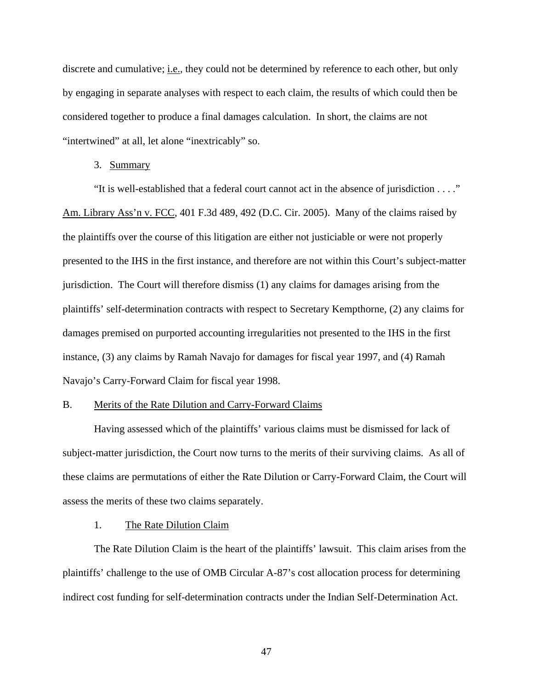discrete and cumulative; <u>i.e.</u>, they could not be determined by reference to each other, but only by engaging in separate analyses with respect to each claim, the results of which could then be considered together to produce a final damages calculation. In short, the claims are not "intertwined" at all, let alone "inextricably" so.

## 3. Summary

"It is well-established that a federal court cannot act in the absence of jurisdiction . . . ." Am. Library Ass'n v. FCC, 401 F.3d 489, 492 (D.C. Cir. 2005). Many of the claims raised by the plaintiffs over the course of this litigation are either not justiciable or were not properly presented to the IHS in the first instance, and therefore are not within this Court's subject-matter jurisdiction. The Court will therefore dismiss (1) any claims for damages arising from the plaintiffs' self-determination contracts with respect to Secretary Kempthorne, (2) any claims for damages premised on purported accounting irregularities not presented to the IHS in the first instance, (3) any claims by Ramah Navajo for damages for fiscal year 1997, and (4) Ramah Navajo's Carry-Forward Claim for fiscal year 1998.

### B. Merits of the Rate Dilution and Carry-Forward Claims

 Having assessed which of the plaintiffs' various claims must be dismissed for lack of subject-matter jurisdiction, the Court now turns to the merits of their surviving claims. As all of these claims are permutations of either the Rate Dilution or Carry-Forward Claim, the Court will assess the merits of these two claims separately.

## 1. The Rate Dilution Claim

The Rate Dilution Claim is the heart of the plaintiffs' lawsuit. This claim arises from the plaintiffs' challenge to the use of OMB Circular A-87's cost allocation process for determining indirect cost funding for self-determination contracts under the Indian Self-Determination Act.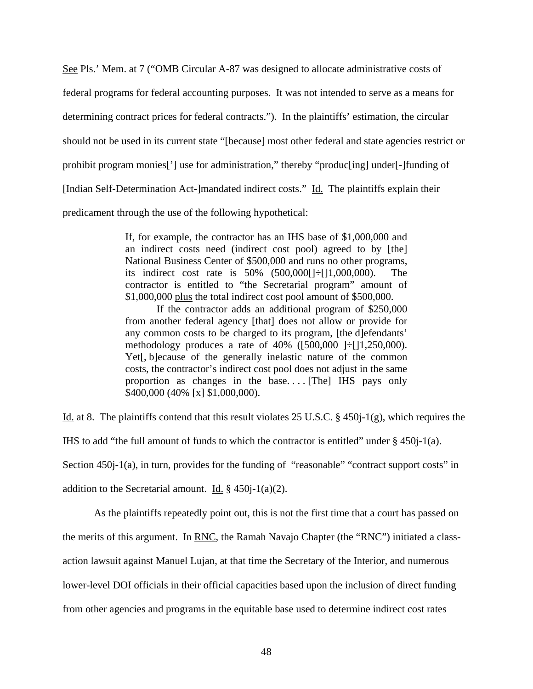See Pls.' Mem. at 7 ("OMB Circular A-87 was designed to allocate administrative costs of federal programs for federal accounting purposes. It was not intended to serve as a means for determining contract prices for federal contracts."). In the plaintiffs' estimation, the circular should not be used in its current state "[because] most other federal and state agencies restrict or prohibit program monies['] use for administration," thereby "produc[ing] under[-]funding of [Indian Self-Determination Act-]mandated indirect costs." Id. The plaintiffs explain their predicament through the use of the following hypothetical:

> If, for example, the contractor has an IHS base of \$1,000,000 and an indirect costs need (indirect cost pool) agreed to by [the] National Business Center of \$500,000 and runs no other programs, its indirect cost rate is 50% (500,000[]÷[]1,000,000). The contractor is entitled to "the Secretarial program" amount of \$1,000,000 plus the total indirect cost pool amount of \$500,000.

> If the contractor adds an additional program of \$250,000 from another federal agency [that] does not allow or provide for any common costs to be charged to its program, [the d]efendants' methodology produces a rate of 40% ([500,000 ]÷[]1,250,000). Yet<sup>[</sup>, b]ecause of the generally inelastic nature of the common costs, the contractor's indirect cost pool does not adjust in the same proportion as changes in the base.... [The] IHS pays only \$400,000 (40% [x] \$1,000,000).

Id. at 8. The plaintiffs contend that this result violates 25 U.S.C. § 450 $i$ -1(g), which requires the IHS to add "the full amount of funds to which the contractor is entitled" under  $\S$  450 $i$ -1(a). Section 450j-1(a), in turn, provides for the funding of "reasonable" "contract support costs" in addition to the Secretarial amount. Id.  $\S$  450 $j$ -1(a)(2).

 As the plaintiffs repeatedly point out, this is not the first time that a court has passed on the merits of this argument. In RNC, the Ramah Navajo Chapter (the "RNC") initiated a classaction lawsuit against Manuel Lujan, at that time the Secretary of the Interior, and numerous lower-level DOI officials in their official capacities based upon the inclusion of direct funding from other agencies and programs in the equitable base used to determine indirect cost rates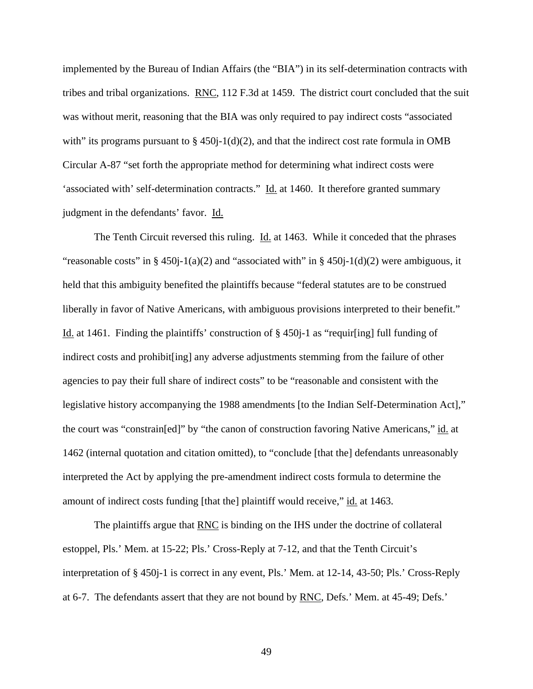implemented by the Bureau of Indian Affairs (the "BIA") in its self-determination contracts with tribes and tribal organizations. RNC, 112 F.3d at 1459. The district court concluded that the suit was without merit, reasoning that the BIA was only required to pay indirect costs "associated with" its programs pursuant to  $\S$  450j-1(d)(2), and that the indirect cost rate formula in OMB Circular A-87 "set forth the appropriate method for determining what indirect costs were 'associated with' self-determination contracts." Id. at 1460. It therefore granted summary judgment in the defendants' favor. Id.

 The Tenth Circuit reversed this ruling. Id. at 1463. While it conceded that the phrases "reasonable costs" in § 450 $i$ -1(a)(2) and "associated with" in § 450 $i$ -1(d)(2) were ambiguous, it held that this ambiguity benefited the plaintiffs because "federal statutes are to be construed liberally in favor of Native Americans, with ambiguous provisions interpreted to their benefit." Id. at 1461. Finding the plaintiffs' construction of § 450j-1 as "requir[ing] full funding of indirect costs and prohibit[ing] any adverse adjustments stemming from the failure of other agencies to pay their full share of indirect costs" to be "reasonable and consistent with the legislative history accompanying the 1988 amendments [to the Indian Self-Determination Act]," the court was "constrain[ed]" by "the canon of construction favoring Native Americans," id. at 1462 (internal quotation and citation omitted), to "conclude [that the] defendants unreasonably interpreted the Act by applying the pre-amendment indirect costs formula to determine the amount of indirect costs funding [that the] plaintiff would receive," id. at 1463.

The plaintiffs argue that **RNC** is binding on the IHS under the doctrine of collateral estoppel, Pls.' Mem. at 15-22; Pls.' Cross-Reply at 7-12, and that the Tenth Circuit's interpretation of § 450j-1 is correct in any event, Pls.' Mem. at 12-14, 43-50; Pls.' Cross-Reply at 6-7. The defendants assert that they are not bound by RNC, Defs.' Mem. at 45-49; Defs.'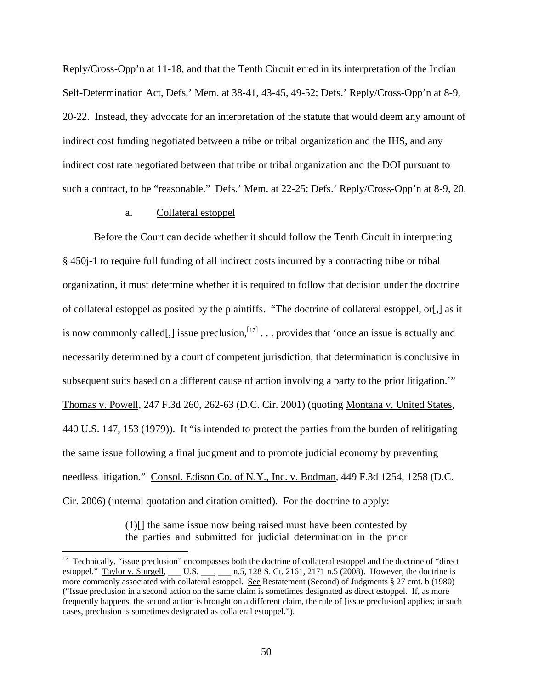Reply/Cross-Opp'n at 11-18, and that the Tenth Circuit erred in its interpretation of the Indian Self-Determination Act, Defs.' Mem. at 38-41, 43-45, 49-52; Defs.' Reply/Cross-Opp'n at 8-9, 20-22. Instead, they advocate for an interpretation of the statute that would deem any amount of indirect cost funding negotiated between a tribe or tribal organization and the IHS, and any indirect cost rate negotiated between that tribe or tribal organization and the DOI pursuant to such a contract, to be "reasonable." Defs.' Mem. at 22-25; Defs.' Reply/Cross-Opp'n at 8-9, 20.

#### a. Collateral estoppel

 $\overline{a}$ 

Before the Court can decide whether it should follow the Tenth Circuit in interpreting § 450j-1 to require full funding of all indirect costs incurred by a contracting tribe or tribal organization, it must determine whether it is required to follow that decision under the doctrine of collateral estoppel as posited by the plaintiffs. "The doctrine of collateral estoppel, or[,] as it is now commonly called[,] issue preclusion,  $\left[17\right]$  $\left[17\right]$  $\left[17\right]$ ... provides that 'once an issue is actually and necessarily determined by a court of competent jurisdiction, that determination is conclusive in subsequent suits based on a different cause of action involving a party to the prior litigation.'" Thomas v. Powell, 247 F.3d 260, 262-63 (D.C. Cir. 2001) (quoting Montana v. United States, 440 U.S. 147, 153 (1979)). It "is intended to protect the parties from the burden of relitigating the same issue following a final judgment and to promote judicial economy by preventing needless litigation." Consol. Edison Co. of N.Y., Inc. v. Bodman, 449 F.3d 1254, 1258 (D.C. Cir. 2006) (internal quotation and citation omitted). For the doctrine to apply:

> (1)[] the same issue now being raised must have been contested by the parties and submitted for judicial determination in the prior

<span id="page-49-0"></span> $17$  Technically, "issue preclusion" encompasses both the doctrine of collateral estoppel and the doctrine of "direct" estoppel." Taylor v. Sturgell, \_\_\_ U.S. \_\_\_, \_\_\_ n.5, 128 S. Ct. 2161, 2171 n.5 (2008). However, the doctrine is more commonly associated with collateral estoppel. See Restatement (Second) of Judgments § 27 cmt. b (1980) ("Issue preclusion in a second action on the same claim is sometimes designated as direct estoppel. If, as more frequently happens, the second action is brought on a different claim, the rule of [issue preclusion] applies; in such cases, preclusion is sometimes designated as collateral estoppel.").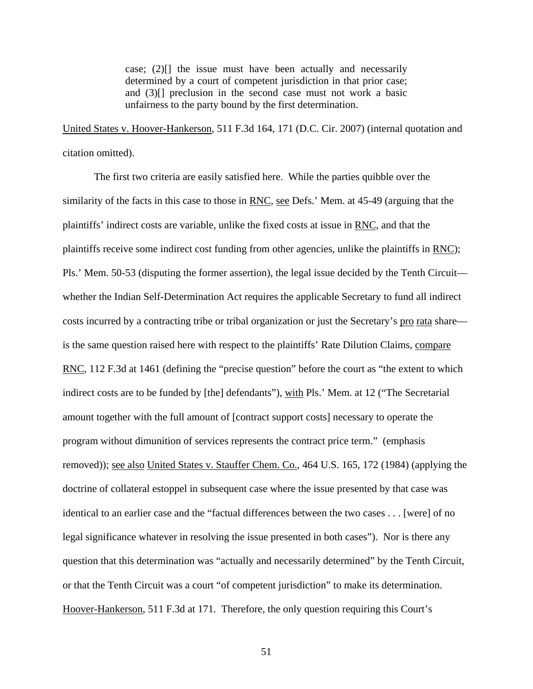case; (2)[] the issue must have been actually and necessarily determined by a court of competent jurisdiction in that prior case; and (3)[] preclusion in the second case must not work a basic unfairness to the party bound by the first determination.

United States v. Hoover-Hankerson, 511 F.3d 164, 171 (D.C. Cir. 2007) (internal quotation and citation omitted).

 The first two criteria are easily satisfied here. While the parties quibble over the similarity of the facts in this case to those in RNC, see Defs.' Mem. at 45-49 (arguing that the plaintiffs' indirect costs are variable, unlike the fixed costs at issue in RNC, and that the plaintiffs receive some indirect cost funding from other agencies, unlike the plaintiffs in RNC); Pls.' Mem. 50-53 (disputing the former assertion), the legal issue decided by the Tenth Circuit whether the Indian Self-Determination Act requires the applicable Secretary to fund all indirect costs incurred by a contracting tribe or tribal organization or just the Secretary's pro rata share is the same question raised here with respect to the plaintiffs' Rate Dilution Claims, compare RNC, 112 F.3d at 1461 (defining the "precise question" before the court as "the extent to which indirect costs are to be funded by [the] defendants"), with Pls.' Mem. at 12 ("The Secretarial amount together with the full amount of [contract support costs] necessary to operate the program without dimunition of services represents the contract price term." (emphasis removed)); see also United States v. Stauffer Chem. Co., 464 U.S. 165, 172 (1984) (applying the doctrine of collateral estoppel in subsequent case where the issue presented by that case was identical to an earlier case and the "factual differences between the two cases . . . [were] of no legal significance whatever in resolving the issue presented in both cases"). Nor is there any question that this determination was "actually and necessarily determined" by the Tenth Circuit, or that the Tenth Circuit was a court "of competent jurisdiction" to make its determination. Hoover-Hankerson, 511 F.3d at 171. Therefore, the only question requiring this Court's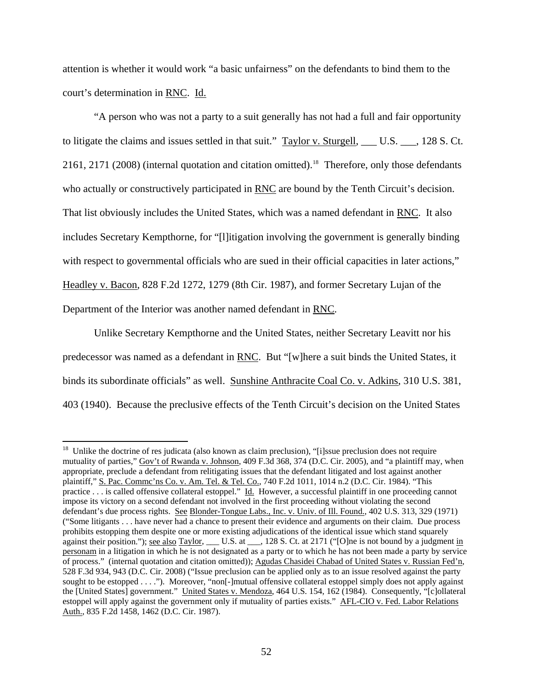attention is whether it would work "a basic unfairness" on the defendants to bind them to the court's determination in RNC. Id.

"A person who was not a party to a suit generally has not had a full and fair opportunity to litigate the claims and issues settled in that suit." Taylor v. Sturgell, \_\_\_ U.S. \_\_\_, 128 S. Ct. 2161, 2171 (2008) (internal quotation and citation omitted).<sup>[18](#page-51-0)</sup> Therefore, only those defendants who actually or constructively participated in RNC are bound by the Tenth Circuit's decision. That list obviously includes the United States, which was a named defendant in RNC. It also includes Secretary Kempthorne, for "[l]itigation involving the government is generally binding with respect to governmental officials who are sued in their official capacities in later actions," Headley v. Bacon, 828 F.2d 1272, 1279 (8th Cir. 1987), and former Secretary Lujan of the Department of the Interior was another named defendant in RNC.

Unlike Secretary Kempthorne and the United States, neither Secretary Leavitt nor his predecessor was named as a defendant in RNC. But "[w]here a suit binds the United States, it binds its subordinate officials" as well. Sunshine Anthracite Coal Co. v. Adkins, 310 U.S. 381, 403 (1940). Because the preclusive effects of the Tenth Circuit's decision on the United States

 $\overline{a}$ 

<span id="page-51-0"></span> $18$  Unlike the doctrine of res judicata (also known as claim preclusion), "[i]ssue preclusion does not require mutuality of parties," Gov't of Rwanda v. Johnson, 409 F.3d 368, 374 (D.C. Cir. 2005), and "a plaintiff may, when appropriate, preclude a defendant from relitigating issues that the defendant litigated and lost against another plaintiff," S. Pac. Commc'ns Co. v. Am. Tel. & Tel. Co., 740 F.2d 1011, 1014 n.2 (D.C. Cir. 1984). "This practice . . . is called offensive collateral estoppel." Id. However, a successful plaintiff in one proceeding cannot impose its victory on a second defendant not involved in the first proceeding without violating the second defendant's due process rights. See Blonder-Tongue Labs., Inc. v. Univ. of Ill. Found., 402 U.S. 313, 329 (1971) ("Some litigants . . . have never had a chance to present their evidence and arguments on their claim. Due process prohibits estopping them despite one or more existing adjudications of the identical issue which stand squarely against their position."); <u>see also Taylor, U.S. at 128 S. Ct.</u> at 2171 ("[O]ne is not bound by a judgment in personam in a litigation in which he is not designated as a party or to which he has not been made a party by service of process." (internal quotation and citation omitted)); Agudas Chasidei Chabad of United States v. Russian Fed'n, 528 F.3d 934, 943 (D.C. Cir. 2008) ("Issue preclusion can be applied only as to an issue resolved against the party sought to be estopped . . . ."). Moreover, "non-|mutual offensive collateral estoppel simply does not apply against the [United States] government." United States v. Mendoza, 464 U.S. 154, 162 (1984). Consequently, "[c]ollateral estoppel will apply against the government only if mutuality of parties exists." AFL-CIO v. Fed. Labor Relations Auth., 835 F.2d 1458, 1462 (D.C. Cir. 1987).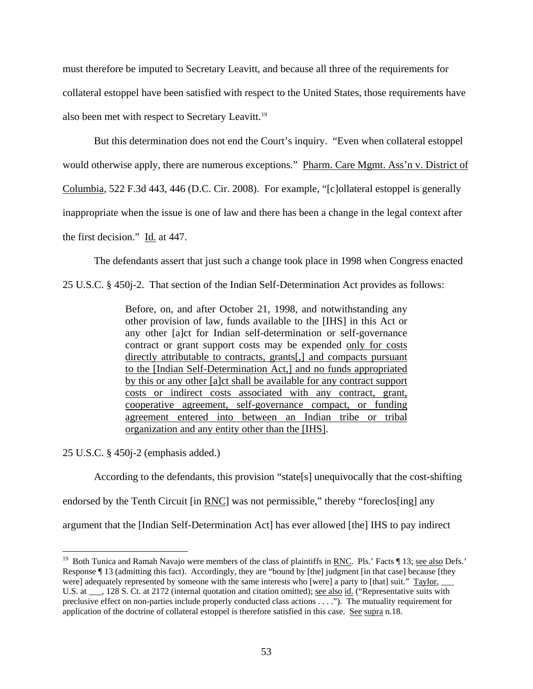must therefore be imputed to Secretary Leavitt, and because all three of the requirements for collateral estoppel have been satisfied with respect to the United States, those requirements have also been met with respect to Secretary Leavitt.[19](#page-52-0)

But this determination does not end the Court's inquiry. "Even when collateral estoppel

would otherwise apply, there are numerous exceptions." Pharm. Care Mgmt. Ass'n v. District of

Columbia, 522 F.3d 443, 446 (D.C. Cir. 2008). For example, "[c]ollateral estoppel is generally

inappropriate when the issue is one of law and there has been a change in the legal context after

the first decision." Id. at 447.

The defendants assert that just such a change took place in 1998 when Congress enacted

25 U.S.C. § 450j-2. That section of the Indian Self-Determination Act provides as follows:

Before, on, and after October 21, 1998, and notwithstanding any other provision of law, funds available to the [IHS] in this Act or any other [a]ct for Indian self-determination or self-governance contract or grant support costs may be expended only for costs directly attributable to contracts, grants[,] and compacts pursuant to the [Indian Self-Determination Act,] and no funds appropriated by this or any other [a]ct shall be available for any contract support costs or indirect costs associated with any contract, grant, cooperative agreement, self-governance compact, or funding agreement entered into between an Indian tribe or tribal organization and any entity other than the [IHS].

25 U.S.C. § 450j-2 (emphasis added.)

 $\overline{a}$ 

According to the defendants, this provision "state[s] unequivocally that the cost-shifting

endorsed by the Tenth Circuit [in RNC] was not permissible," thereby "foreclos[ing] any

argument that the [Indian Self-Determination Act] has ever allowed [the] IHS to pay indirect

<span id="page-52-0"></span><sup>&</sup>lt;sup>19</sup> Both Tunica and Ramah Navajo were members of the class of plaintiffs in <u>RNC</u>. Pls.' Facts  $\P$  13; <u>see also</u> Defs.' Response ¶ 13 (admitting this fact). Accordingly, they are "bound by [the] judgment [in that case] because [they were] adequately represented by someone with the same interests who [were] a party to [that] suit." Taylor, U.S. at  $\qquad$ , 128 S. Ct. at 2172 (internal quotation and citation omitted); see also id. ("Representative suits with preclusive effect on non-parties include properly conducted class actions . . . ."). The mutuality requirement for application of the doctrine of collateral estoppel is therefore satisfied in this case. See supra n.18.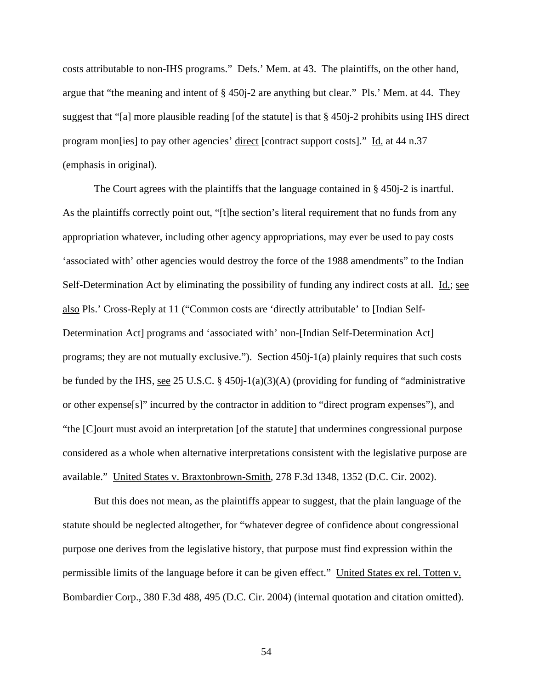costs attributable to non-IHS programs." Defs.' Mem. at 43. The plaintiffs, on the other hand, argue that "the meaning and intent of § 450j-2 are anything but clear." Pls.' Mem. at 44. They suggest that "[a] more plausible reading [of the statute] is that § 450j-2 prohibits using IHS direct program mon[ies] to pay other agencies' direct [contract support costs]." Id. at 44 n.37 (emphasis in original).

The Court agrees with the plaintiffs that the language contained in § 450 j-2 is inartful. As the plaintiffs correctly point out, "[t]he section's literal requirement that no funds from any appropriation whatever, including other agency appropriations, may ever be used to pay costs 'associated with' other agencies would destroy the force of the 1988 amendments" to the Indian Self-Determination Act by eliminating the possibility of funding any indirect costs at all. Id.; see also Pls.' Cross-Reply at 11 ("Common costs are 'directly attributable' to [Indian Self-Determination Act] programs and 'associated with' non-[Indian Self-Determination Act] programs; they are not mutually exclusive."). Section 450j-1(a) plainly requires that such costs be funded by the IHS, see 25 U.S.C. § 450j-1(a)(3)(A) (providing for funding of "administrative or other expense[s]" incurred by the contractor in addition to "direct program expenses"), and "the [C]ourt must avoid an interpretation [of the statute] that undermines congressional purpose considered as a whole when alternative interpretations consistent with the legislative purpose are available." United States v. Braxtonbrown-Smith, 278 F.3d 1348, 1352 (D.C. Cir. 2002).

But this does not mean, as the plaintiffs appear to suggest, that the plain language of the statute should be neglected altogether, for "whatever degree of confidence about congressional purpose one derives from the legislative history, that purpose must find expression within the permissible limits of the language before it can be given effect." United States ex rel. Totten v. Bombardier Corp., 380 F.3d 488, 495 (D.C. Cir. 2004) (internal quotation and citation omitted).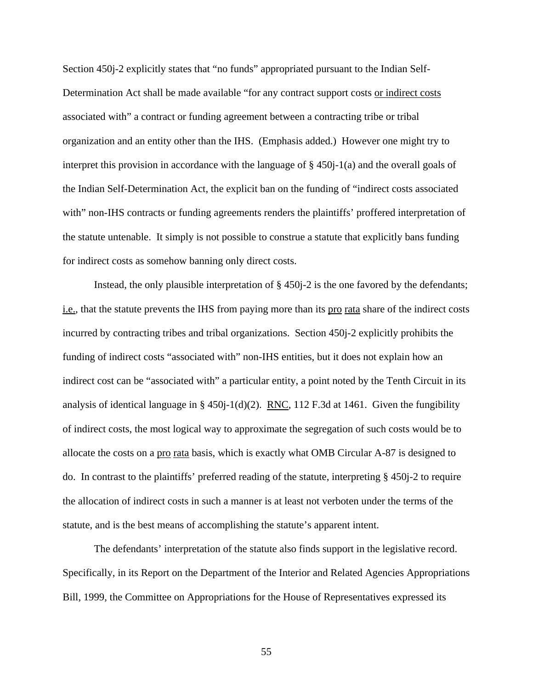Section 450j-2 explicitly states that "no funds" appropriated pursuant to the Indian Self-Determination Act shall be made available "for any contract support costs or indirect costs associated with" a contract or funding agreement between a contracting tribe or tribal organization and an entity other than the IHS. (Emphasis added.) However one might try to interpret this provision in accordance with the language of  $\S 450j-1(a)$  and the overall goals of the Indian Self-Determination Act, the explicit ban on the funding of "indirect costs associated with" non-IHS contracts or funding agreements renders the plaintiffs' proffered interpretation of the statute untenable. It simply is not possible to construe a statute that explicitly bans funding for indirect costs as somehow banning only direct costs.

Instead, the only plausible interpretation of § 450j-2 is the one favored by the defendants; i.e., that the statute prevents the IHS from paying more than its pro rata share of the indirect costs incurred by contracting tribes and tribal organizations. Section 450j-2 explicitly prohibits the funding of indirect costs "associated with" non-IHS entities, but it does not explain how an indirect cost can be "associated with" a particular entity, a point noted by the Tenth Circuit in its analysis of identical language in § 450 $j$ -1(d)(2). RNC, 112 F.3d at 1461. Given the fungibility of indirect costs, the most logical way to approximate the segregation of such costs would be to allocate the costs on a pro rata basis, which is exactly what OMB Circular A-87 is designed to do. In contrast to the plaintiffs' preferred reading of the statute, interpreting § 450j-2 to require the allocation of indirect costs in such a manner is at least not verboten under the terms of the statute, and is the best means of accomplishing the statute's apparent intent.

The defendants' interpretation of the statute also finds support in the legislative record. Specifically, in its Report on the Department of the Interior and Related Agencies Appropriations Bill, 1999, the Committee on Appropriations for the House of Representatives expressed its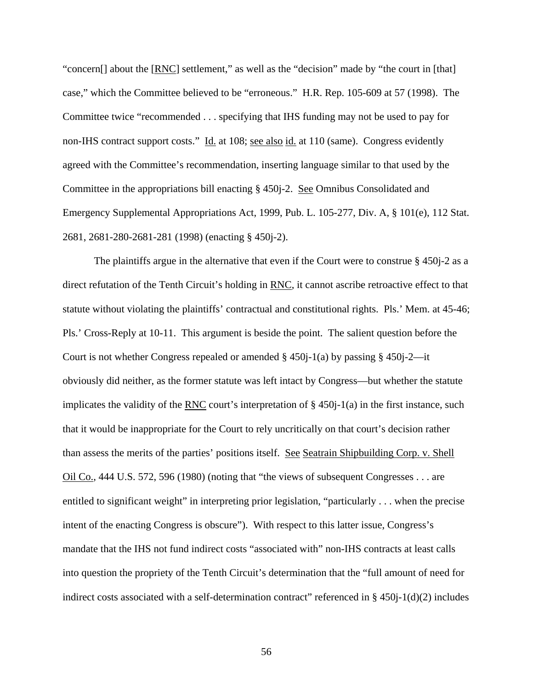"concern[] about the [RNC] settlement," as well as the "decision" made by "the court in [that] case," which the Committee believed to be "erroneous." H.R. Rep. 105-609 at 57 (1998). The Committee twice "recommended . . . specifying that IHS funding may not be used to pay for non-IHS contract support costs." Id. at 108; see also id. at 110 (same). Congress evidently agreed with the Committee's recommendation, inserting language similar to that used by the Committee in the appropriations bill enacting § 450j-2. See Omnibus Consolidated and Emergency Supplemental Appropriations Act, 1999, Pub. L. 105-277, Div. A, § 101(e), 112 Stat. 2681, 2681-280-2681-281 (1998) (enacting § 450j-2).

The plaintiffs argue in the alternative that even if the Court were to construe  $\S 450j-2$  as a direct refutation of the Tenth Circuit's holding in RNC, it cannot ascribe retroactive effect to that statute without violating the plaintiffs' contractual and constitutional rights. Pls.' Mem. at 45-46; Pls.' Cross-Reply at 10-11. This argument is beside the point. The salient question before the Court is not whether Congress repealed or amended § 450j-1(a) by passing § 450j-2—it obviously did neither, as the former statute was left intact by Congress—but whether the statute implicates the validity of the RNC court's interpretation of  $\S$  450j-1(a) in the first instance, such that it would be inappropriate for the Court to rely uncritically on that court's decision rather than assess the merits of the parties' positions itself. See Seatrain Shipbuilding Corp. v. Shell Oil Co., 444 U.S. 572, 596 (1980) (noting that "the views of subsequent Congresses . . . are entitled to significant weight" in interpreting prior legislation, "particularly . . . when the precise intent of the enacting Congress is obscure"). With respect to this latter issue, Congress's mandate that the IHS not fund indirect costs "associated with" non-IHS contracts at least calls into question the propriety of the Tenth Circuit's determination that the "full amount of need for indirect costs associated with a self-determination contract" referenced in §  $450j-1(d)(2)$  includes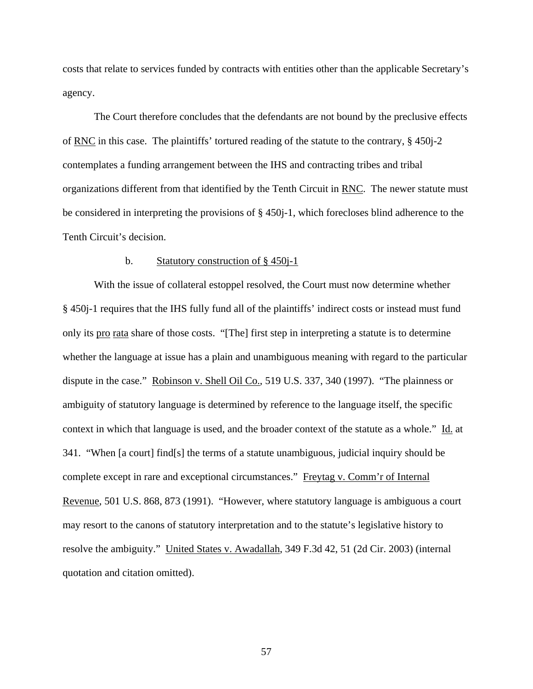costs that relate to services funded by contracts with entities other than the applicable Secretary's agency.

The Court therefore concludes that the defendants are not bound by the preclusive effects of RNC in this case. The plaintiffs' tortured reading of the statute to the contrary, § 450j-2 contemplates a funding arrangement between the IHS and contracting tribes and tribal organizations different from that identified by the Tenth Circuit in RNC. The newer statute must be considered in interpreting the provisions of § 450j-1, which forecloses blind adherence to the Tenth Circuit's decision.

#### b. Statutory construction of § 450j-1

With the issue of collateral estoppel resolved, the Court must now determine whether § 450j-1 requires that the IHS fully fund all of the plaintiffs' indirect costs or instead must fund only its pro rata share of those costs. "[The] first step in interpreting a statute is to determine whether the language at issue has a plain and unambiguous meaning with regard to the particular dispute in the case." Robinson v. Shell Oil Co., 519 U.S. 337, 340 (1997). "The plainness or ambiguity of statutory language is determined by reference to the language itself, the specific context in which that language is used, and the broader context of the statute as a whole." Id. at 341. "When [a court] find[s] the terms of a statute unambiguous, judicial inquiry should be complete except in rare and exceptional circumstances." Freytag v. Comm'r of Internal Revenue, 501 U.S. 868, 873 (1991). "However, where statutory language is ambiguous a court may resort to the canons of statutory interpretation and to the statute's legislative history to resolve the ambiguity." United States v. Awadallah, 349 F.3d 42, 51 (2d Cir. 2003) (internal quotation and citation omitted).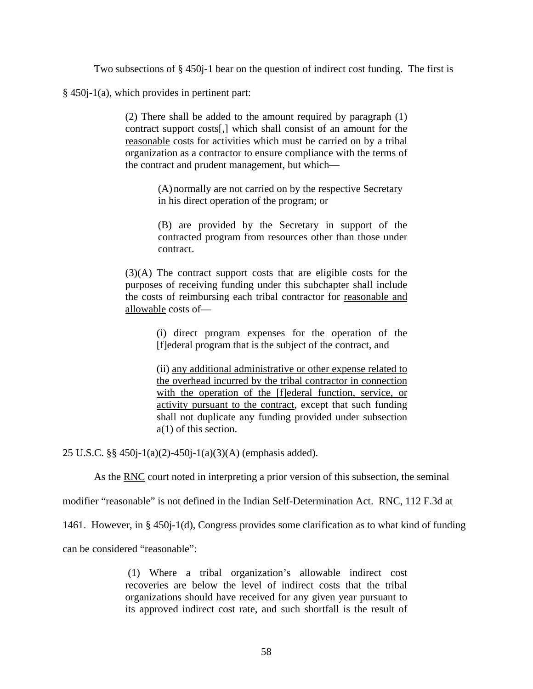Two subsections of § 450j-1 bear on the question of indirect cost funding. The first is

§ 450j-1(a), which provides in pertinent part:

(2) There shall be added to the amount required by paragraph (1) contract support costs[,] which shall consist of an amount for the reasonable costs for activities which must be carried on by a tribal organization as a contractor to ensure compliance with the terms of the contract and prudent management, but which—

> (A)normally are not carried on by the respective Secretary in his direct operation of the program; or

(B) are provided by the Secretary in support of the contracted program from resources other than those under contract.

(3)(A) The contract support costs that are eligible costs for the purposes of receiving funding under this subchapter shall include the costs of reimbursing each tribal contractor for reasonable and allowable costs of—

> (i) direct program expenses for the operation of the [f]ederal program that is the subject of the contract, and

> (ii) any additional administrative or other expense related to the overhead incurred by the tribal contractor in connection with the operation of the [f]ederal function, service, or activity pursuant to the contract, except that such funding shall not duplicate any funding provided under subsection a(1) of this section.

25 U.S.C. §§ 450j-1(a)(2)-450j-1(a)(3)(A) (emphasis added).

As the RNC court noted in interpreting a prior version of this subsection, the seminal

modifier "reasonable" is not defined in the Indian Self-Determination Act. RNC, 112 F.3d at

1461. However, in § 450j-1(d), Congress provides some clarification as to what kind of funding

can be considered "reasonable":

 (1) Where a tribal organization's allowable indirect cost recoveries are below the level of indirect costs that the tribal organizations should have received for any given year pursuant to its approved indirect cost rate, and such shortfall is the result of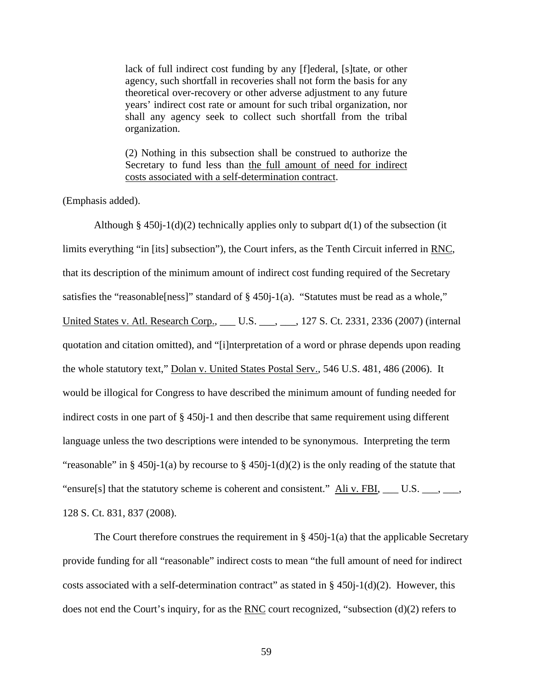lack of full indirect cost funding by any [f]ederal, [s]tate, or other agency, such shortfall in recoveries shall not form the basis for any theoretical over-recovery or other adverse adjustment to any future years' indirect cost rate or amount for such tribal organization, nor shall any agency seek to collect such shortfall from the tribal organization.

(2) Nothing in this subsection shall be construed to authorize the Secretary to fund less than the full amount of need for indirect costs associated with a self-determination contract.

(Emphasis added).

Although § 450 $j-1(d)(2)$  technically applies only to subpart  $d(1)$  of the subsection (it limits everything "in [its] subsection"), the Court infers, as the Tenth Circuit inferred in RNC, that its description of the minimum amount of indirect cost funding required of the Secretary satisfies the "reasonable [ness]" standard of § 450*j*-1(a). "Statutes must be read as a whole," United States v. Atl. Research Corp., \_\_\_ U.S. \_\_\_, \_\_\_, 127 S. Ct. 2331, 2336 (2007) (internal quotation and citation omitted), and "[i]nterpretation of a word or phrase depends upon reading the whole statutory text," Dolan v. United States Postal Serv., 546 U.S. 481, 486 (2006). It would be illogical for Congress to have described the minimum amount of funding needed for indirect costs in one part of § 450j-1 and then describe that same requirement using different language unless the two descriptions were intended to be synonymous. Interpreting the term "reasonable" in § 450 $i$ -1(a) by recourse to § 450 $i$ -1(d)(2) is the only reading of the statute that "ensure[s] that the statutory scheme is coherent and consistent." Ali v. FBI,  $\_\_\_\_\_\_\_U.S. \_\_\_\_\_J$ 128 S. Ct. 831, 837 (2008).

The Court therefore construes the requirement in  $\S$  450 $j-1$ (a) that the applicable Secretary provide funding for all "reasonable" indirect costs to mean "the full amount of need for indirect costs associated with a self-determination contract" as stated in  $\S$  450j-1(d)(2). However, this does not end the Court's inquiry, for as the RNC court recognized, "subsection (d)(2) refers to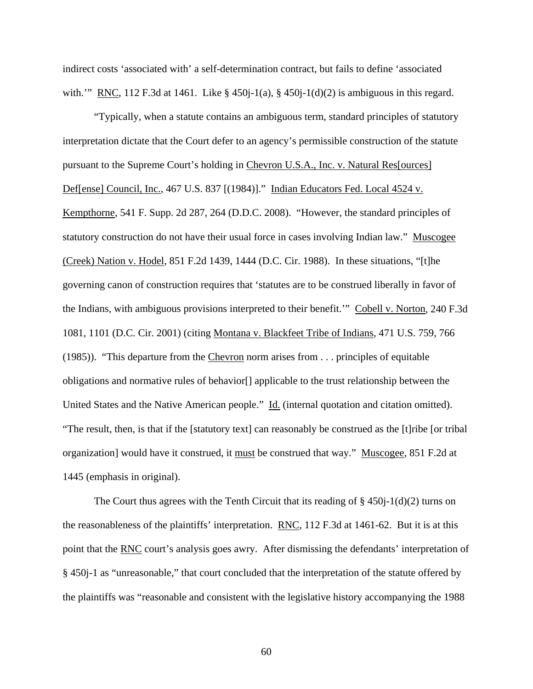indirect costs 'associated with' a self-determination contract, but fails to define 'associated with." RNC, 112 F.3d at 1461. Like § 450 $j-1$ (a), § 450 $j-1$ (d)(2) is ambiguous in this regard.

 "Typically, when a statute contains an ambiguous term, standard principles of statutory interpretation dictate that the Court defer to an agency's permissible construction of the statute pursuant to the Supreme Court's holding in Chevron U.S.A., Inc. v. Natural Res[ources] Def[ense] Council, Inc., 467 U.S. 837 [(1984)]." Indian Educators Fed. Local 4524 v. Kempthorne, 541 F. Supp. 2d 287, 264 (D.D.C. 2008). "However, the standard principles of statutory construction do not have their usual force in cases involving Indian law." Muscogee (Creek) Nation v. Hodel, 851 F.2d 1439, 1444 (D.C. Cir. 1988). In these situations, "[t]he governing canon of construction requires that 'statutes are to be construed liberally in favor of the Indians, with ambiguous provisions interpreted to their benefit.'" Cobell v. Norton, 240 F.3d 1081, 1101 (D.C. Cir. 2001) (citing Montana v. Blackfeet Tribe of Indians, 471 U.S. 759, 766 (1985)). "This departure from the Chevron norm arises from . . . principles of equitable obligations and normative rules of behavior[] applicable to the trust relationship between the United States and the Native American people." Id. (internal quotation and citation omitted). "The result, then, is that if the [statutory text] can reasonably be construed as the [t]ribe [or tribal organization] would have it construed, it must be construed that way." Muscogee, 851 F.2d at 1445 (emphasis in original).

The Court thus agrees with the Tenth Circuit that its reading of  $\S$  450 $j$ -1(d)(2) turns on the reasonableness of the plaintiffs' interpretation. RNC, 112 F.3d at 1461-62. But it is at this point that the RNC court's analysis goes awry. After dismissing the defendants' interpretation of § 450j-1 as "unreasonable," that court concluded that the interpretation of the statute offered by the plaintiffs was "reasonable and consistent with the legislative history accompanying the 1988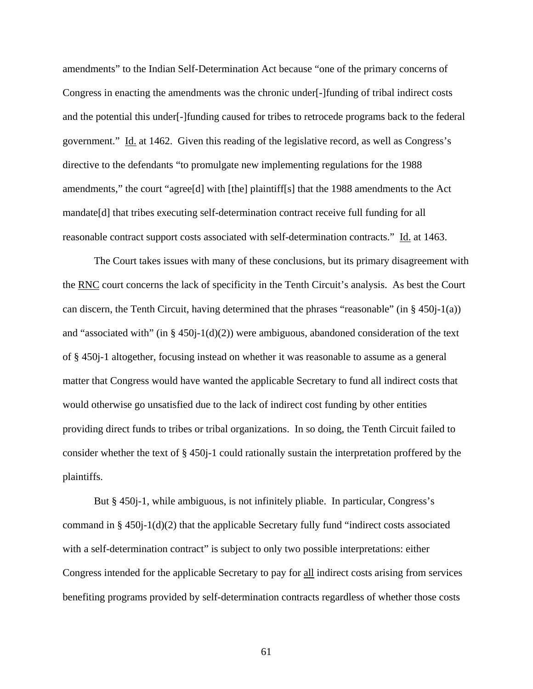amendments" to the Indian Self-Determination Act because "one of the primary concerns of Congress in enacting the amendments was the chronic under[-]funding of tribal indirect costs and the potential this under[-]funding caused for tribes to retrocede programs back to the federal government." Id. at 1462. Given this reading of the legislative record, as well as Congress's directive to the defendants "to promulgate new implementing regulations for the 1988 amendments," the court "agree[d] with [the] plaintiff[s] that the 1988 amendments to the Act mandate[d] that tribes executing self-determination contract receive full funding for all reasonable contract support costs associated with self-determination contracts." Id. at 1463.

 The Court takes issues with many of these conclusions, but its primary disagreement with the RNC court concerns the lack of specificity in the Tenth Circuit's analysis. As best the Court can discern, the Tenth Circuit, having determined that the phrases "reasonable" (in § 450 $j$ -1(a)) and "associated with" (in  $\S$  450j-1(d)(2)) were ambiguous, abandoned consideration of the text of § 450j-1 altogether, focusing instead on whether it was reasonable to assume as a general matter that Congress would have wanted the applicable Secretary to fund all indirect costs that would otherwise go unsatisfied due to the lack of indirect cost funding by other entities providing direct funds to tribes or tribal organizations. In so doing, the Tenth Circuit failed to consider whether the text of § 450j-1 could rationally sustain the interpretation proffered by the plaintiffs.

 But § 450j-1, while ambiguous, is not infinitely pliable. In particular, Congress's command in  $\S 450j-1(d)(2)$  that the applicable Secretary fully fund "indirect costs associated" with a self-determination contract" is subject to only two possible interpretations: either Congress intended for the applicable Secretary to pay for all indirect costs arising from services benefiting programs provided by self-determination contracts regardless of whether those costs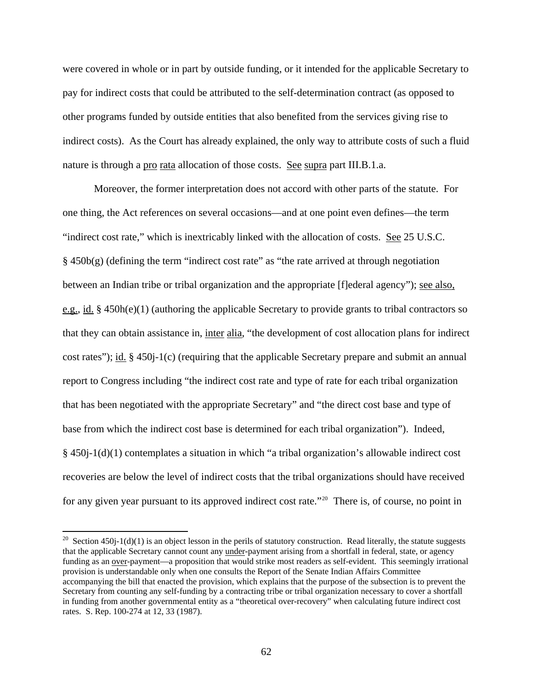were covered in whole or in part by outside funding, or it intended for the applicable Secretary to pay for indirect costs that could be attributed to the self-determination contract (as opposed to other programs funded by outside entities that also benefited from the services giving rise to indirect costs). As the Court has already explained, the only way to attribute costs of such a fluid nature is through a pro rata allocation of those costs. See supra part III.B.1.a.

 Moreover, the former interpretation does not accord with other parts of the statute. For one thing, the Act references on several occasions—and at one point even defines—the term "indirect cost rate," which is inextricably linked with the allocation of costs. See 25 U.S.C.  $§$  450b(g) (defining the term "indirect cost rate" as "the rate arrived at through negotiation between an Indian tribe or tribal organization and the appropriate [f]ederal agency"); <u>see also,</u> e.g., id. § 450h(e)(1) (authoring the applicable Secretary to provide grants to tribal contractors so that they can obtain assistance in, inter alia, "the development of cost allocation plans for indirect cost rates"); id. § 450j-1(c) (requiring that the applicable Secretary prepare and submit an annual report to Congress including "the indirect cost rate and type of rate for each tribal organization that has been negotiated with the appropriate Secretary" and "the direct cost base and type of base from which the indirect cost base is determined for each tribal organization"). Indeed, § 450j-1(d)(1) contemplates a situation in which "a tribal organization's allowable indirect cost recoveries are below the level of indirect costs that the tribal organizations should have received for any given year pursuant to its approved indirect cost rate."[20](#page-61-0) There is, of course, no point in

 $\overline{a}$ 

<span id="page-61-0"></span><sup>&</sup>lt;sup>20</sup> Section 450j-1(d)(1) is an object lesson in the perils of statutory construction. Read literally, the statute suggests that the applicable Secretary cannot count any under-payment arising from a shortfall in federal, state, or agency funding as an over-payment—a proposition that would strike most readers as self-evident. This seemingly irrational provision is understandable only when one consults the Report of the Senate Indian Affairs Committee accompanying the bill that enacted the provision, which explains that the purpose of the subsection is to prevent the Secretary from counting any self-funding by a contracting tribe or tribal organization necessary to cover a shortfall in funding from another governmental entity as a "theoretical over-recovery" when calculating future indirect cost rates. S. Rep. 100-274 at 12, 33 (1987).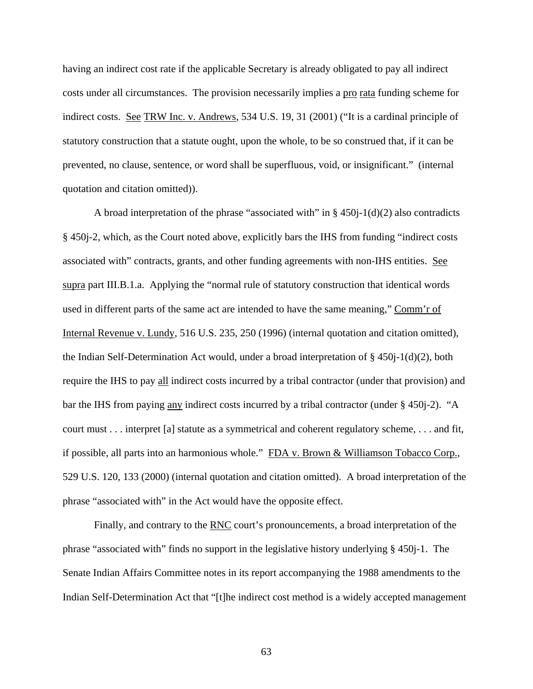having an indirect cost rate if the applicable Secretary is already obligated to pay all indirect costs under all circumstances. The provision necessarily implies a pro rata funding scheme for indirect costs. See TRW Inc. v. Andrews, 534 U.S. 19, 31 (2001) ("It is a cardinal principle of statutory construction that a statute ought, upon the whole, to be so construed that, if it can be prevented, no clause, sentence, or word shall be superfluous, void, or insignificant." (internal quotation and citation omitted)).

A broad interpretation of the phrase "associated with" in § 450 $j-1(d)(2)$  also contradicts § 450j-2, which, as the Court noted above, explicitly bars the IHS from funding "indirect costs associated with" contracts, grants, and other funding agreements with non-IHS entities. See supra part III.B.1.a. Applying the "normal rule of statutory construction that identical words used in different parts of the same act are intended to have the same meaning," Comm'r of Internal Revenue v. Lundy, 516 U.S. 235, 250 (1996) (internal quotation and citation omitted), the Indian Self-Determination Act would, under a broad interpretation of § 450j-1(d)(2), both require the IHS to pay all indirect costs incurred by a tribal contractor (under that provision) and bar the IHS from paying <u>any</u> indirect costs incurred by a tribal contractor (under § 450*j*-2). "A court must . . . interpret [a] statute as a symmetrical and coherent regulatory scheme, . . . and fit, if possible, all parts into an harmonious whole." FDA v. Brown & Williamson Tobacco Corp., 529 U.S. 120, 133 (2000) (internal quotation and citation omitted). A broad interpretation of the phrase "associated with" in the Act would have the opposite effect.

 Finally, and contrary to the RNC court's pronouncements, a broad interpretation of the phrase "associated with" finds no support in the legislative history underlying § 450j-1. The Senate Indian Affairs Committee notes in its report accompanying the 1988 amendments to the Indian Self-Determination Act that "[t]he indirect cost method is a widely accepted management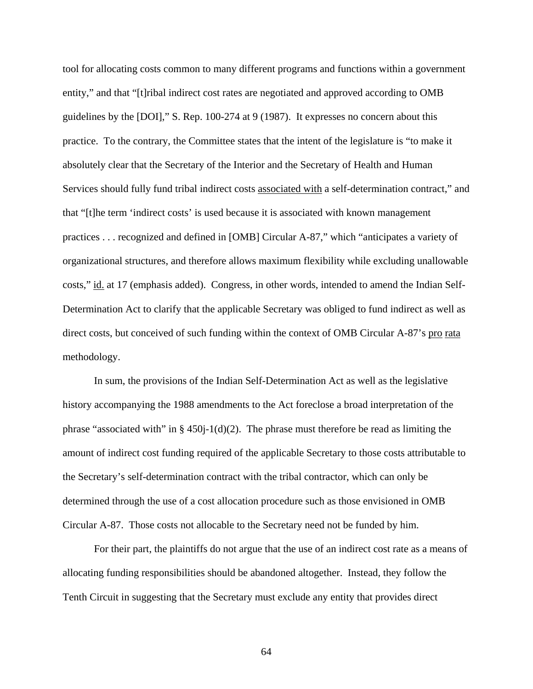tool for allocating costs common to many different programs and functions within a government entity," and that "[t]ribal indirect cost rates are negotiated and approved according to OMB guidelines by the [DOI]," S. Rep. 100-274 at 9 (1987). It expresses no concern about this practice. To the contrary, the Committee states that the intent of the legislature is "to make it absolutely clear that the Secretary of the Interior and the Secretary of Health and Human Services should fully fund tribal indirect costs associated with a self-determination contract," and that "[t]he term 'indirect costs' is used because it is associated with known management practices . . . recognized and defined in [OMB] Circular A-87," which "anticipates a variety of organizational structures, and therefore allows maximum flexibility while excluding unallowable costs," id. at 17 (emphasis added). Congress, in other words, intended to amend the Indian Self-Determination Act to clarify that the applicable Secretary was obliged to fund indirect as well as direct costs, but conceived of such funding within the context of OMB Circular A-87's pro rata methodology.

 In sum, the provisions of the Indian Self-Determination Act as well as the legislative history accompanying the 1988 amendments to the Act foreclose a broad interpretation of the phrase "associated with" in  $\S$  450j-1(d)(2). The phrase must therefore be read as limiting the amount of indirect cost funding required of the applicable Secretary to those costs attributable to the Secretary's self-determination contract with the tribal contractor, which can only be determined through the use of a cost allocation procedure such as those envisioned in OMB Circular A-87. Those costs not allocable to the Secretary need not be funded by him.

 For their part, the plaintiffs do not argue that the use of an indirect cost rate as a means of allocating funding responsibilities should be abandoned altogether. Instead, they follow the Tenth Circuit in suggesting that the Secretary must exclude any entity that provides direct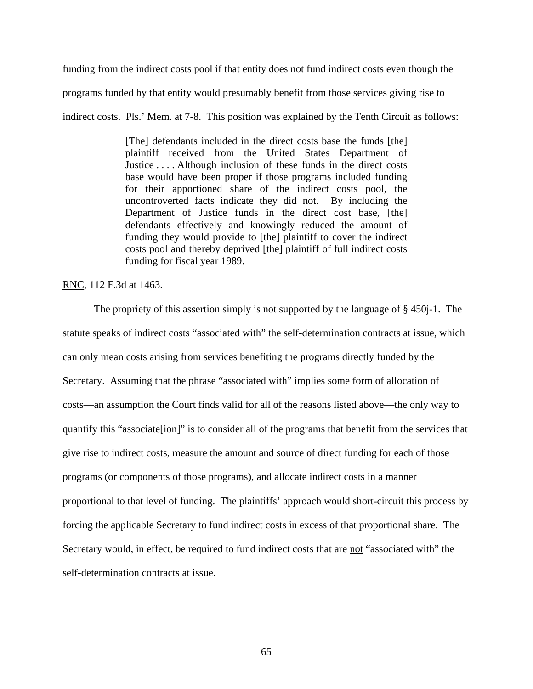funding from the indirect costs pool if that entity does not fund indirect costs even though the

programs funded by that entity would presumably benefit from those services giving rise to

indirect costs. Pls.' Mem. at 7-8. This position was explained by the Tenth Circuit as follows:

[The] defendants included in the direct costs base the funds [the] plaintiff received from the United States Department of Justice . . . . Although inclusion of these funds in the direct costs base would have been proper if those programs included funding for their apportioned share of the indirect costs pool, the uncontroverted facts indicate they did not. By including the Department of Justice funds in the direct cost base, [the] defendants effectively and knowingly reduced the amount of funding they would provide to [the] plaintiff to cover the indirect costs pool and thereby deprived [the] plaintiff of full indirect costs funding for fiscal year 1989.

RNC, 112 F.3d at 1463.

 The propriety of this assertion simply is not supported by the language of § 450j-1. The statute speaks of indirect costs "associated with" the self-determination contracts at issue, which can only mean costs arising from services benefiting the programs directly funded by the Secretary. Assuming that the phrase "associated with" implies some form of allocation of costs—an assumption the Court finds valid for all of the reasons listed above—the only way to quantify this "associate[ion]" is to consider all of the programs that benefit from the services that give rise to indirect costs, measure the amount and source of direct funding for each of those programs (or components of those programs), and allocate indirect costs in a manner proportional to that level of funding. The plaintiffs' approach would short-circuit this process by forcing the applicable Secretary to fund indirect costs in excess of that proportional share. The Secretary would, in effect, be required to fund indirect costs that are not "associated with" the self-determination contracts at issue.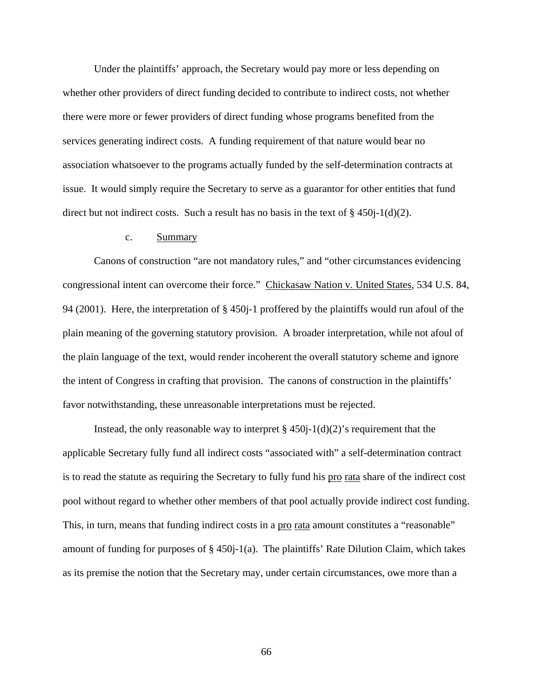Under the plaintiffs' approach, the Secretary would pay more or less depending on whether other providers of direct funding decided to contribute to indirect costs, not whether there were more or fewer providers of direct funding whose programs benefited from the services generating indirect costs. A funding requirement of that nature would bear no association whatsoever to the programs actually funded by the self-determination contracts at issue. It would simply require the Secretary to serve as a guarantor for other entities that fund direct but not indirect costs. Such a result has no basis in the text of  $\S$  450j-1(d)(2).

### c. Summary

 Canons of construction "are not mandatory rules," and "other circumstances evidencing congressional intent can overcome their force." Chickasaw Nation v. United States, 534 U.S. 84, 94 (2001). Here, the interpretation of § 450j-1 proffered by the plaintiffs would run afoul of the plain meaning of the governing statutory provision. A broader interpretation, while not afoul of the plain language of the text, would render incoherent the overall statutory scheme and ignore the intent of Congress in crafting that provision. The canons of construction in the plaintiffs' favor notwithstanding, these unreasonable interpretations must be rejected.

Instead, the only reasonable way to interpret  $\S 450j-1(d)(2)$ 's requirement that the applicable Secretary fully fund all indirect costs "associated with" a self-determination contract is to read the statute as requiring the Secretary to fully fund his pro rata share of the indirect cost pool without regard to whether other members of that pool actually provide indirect cost funding. This, in turn, means that funding indirect costs in a pro rata amount constitutes a "reasonable" amount of funding for purposes of § 450j-1(a). The plaintiffs' Rate Dilution Claim, which takes as its premise the notion that the Secretary may, under certain circumstances, owe more than a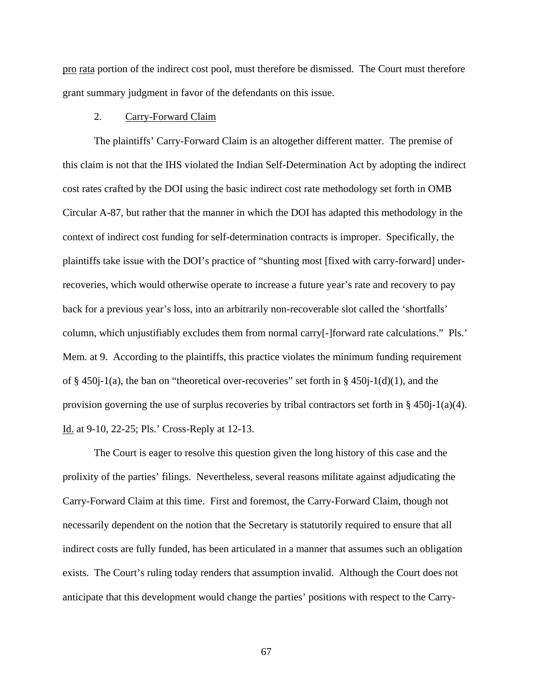pro rata portion of the indirect cost pool, must therefore be dismissed. The Court must therefore grant summary judgment in favor of the defendants on this issue.

## 2. Carry-Forward Claim

The plaintiffs' Carry-Forward Claim is an altogether different matter. The premise of this claim is not that the IHS violated the Indian Self-Determination Act by adopting the indirect cost rates crafted by the DOI using the basic indirect cost rate methodology set forth in OMB Circular A-87, but rather that the manner in which the DOI has adapted this methodology in the context of indirect cost funding for self-determination contracts is improper. Specifically, the plaintiffs take issue with the DOI's practice of "shunting most [fixed with carry-forward] underrecoveries, which would otherwise operate to increase a future year's rate and recovery to pay back for a previous year's loss, into an arbitrarily non-recoverable slot called the 'shortfalls' column, which unjustifiably excludes them from normal carry[-]forward rate calculations." Pls.' Mem. at 9. According to the plaintiffs, this practice violates the minimum funding requirement of § 450 $j-1$ (a), the ban on "theoretical over-recoveries" set forth in § 450 $j-1$ (d)(1), and the provision governing the use of surplus recoveries by tribal contractors set forth in § 450j-1(a)(4). Id. at 9-10, 22-25; Pls.' Cross-Reply at 12-13.

The Court is eager to resolve this question given the long history of this case and the prolixity of the parties' filings. Nevertheless, several reasons militate against adjudicating the Carry-Forward Claim at this time. First and foremost, the Carry-Forward Claim, though not necessarily dependent on the notion that the Secretary is statutorily required to ensure that all indirect costs are fully funded, has been articulated in a manner that assumes such an obligation exists. The Court's ruling today renders that assumption invalid. Although the Court does not anticipate that this development would change the parties' positions with respect to the Carry-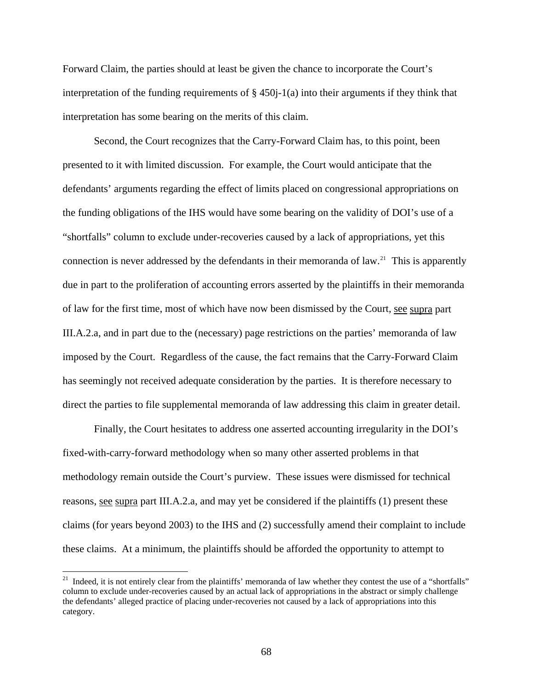Forward Claim, the parties should at least be given the chance to incorporate the Court's interpretation of the funding requirements of  $\S$  450j-1(a) into their arguments if they think that interpretation has some bearing on the merits of this claim.

Second, the Court recognizes that the Carry-Forward Claim has, to this point, been presented to it with limited discussion. For example, the Court would anticipate that the defendants' arguments regarding the effect of limits placed on congressional appropriations on the funding obligations of the IHS would have some bearing on the validity of DOI's use of a "shortfalls" column to exclude under-recoveries caused by a lack of appropriations, yet this connection is never addressed by the defendants in their memoranda of law.<sup>[21](#page-67-0)</sup> This is apparently due in part to the proliferation of accounting errors asserted by the plaintiffs in their memoranda of law for the first time, most of which have now been dismissed by the Court, see supra part III.A.2.a, and in part due to the (necessary) page restrictions on the parties' memoranda of law imposed by the Court. Regardless of the cause, the fact remains that the Carry-Forward Claim has seemingly not received adequate consideration by the parties. It is therefore necessary to direct the parties to file supplemental memoranda of law addressing this claim in greater detail.

Finally, the Court hesitates to address one asserted accounting irregularity in the DOI's fixed-with-carry-forward methodology when so many other asserted problems in that methodology remain outside the Court's purview. These issues were dismissed for technical reasons, see supra part III.A.2.a, and may yet be considered if the plaintiffs (1) present these claims (for years beyond 2003) to the IHS and (2) successfully amend their complaint to include these claims. At a minimum, the plaintiffs should be afforded the opportunity to attempt to

 $\overline{a}$ 

<span id="page-67-0"></span><sup>&</sup>lt;sup>21</sup> Indeed, it is not entirely clear from the plaintiffs' memoranda of law whether they contest the use of a "shortfalls" column to exclude under-recoveries caused by an actual lack of appropriations in the abstract or simply challenge the defendants' alleged practice of placing under-recoveries not caused by a lack of appropriations into this category.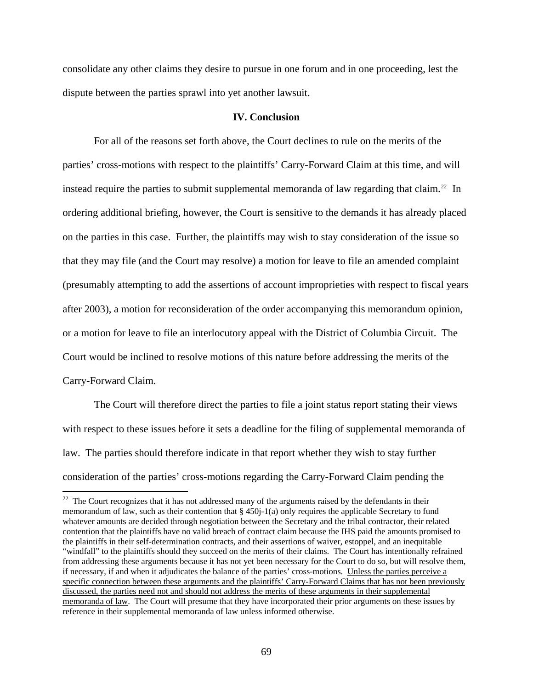consolidate any other claims they desire to pursue in one forum and in one proceeding, lest the dispute between the parties sprawl into yet another lawsuit.

# **IV. Conclusion**

For all of the reasons set forth above, the Court declines to rule on the merits of the parties' cross-motions with respect to the plaintiffs' Carry-Forward Claim at this time, and will instead require the parties to submit supplemental memoranda of law regarding that claim.<sup>[22](#page-68-0)</sup> In ordering additional briefing, however, the Court is sensitive to the demands it has already placed on the parties in this case. Further, the plaintiffs may wish to stay consideration of the issue so that they may file (and the Court may resolve) a motion for leave to file an amended complaint (presumably attempting to add the assertions of account improprieties with respect to fiscal years after 2003), a motion for reconsideration of the order accompanying this memorandum opinion, or a motion for leave to file an interlocutory appeal with the District of Columbia Circuit. The Court would be inclined to resolve motions of this nature before addressing the merits of the Carry-Forward Claim.

The Court will therefore direct the parties to file a joint status report stating their views with respect to these issues before it sets a deadline for the filing of supplemental memoranda of law. The parties should therefore indicate in that report whether they wish to stay further consideration of the parties' cross-motions regarding the Carry-Forward Claim pending the

<span id="page-68-0"></span> $22$  The Court recognizes that it has not addressed many of the arguments raised by the defendants in their memorandum of law, such as their contention that  $\S 450j-1$ (a) only requires the applicable Secretary to fund whatever amounts are decided through negotiation between the Secretary and the tribal contractor, their related contention that the plaintiffs have no valid breach of contract claim because the IHS paid the amounts promised to the plaintiffs in their self-determination contracts, and their assertions of waiver, estoppel, and an inequitable "windfall" to the plaintiffs should they succeed on the merits of their claims. The Court has intentionally refrained from addressing these arguments because it has not yet been necessary for the Court to do so, but will resolve them, if necessary, if and when it adjudicates the balance of the parties' cross-motions. Unless the parties perceive a specific connection between these arguments and the plaintiffs' Carry-Forward Claims that has not been previously discussed, the parties need not and should not address the merits of these arguments in their supplemental memoranda of law. The Court will presume that they have incorporated their prior arguments on these issues by reference in their supplemental memoranda of law unless informed otherwise.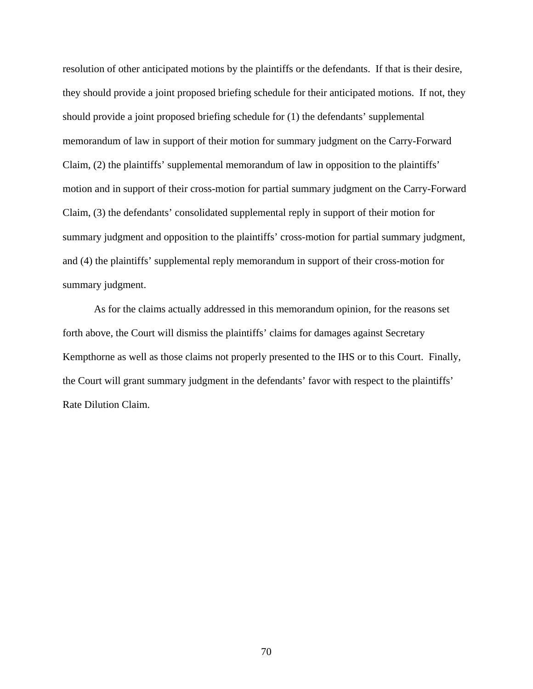resolution of other anticipated motions by the plaintiffs or the defendants. If that is their desire, they should provide a joint proposed briefing schedule for their anticipated motions. If not, they should provide a joint proposed briefing schedule for (1) the defendants' supplemental memorandum of law in support of their motion for summary judgment on the Carry-Forward Claim, (2) the plaintiffs' supplemental memorandum of law in opposition to the plaintiffs' motion and in support of their cross-motion for partial summary judgment on the Carry-Forward Claim, (3) the defendants' consolidated supplemental reply in support of their motion for summary judgment and opposition to the plaintiffs' cross-motion for partial summary judgment, and (4) the plaintiffs' supplemental reply memorandum in support of their cross-motion for summary judgment.

As for the claims actually addressed in this memorandum opinion, for the reasons set forth above, the Court will dismiss the plaintiffs' claims for damages against Secretary Kempthorne as well as those claims not properly presented to the IHS or to this Court. Finally, the Court will grant summary judgment in the defendants' favor with respect to the plaintiffs' Rate Dilution Claim.